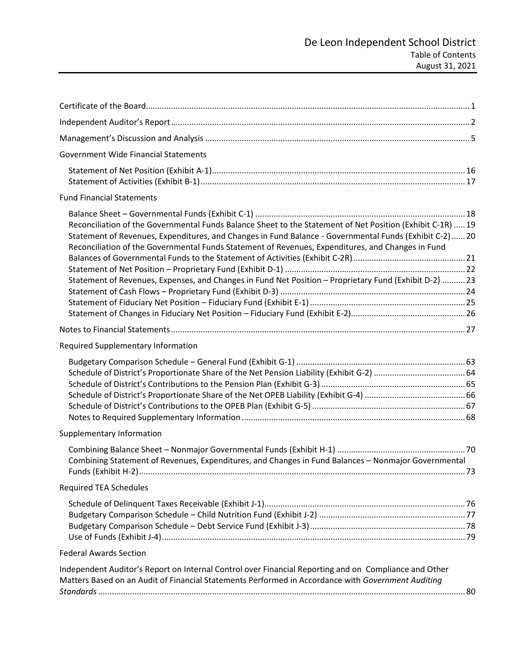| Government Wide Financial Statements                                                                                                                                                                                                                                                                                                                                                                                                 |  |
|--------------------------------------------------------------------------------------------------------------------------------------------------------------------------------------------------------------------------------------------------------------------------------------------------------------------------------------------------------------------------------------------------------------------------------------|--|
|                                                                                                                                                                                                                                                                                                                                                                                                                                      |  |
| <b>Fund Financial Statements</b>                                                                                                                                                                                                                                                                                                                                                                                                     |  |
| Reconciliation of the Governmental Funds Balance Sheet to the Statement of Net Position (Exhibit C-1R)  19<br>Statement of Revenues, Expenditures, and Changes in Fund Balance - Governmental Funds (Exhibit C-2)  20<br>Reconciliation of the Governmental Funds Statement of Revenues, Expenditures, and Changes in Fund<br>Statement of Revenues, Expenses, and Changes in Fund Net Position - Proprietary Fund (Exhibit D-2)  23 |  |
|                                                                                                                                                                                                                                                                                                                                                                                                                                      |  |
| Required Supplementary Information                                                                                                                                                                                                                                                                                                                                                                                                   |  |
|                                                                                                                                                                                                                                                                                                                                                                                                                                      |  |
| Supplementary Information                                                                                                                                                                                                                                                                                                                                                                                                            |  |
| Combining Statement of Revenues, Expenditures, and Changes in Fund Balances - Nonmajor Governmental                                                                                                                                                                                                                                                                                                                                  |  |
| <b>Required TEA Schedules</b>                                                                                                                                                                                                                                                                                                                                                                                                        |  |
|                                                                                                                                                                                                                                                                                                                                                                                                                                      |  |
| <b>Federal Awards Section</b>                                                                                                                                                                                                                                                                                                                                                                                                        |  |
| Independent Auditor's Report on Internal Control over Financial Reporting and on Compliance and Other<br>Matters Based on an Audit of Financial Statements Performed in Accordance with Government Auditing                                                                                                                                                                                                                          |  |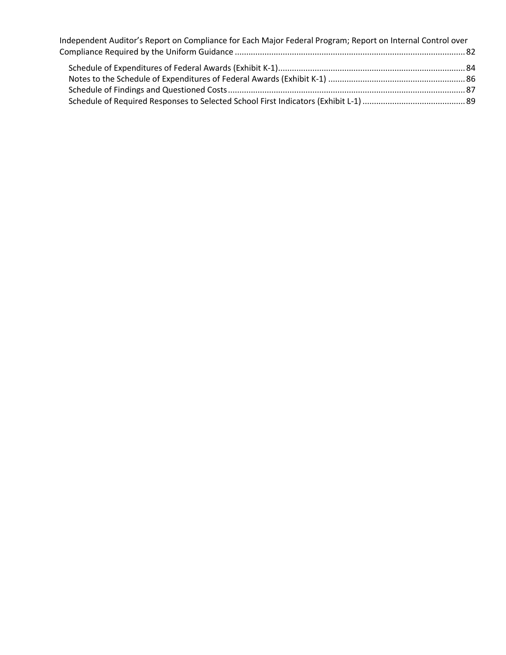| Independent Auditor's Report on Compliance for Each Major Federal Program; Report on Internal Control over |  |
|------------------------------------------------------------------------------------------------------------|--|
|                                                                                                            |  |
|                                                                                                            |  |
|                                                                                                            |  |
|                                                                                                            |  |
|                                                                                                            |  |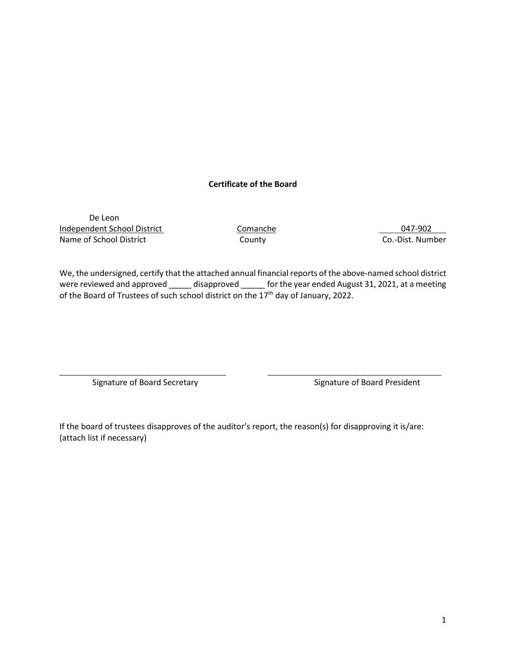# **Certificate of the Board**

<span id="page-3-0"></span>De Leon Independent School District Comanche Comanche 047-902 Name of School District County County County Co.-Dist. Number

We, the undersigned, certify that the attached annual financial reports of the above-named school district were reviewed and approved \_\_\_\_\_ disapproved \_\_\_\_\_ for the year ended August 31, 2021, at a meeting of the Board of Trustees of such school district on the 17<sup>th</sup> day of January, 2022.

Signature of Board Secretary Signature of Board President

If the board of trustees disapproves of the auditor's report, the reason(s) for disapproving it is/are: (attach list if necessary)

\_\_\_\_\_\_\_\_\_\_\_\_\_\_\_\_\_\_\_\_\_\_\_\_\_\_\_\_\_\_\_\_\_\_\_\_\_\_\_\_\_\_\_\_\_ \_\_\_\_\_\_\_\_\_\_\_\_\_\_\_\_\_\_\_\_\_\_\_\_\_\_\_\_\_\_\_\_\_\_\_\_\_\_\_\_\_\_\_\_\_\_\_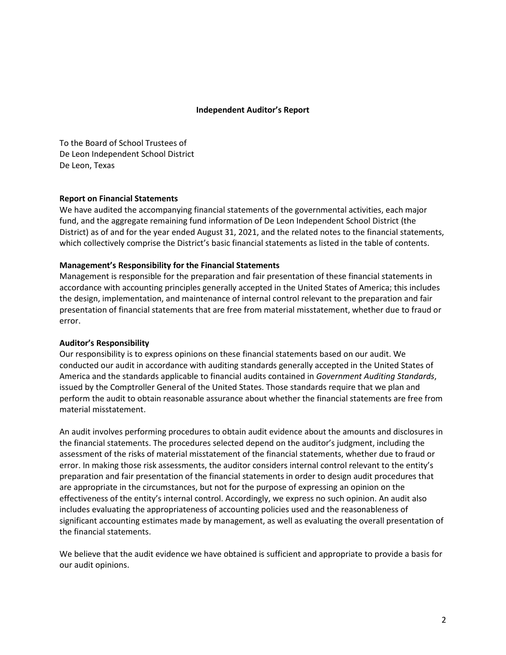

**CPAs & BUSINESS ADVISORS** 

#### **Independent Auditor's Report**

<span id="page-4-0"></span>To the Board of School Trustees of De Leon Independent School District De Leon, Texas

#### **Report on Financial Statements**

We have audited the accompanying financial statements of the governmental activities, each major fund, and the aggregate remaining fund information of De Leon Independent School District (the District) as of and for the year ended August 31, 2021, and the related notes to the financial statements, which collectively comprise the District's basic financial statements as listed in the table of contents.

#### **Management's Responsibility for the Financial Statements**

Management is responsible for the preparation and fair presentation of these financial statements in accordance with accounting principles generally accepted in the United States of America; this includes the design, implementation, and maintenance of internal control relevant to the preparation and fair presentation of financial statements that are free from material misstatement, whether due to fraud or error.

#### **Auditor's Responsibility**

Our responsibility is to express opinions on these financial statements based on our audit. We conducted our audit in accordance with auditing standards generally accepted in the United States of America and the standards applicable to financial audits contained in *Government Auditing Standards*, issued by the Comptroller General of the United States. Those standards require that we plan and perform the audit to obtain reasonable assurance about whether the financial statements are free from material misstatement.

An audit involves performing procedures to obtain audit evidence about the amounts and disclosures in the financial statements. The procedures selected depend on the auditor's judgment, including the assessment of the risks of material misstatement of the financial statements, whether due to fraud or error. In making those risk assessments, the auditor considers internal control relevant to the entity's preparation and fair presentation of the financial statements in order to design audit procedures that are appropriate in the circumstances, but not for the purpose of expressing an opinion on the effectiveness of the entity's internal control. Accordingly, we express no such opinion. An audit also includes evaluating the appropriateness of accounting policies used and the reasonableness of significant accounting estimates made by management, as well as evaluating the overall presentation of the financial statements.

We believe that the audit evidence we have obtained is sufficient and appropriate to provide a basis for our audit opinions.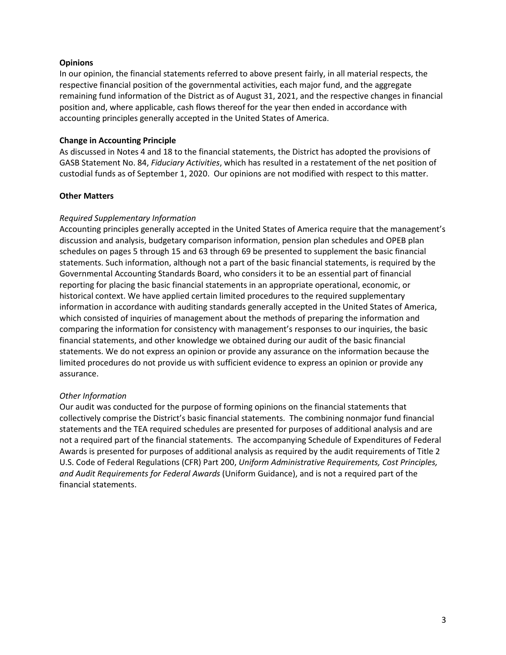# **Opinions**

In our opinion, the financial statements referred to above present fairly, in all material respects, the respective financial position of the governmental activities, each major fund, and the aggregate remaining fund information of the District as of August 31, 2021, and the respective changes in financial position and, where applicable, cash flows thereof for the year then ended in accordance with accounting principles generally accepted in the United States of America.

# **Change in Accounting Principle**

As discussed in Notes 4 and 18 to the financial statements, the District has adopted the provisions of GASB Statement No. 84, *Fiduciary Activities*, which has resulted in a restatement of the net position of custodial funds as of September 1, 2020. Our opinions are not modified with respect to this matter.

# **Other Matters**

# *Required Supplementary Information*

Accounting principles generally accepted in the United States of America require that the management's discussion and analysis, budgetary comparison information, pension plan schedules and OPEB plan schedules on pages 5 through 15 and 63 through 69 be presented to supplement the basic financial statements. Such information, although not a part of the basic financial statements, is required by the Governmental Accounting Standards Board, who considers it to be an essential part of financial reporting for placing the basic financial statements in an appropriate operational, economic, or historical context. We have applied certain limited procedures to the required supplementary information in accordance with auditing standards generally accepted in the United States of America, which consisted of inquiries of management about the methods of preparing the information and comparing the information for consistency with management's responses to our inquiries, the basic financial statements, and other knowledge we obtained during our audit of the basic financial statements. We do not express an opinion or provide any assurance on the information because the limited procedures do not provide us with sufficient evidence to express an opinion or provide any assurance.

# *Other Information*

Our audit was conducted for the purpose of forming opinions on the financial statements that collectively comprise the District's basic financial statements. The combining nonmajor fund financial statements and the TEA required schedules are presented for purposes of additional analysis and are not a required part of the financial statements. The accompanying Schedule of Expenditures of Federal Awards is presented for purposes of additional analysis as required by the audit requirements of Title 2 U.S. Code of Federal Regulations (CFR) Part 200, *Uniform Administrative Requirements, Cost Principles, and Audit Requirements for Federal Awards* (Uniform Guidance), and is not a required part of the financial statements.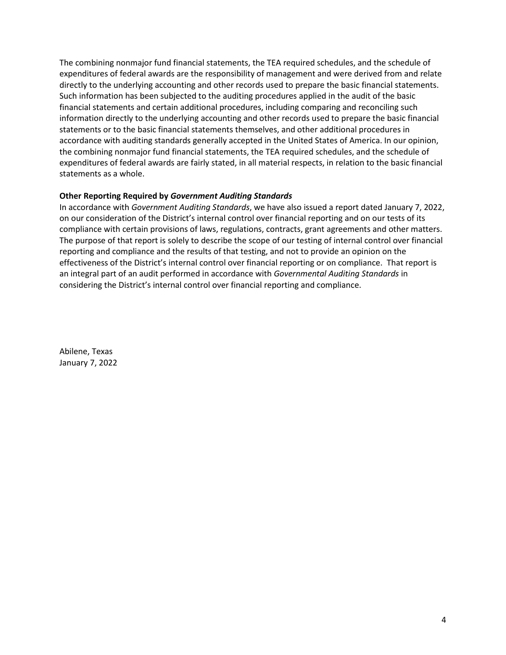The combining nonmajor fund financial statements, the TEA required schedules, and the schedule of expenditures of federal awards are the responsibility of management and were derived from and relate directly to the underlying accounting and other records used to prepare the basic financial statements. Such information has been subjected to the auditing procedures applied in the audit of the basic financial statements and certain additional procedures, including comparing and reconciling such information directly to the underlying accounting and other records used to prepare the basic financial statements or to the basic financial statements themselves, and other additional procedures in accordance with auditing standards generally accepted in the United States of America. In our opinion, the combining nonmajor fund financial statements, the TEA required schedules, and the schedule of expenditures of federal awards are fairly stated, in all material respects, in relation to the basic financial statements as a whole.

#### **Other Reporting Required by** *Government Auditing Standards*

In accordance with *Government Auditing Standards*, we have also issued a report dated January 7, 2022, on our consideration of the District's internal control over financial reporting and on our tests of its compliance with certain provisions of laws, regulations, contracts, grant agreements and other matters. The purpose of that report is solely to describe the scope of our testing of internal control over financial reporting and compliance and the results of that testing, and not to provide an opinion on the effectiveness of the District's internal control over financial reporting or on compliance. That report is an integral part of an audit performed in accordance with *Governmental Auditing Standards* in considering the District's internal control over financial reporting and compliance.

Ede Sailly LLP

Abilene, Texas January 7, 2022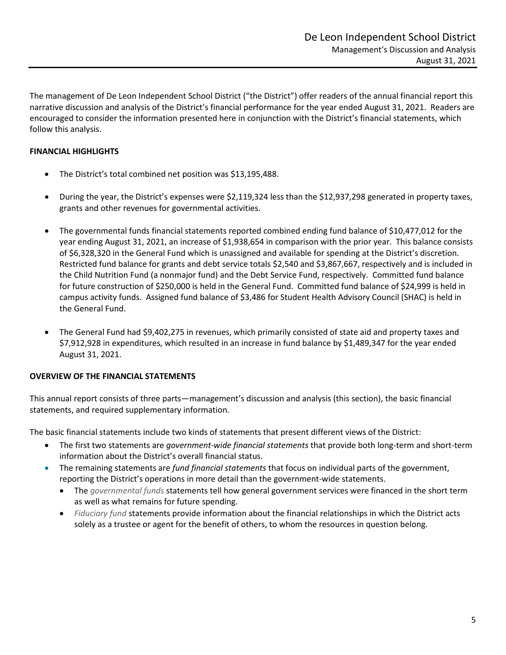The management of De Leon Independent School District ("the District") offer readers of the annual financial report this narrative discussion and analysis of the District's financial performance for the year ended August 31, 2021. Readers are encouraged to consider the information presented here in conjunction with the District's financial statements, which follow this analysis.

# **FINANCIAL HIGHLIGHTS**

- The District's total combined net position was \$13,195,488.
- During the year, the District's expenses were \$2,119,324 less than the \$12,937,298 generated in property taxes, grants and other revenues for governmental activities.
- The governmental funds financial statements reported combined ending fund balance of \$10,477,012 for the year ending August 31, 2021, an increase of \$1,938,654 in comparison with the prior year. This balance consists of \$6,328,320 in the General Fund which is unassigned and available for spending at the District's discretion. Restricted fund balance for grants and debt service totals \$2,540 and \$3,867,667, respectively and is included in the Child Nutrition Fund (a nonmajor fund) and the Debt Service Fund, respectively. Committed fund balance for future construction of \$250,000 is held in the General Fund. Committed fund balance of \$24,999 is held in campus activity funds. Assigned fund balance of \$3,486 for Student Health Advisory Council (SHAC) is held in the General Fund.
- The General Fund had \$9,402,275 in revenues, which primarily consisted of state aid and property taxes and \$7,912,928 in expenditures, which resulted in an increase in fund balance by \$1,489,347 for the year ended August 31, 2021.

# **OVERVIEW OF THE FINANCIAL STATEMENTS**

This annual report consists of three parts—management's discussion and analysis (this section), the basic financial statements, and required supplementary information.

The basic financial statements include two kinds of statements that present different views of the District:

- The first two statements are *government-wide financial statements* that provide both long-term and short-term information about the District's overall financial status.
- The remaining statements are *fund financial statements* that focus on individual parts of the government, reporting the District's operations in more detail than the government-wide statements.
	- The *governmental funds* statements tell how general government services were financed in the short term as well as what remains for future spending.
	- *Fiduciary fund* statements provide information about the financial relationships in which the District acts solely as a trustee or agent for the benefit of others, to whom the resources in question belong.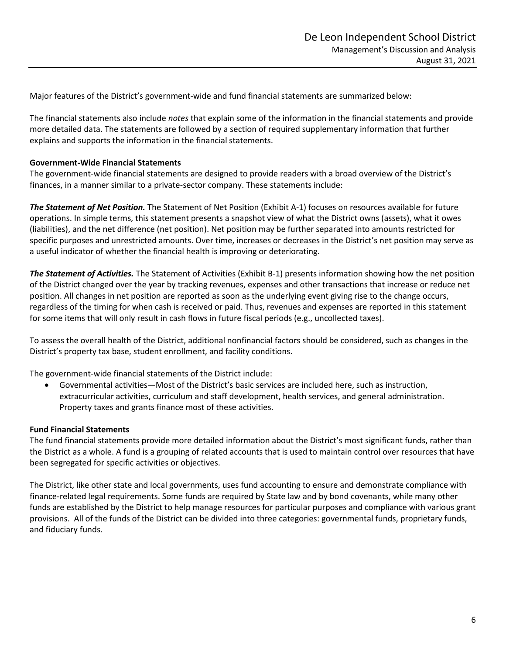Major features of the District's government-wide and fund financial statements are summarized below:

The financial statements also include *notes* that explain some of the information in the financial statements and provide more detailed data. The statements are followed by a section of required supplementary information that further explains and supports the information in the financial statements.

# **Government-Wide Financial Statements**

The government-wide financial statements are designed to provide readers with a broad overview of the District's finances, in a manner similar to a private-sector company. These statements include:

*The Statement of Net Position.* The Statement of Net Position (Exhibit A-1) focuses on resources available for future operations. In simple terms, this statement presents a snapshot view of what the District owns (assets), what it owes (liabilities), and the net difference (net position). Net position may be further separated into amounts restricted for specific purposes and unrestricted amounts. Over time, increases or decreases in the District's net position may serve as a useful indicator of whether the financial health is improving or deteriorating.

*The Statement of Activities.* The Statement of Activities (Exhibit B-1) presents information showing how the net position of the District changed over the year by tracking revenues, expenses and other transactions that increase or reduce net position. All changes in net position are reported as soon as the underlying event giving rise to the change occurs, regardless of the timing for when cash is received or paid. Thus, revenues and expenses are reported in this statement for some items that will only result in cash flows in future fiscal periods (e.g., uncollected taxes).

To assess the overall health of the District, additional nonfinancial factors should be considered, such as changes in the District's property tax base, student enrollment, and facility conditions.

The government-wide financial statements of the District include:

• Governmental activities—Most of the District's basic services are included here, such as instruction, extracurricular activities, curriculum and staff development, health services, and general administration. Property taxes and grants finance most of these activities.

#### **Fund Financial Statements**

The fund financial statements provide more detailed information about the District's most significant funds, rather than the District as a whole. A fund is a grouping of related accounts that is used to maintain control over resources that have been segregated for specific activities or objectives.

The District, like other state and local governments, uses fund accounting to ensure and demonstrate compliance with finance-related legal requirements. Some funds are required by State law and by bond covenants, while many other funds are established by the District to help manage resources for particular purposes and compliance with various grant provisions. All of the funds of the District can be divided into three categories: governmental funds, proprietary funds, and fiduciary funds.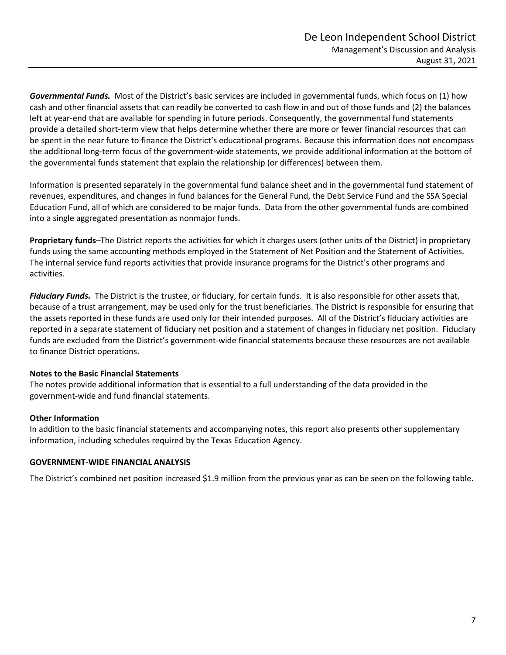*Governmental Funds.* Most of the District's basic services are included in governmental funds, which focus on (1) how cash and other financial assets that can readily be converted to cash flow in and out of those funds and (2) the balances left at year-end that are available for spending in future periods. Consequently, the governmental fund statements provide a detailed short-term view that helps determine whether there are more or fewer financial resources that can be spent in the near future to finance the District's educational programs. Because this information does not encompass the additional long-term focus of the government-wide statements, we provide additional information at the bottom of the governmental funds statement that explain the relationship (or differences) between them.

Information is presented separately in the governmental fund balance sheet and in the governmental fund statement of revenues, expenditures, and changes in fund balances for the General Fund, the Debt Service Fund and the SSA Special Education Fund, all of which are considered to be major funds. Data from the other governmental funds are combined into a single aggregated presentation as nonmajor funds.

**Proprietary funds**–The District reports the activities for which it charges users (other units of the District) in proprietary funds using the same accounting methods employed in the Statement of Net Position and the Statement of Activities. The internal service fund reports activities that provide insurance programs for the District's other programs and activities.

*Fiduciary Funds.* The District is the trustee, or fiduciary, for certain funds. It is also responsible for other assets that, because of a trust arrangement, may be used only for the trust beneficiaries. The District is responsible for ensuring that the assets reported in these funds are used only for their intended purposes. All of the District's fiduciary activities are reported in a separate statement of fiduciary net position and a statement of changes in fiduciary net position. Fiduciary funds are excluded from the District's government-wide financial statements because these resources are not available to finance District operations.

# **Notes to the Basic Financial Statements**

The notes provide additional information that is essential to a full understanding of the data provided in the government-wide and fund financial statements.

# **Other Information**

In addition to the basic financial statements and accompanying notes, this report also presents other supplementary information, including schedules required by the Texas Education Agency.

# **GOVERNMENT-WIDE FINANCIAL ANALYSIS**

The District's combined net position increased \$1.9 million from the previous year as can be seen on the following table.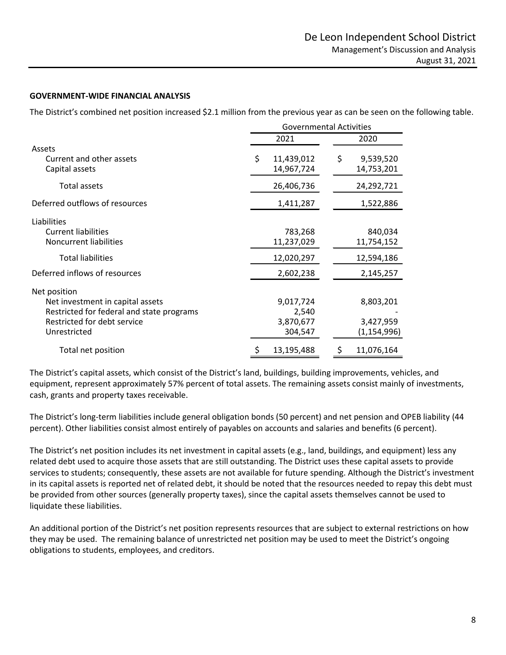#### **GOVERNMENT-WIDE FINANCIAL ANALYSIS**

The District's combined net position increased \$2.1 million from the previous year as can be seen on the following table.

|                                           | <b>Governmental Activities</b> |                 |  |  |
|-------------------------------------------|--------------------------------|-----------------|--|--|
|                                           | 2021                           | 2020            |  |  |
| Assets                                    |                                |                 |  |  |
| Current and other assets                  | \$<br>11,439,012               | \$<br>9,539,520 |  |  |
| Capital assets                            | 14,967,724                     | 14,753,201      |  |  |
| Total assets                              | 26,406,736                     | 24,292,721      |  |  |
| Deferred outflows of resources            | 1,411,287                      | 1,522,886       |  |  |
| Liabilities                               |                                |                 |  |  |
| <b>Current liabilities</b>                | 783,268                        | 840,034         |  |  |
| Noncurrent liabilities                    | 11,237,029                     | 11,754,152      |  |  |
| <b>Total liabilities</b>                  | 12,020,297                     | 12,594,186      |  |  |
| Deferred inflows of resources             | 2,602,238                      | 2,145,257       |  |  |
| Net position                              |                                |                 |  |  |
| Net investment in capital assets          | 9,017,724                      | 8,803,201       |  |  |
| Restricted for federal and state programs | 2,540                          |                 |  |  |
| Restricted for debt service               | 3,870,677                      | 3,427,959       |  |  |
| Unrestricted                              | 304,547                        | (1, 154, 996)   |  |  |
| Total net position                        | 13,195,488                     | 11,076,164      |  |  |

The District's capital assets, which consist of the District's land, buildings, building improvements, vehicles, and equipment, represent approximately 57% percent of total assets. The remaining assets consist mainly of investments, cash, grants and property taxes receivable.

The District's long-term liabilities include general obligation bonds (50 percent) and net pension and OPEB liability (44 percent). Other liabilities consist almost entirely of payables on accounts and salaries and benefits (6 percent).

The District's net position includes its net investment in capital assets (e.g., land, buildings, and equipment) less any related debt used to acquire those assets that are still outstanding. The District uses these capital assets to provide services to students; consequently, these assets are not available for future spending. Although the District's investment in its capital assets is reported net of related debt, it should be noted that the resources needed to repay this debt must be provided from other sources (generally property taxes), since the capital assets themselves cannot be used to liquidate these liabilities.

An additional portion of the District's net position represents resources that are subject to external restrictions on how they may be used. The remaining balance of unrestricted net position may be used to meet the District's ongoing obligations to students, employees, and creditors.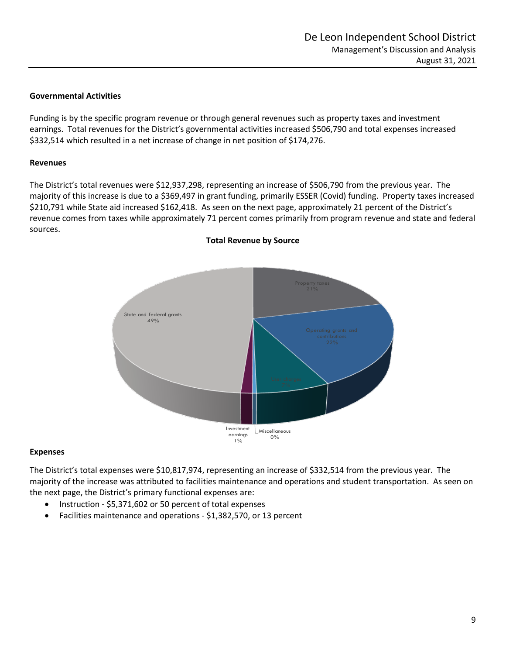#### **Governmental Activities**

Funding is by the specific program revenue or through general revenues such as property taxes and investment earnings. Total revenues for the District's governmental activities increased \$506,790 and total expenses increased \$332,514 which resulted in a net increase of change in net position of \$174,276.

#### **Revenues**

The District's total revenues were \$12,937,298, representing an increase of \$506,790 from the previous year. The majority of this increase is due to a \$369,497 in grant funding, primarily ESSER (Covid) funding. Property taxes increased \$210,791 while State aid increased \$162,418. As seen on the next page, approximately 21 percent of the District's revenue comes from taxes while approximately 71 percent comes primarily from program revenue and state and federal sources.



#### **Total Revenue by Source**

#### **Expenses**

The District's total expenses were \$10,817,974, representing an increase of \$332,514 from the previous year. The majority of the increase was attributed to facilities maintenance and operations and student transportation. As seen on the next page, the District's primary functional expenses are:

- Instruction \$5,371,602 or 50 percent of total expenses
- Facilities maintenance and operations \$1,382,570, or 13 percent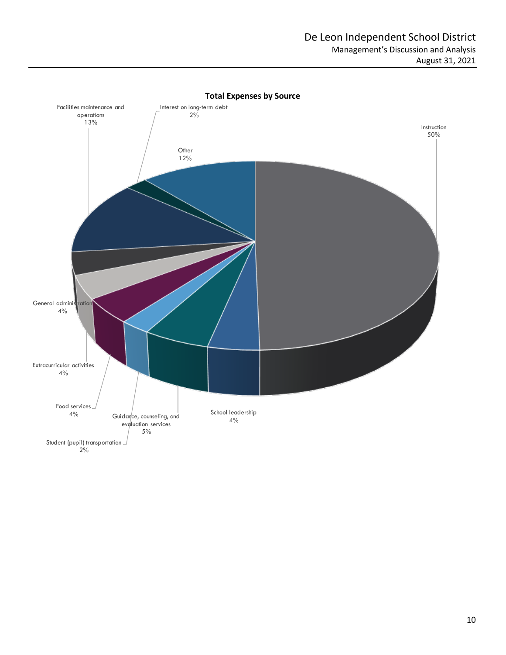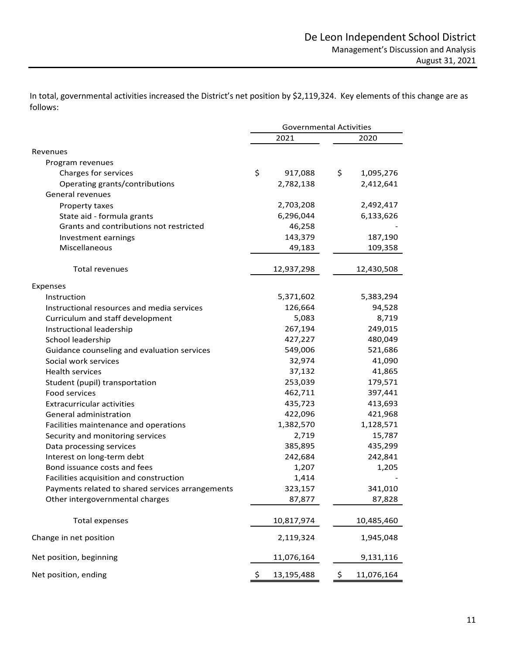In total, governmental activities increased the District's net position by \$2,119,324. Key elements of this change are as follows:

|                                                  | <b>Governmental Activities</b> |                  |  |  |
|--------------------------------------------------|--------------------------------|------------------|--|--|
|                                                  | 2021                           | 2020             |  |  |
| Revenues                                         |                                |                  |  |  |
| Program revenues                                 |                                |                  |  |  |
| Charges for services                             | \$<br>917,088                  | \$<br>1,095,276  |  |  |
| Operating grants/contributions                   | 2,782,138                      | 2,412,641        |  |  |
| General revenues                                 |                                |                  |  |  |
| Property taxes                                   | 2,703,208                      | 2,492,417        |  |  |
| State aid - formula grants                       | 6,296,044                      | 6,133,626        |  |  |
| Grants and contributions not restricted          | 46,258                         |                  |  |  |
| Investment earnings                              | 143,379                        | 187,190          |  |  |
| Miscellaneous                                    | 49,183                         | 109,358          |  |  |
|                                                  |                                |                  |  |  |
| <b>Total revenues</b>                            | 12,937,298                     | 12,430,508       |  |  |
| Expenses                                         |                                |                  |  |  |
| Instruction                                      | 5,371,602                      | 5,383,294        |  |  |
| Instructional resources and media services       | 126,664                        | 94,528           |  |  |
| Curriculum and staff development                 | 5,083                          | 8,719            |  |  |
| Instructional leadership                         | 267,194                        | 249,015          |  |  |
| School leadership                                | 427,227                        | 480,049          |  |  |
| Guidance counseling and evaluation services      | 549,006                        | 521,686          |  |  |
| Social work services                             | 32,974                         | 41,090           |  |  |
| <b>Health services</b>                           | 37,132                         | 41,865           |  |  |
| Student (pupil) transportation                   | 253,039                        | 179,571          |  |  |
| Food services                                    | 462,711                        | 397,441          |  |  |
| <b>Extracurricular activities</b>                | 435,723                        | 413,693          |  |  |
| General administration                           | 422,096                        | 421,968          |  |  |
| Facilities maintenance and operations            | 1,382,570                      | 1,128,571        |  |  |
| Security and monitoring services                 | 2,719                          | 15,787           |  |  |
| Data processing services                         | 385,895                        | 435,299          |  |  |
| Interest on long-term debt                       | 242,684                        | 242,841          |  |  |
| Bond issuance costs and fees                     | 1,207                          | 1,205            |  |  |
| Facilities acquisition and construction          | 1,414                          |                  |  |  |
| Payments related to shared services arrangements | 323,157                        | 341,010          |  |  |
| Other intergovernmental charges                  | 87,877                         | 87,828           |  |  |
| <b>Total expenses</b>                            | 10,817,974                     | 10,485,460       |  |  |
| Change in net position                           | 2,119,324                      | 1,945,048        |  |  |
| Net position, beginning                          | 11,076,164                     | 9,131,116        |  |  |
| Net position, ending                             | 13,195,488<br>Ş.               | 11,076,164<br>\$ |  |  |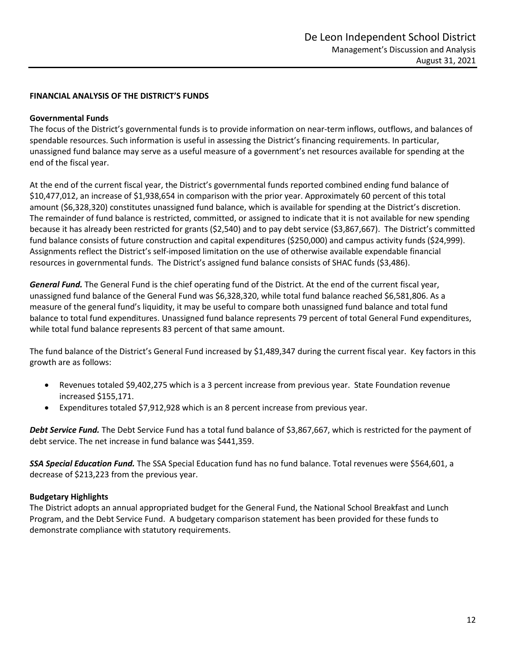### **FINANCIAL ANALYSIS OF THE DISTRICT'S FUNDS**

#### **Governmental Funds**

The focus of the District's governmental funds is to provide information on near-term inflows, outflows, and balances of spendable resources. Such information is useful in assessing the District's financing requirements. In particular, unassigned fund balance may serve as a useful measure of a government's net resources available for spending at the end of the fiscal year.

At the end of the current fiscal year, the District's governmental funds reported combined ending fund balance of \$10,477,012, an increase of \$1,938,654 in comparison with the prior year. Approximately 60 percent of this total amount (\$6,328,320) constitutes unassigned fund balance, which is available for spending at the District's discretion. The remainder of fund balance is restricted, committed, or assigned to indicate that it is not available for new spending because it has already been restricted for grants (\$2,540) and to pay debt service (\$3,867,667). The District's committed fund balance consists of future construction and capital expenditures (\$250,000) and campus activity funds (\$24,999). Assignments reflect the District's self-imposed limitation on the use of otherwise available expendable financial resources in governmental funds. The District's assigned fund balance consists of SHAC funds (\$3,486).

*General Fund.* The General Fund is the chief operating fund of the District. At the end of the current fiscal year, unassigned fund balance of the General Fund was \$6,328,320, while total fund balance reached \$6,581,806. As a measure of the general fund's liquidity, it may be useful to compare both unassigned fund balance and total fund balance to total fund expenditures. Unassigned fund balance represents 79 percent of total General Fund expenditures, while total fund balance represents 83 percent of that same amount.

The fund balance of the District's General Fund increased by \$1,489,347 during the current fiscal year. Key factors in this growth are as follows:

- Revenues totaled \$9,402,275 which is a 3 percent increase from previous year. State Foundation revenue increased \$155,171.
- Expenditures totaled \$7,912,928 which is an 8 percent increase from previous year.

*Debt Service Fund.* The Debt Service Fund has a total fund balance of \$3,867,667, which is restricted for the payment of debt service. The net increase in fund balance was \$441,359.

*SSA Special Education Fund.* The SSA Special Education fund has no fund balance. Total revenues were \$564,601, a decrease of \$213,223 from the previous year.

#### **Budgetary Highlights**

The District adopts an annual appropriated budget for the General Fund, the National School Breakfast and Lunch Program, and the Debt Service Fund. A budgetary comparison statement has been provided for these funds to demonstrate compliance with statutory requirements.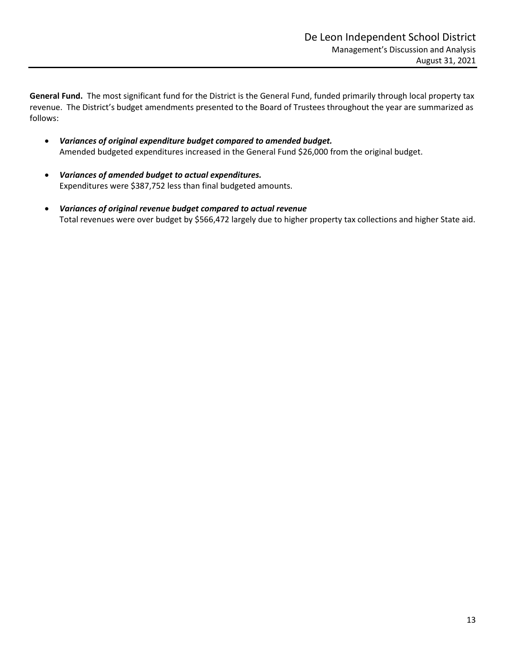**General Fund.** The most significant fund for the District is the General Fund, funded primarily through local property tax revenue. The District's budget amendments presented to the Board of Trustees throughout the year are summarized as follows:

- *Variances of original expenditure budget compared to amended budget.* Amended budgeted expenditures increased in the General Fund \$26,000 from the original budget.
- *Variances of amended budget to actual expenditures.* Expenditures were \$387,752 less than final budgeted amounts.
- *Variances of original revenue budget compared to actual revenue* Total revenues were over budget by \$566,472 largely due to higher property tax collections and higher State aid.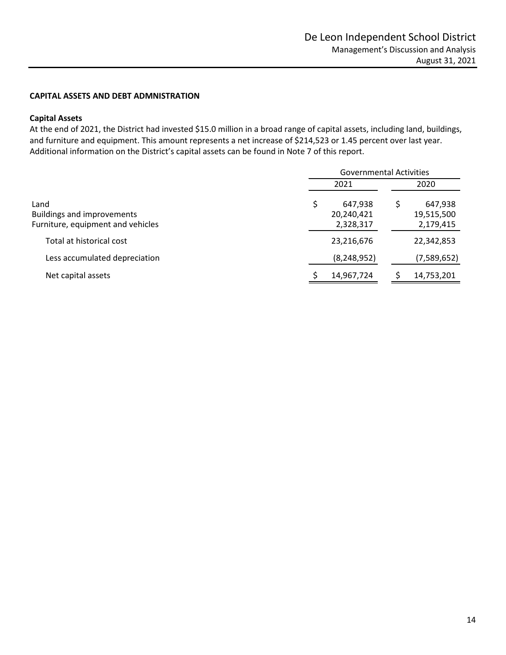### **CAPITAL ASSETS AND DEBT ADMNISTRATION**

# **Capital Assets**

At the end of 2021, the District had invested \$15.0 million in a broad range of capital assets, including land, buildings, and furniture and equipment. This amount represents a net increase of \$214,523 or 1.45 percent over last year. Additional information on the District's capital assets can be found in Note 7 of this report.

|                                                                                | <b>Governmental Activities</b> |                                    |  |                                    |
|--------------------------------------------------------------------------------|--------------------------------|------------------------------------|--|------------------------------------|
|                                                                                |                                | 2021                               |  |                                    |
| Land<br><b>Buildings and improvements</b><br>Furniture, equipment and vehicles |                                | 647,938<br>20,240,421<br>2,328,317 |  | 647,938<br>19,515,500<br>2,179,415 |
| Total at historical cost                                                       |                                | 23,216,676                         |  | 22,342,853                         |
| Less accumulated depreciation                                                  |                                | (8, 248, 952)                      |  | (7,589,652)                        |
| Net capital assets                                                             |                                | 14,967,724                         |  | 14,753,201                         |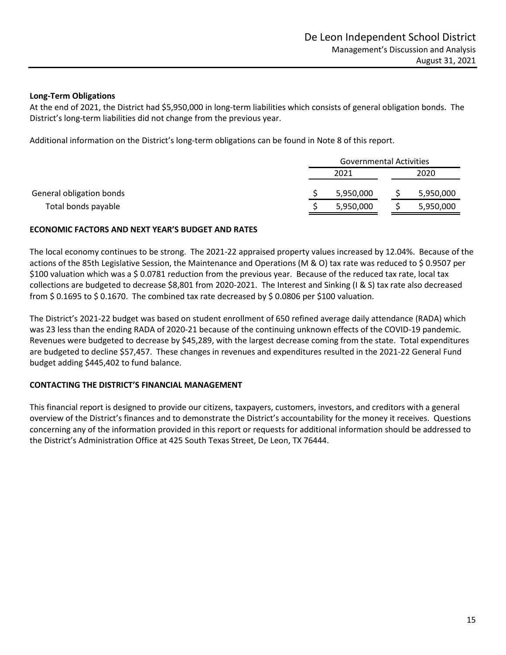#### **Long-Term Obligations**

At the end of 2021, the District had \$5,950,000 in long-term liabilities which consists of general obligation bonds. The District's long-term liabilities did not change from the previous year.

Additional information on the District's long-term obligations can be found in Note 8 of this report.

|                          | <b>Governmental Activities</b> |      |           |  |
|--------------------------|--------------------------------|------|-----------|--|
|                          | 2021                           | 2020 |           |  |
| General obligation bonds | 5,950,000                      |      | 5,950,000 |  |
| Total bonds payable      | 5,950,000                      |      | 5,950,000 |  |

# **ECONOMIC FACTORS AND NEXT YEAR'S BUDGET AND RATES**

The local economy continues to be strong. The 2021-22 appraised property values increased by 12.04%. Because of the actions of the 85th Legislative Session, the Maintenance and Operations (M & O) tax rate was reduced to \$ 0.9507 per \$100 valuation which was a \$ 0.0781 reduction from the previous year. Because of the reduced tax rate, local tax collections are budgeted to decrease \$8,801 from 2020-2021. The Interest and Sinking (I & S) tax rate also decreased from \$ 0.1695 to \$ 0.1670. The combined tax rate decreased by \$ 0.0806 per \$100 valuation.

The District's 2021-22 budget was based on student enrollment of 650 refined average daily attendance (RADA) which was 23 less than the ending RADA of 2020-21 because of the continuing unknown effects of the COVID-19 pandemic. Revenues were budgeted to decrease by \$45,289, with the largest decrease coming from the state. Total expenditures are budgeted to decline \$57,457. These changes in revenues and expenditures resulted in the 2021-22 General Fund budget adding \$445,402 to fund balance.

#### **CONTACTING THE DISTRICT'S FINANCIAL MANAGEMENT**

This financial report is designed to provide our citizens, taxpayers, customers, investors, and creditors with a general overview of the District's finances and to demonstrate the District's accountability for the money it receives. Questions concerning any of the information provided in this report or requests for additional information should be addressed to the District's Administration Office at 425 South Texas Street, De Leon, TX 76444.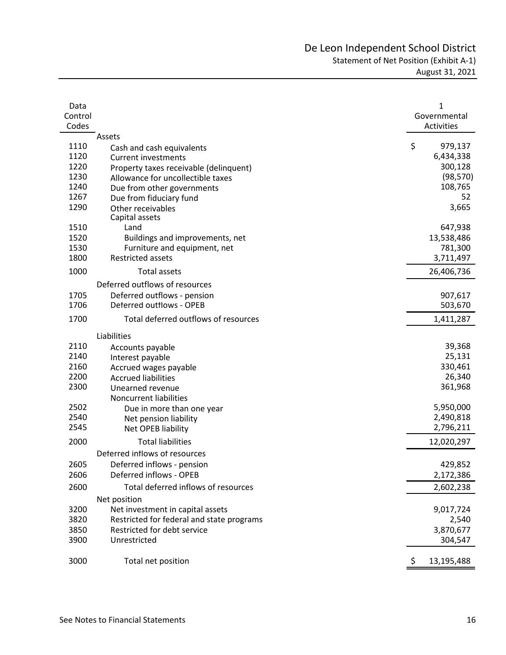<span id="page-18-1"></span><span id="page-18-0"></span>

| Data<br>Control<br>Codes |                                           | 1<br>Governmental<br>Activities |
|--------------------------|-------------------------------------------|---------------------------------|
|                          | Assets                                    |                                 |
| 1110                     | Cash and cash equivalents                 | \$<br>979,137                   |
| 1120                     | <b>Current investments</b>                | 6,434,338                       |
| 1220                     | Property taxes receivable (delinquent)    | 300,128                         |
| 1230                     | Allowance for uncollectible taxes         | (98, 570)                       |
| 1240                     | Due from other governments                | 108,765                         |
| 1267                     | Due from fiduciary fund                   | 52                              |
| 1290                     | Other receivables<br>Capital assets       | 3,665                           |
| 1510                     | Land                                      | 647,938                         |
| 1520                     | Buildings and improvements, net           | 13,538,486                      |
| 1530                     | Furniture and equipment, net              | 781,300                         |
| 1800                     | <b>Restricted assets</b>                  | 3,711,497                       |
| 1000                     | <b>Total assets</b>                       | 26,406,736                      |
|                          | Deferred outflows of resources            |                                 |
| 1705                     | Deferred outflows - pension               | 907,617                         |
| 1706                     | Deferred outflows - OPEB                  | 503,670                         |
| 1700                     | Total deferred outflows of resources      | 1,411,287                       |
|                          | Liabilities                               |                                 |
| 2110                     | Accounts payable                          | 39,368                          |
| 2140                     | Interest payable                          | 25,131                          |
| 2160                     | Accrued wages payable                     | 330,461                         |
| 2200                     | <b>Accrued liabilities</b>                | 26,340                          |
| 2300                     | Unearned revenue                          | 361,968                         |
|                          | <b>Noncurrent liabilities</b>             |                                 |
| 2502                     | Due in more than one year                 | 5,950,000                       |
| 2540                     | Net pension liability                     | 2,490,818                       |
| 2545                     | Net OPEB liability                        | 2,796,211                       |
| 2000                     | <b>Total liabilities</b>                  | 12,020,297                      |
|                          | Deferred inflows of resources             |                                 |
| 2605                     | Deferred inflows - pension                | 429,852                         |
| 2606                     | Deferred inflows - OPEB                   | 2,172,386                       |
| 2600                     | Total deferred inflows of resources       | 2,602,238                       |
|                          | Net position                              |                                 |
| 3200                     | Net investment in capital assets          | 9,017,724                       |
| 3820                     | Restricted for federal and state programs | 2,540                           |
| 3850                     | Restricted for debt service               | 3,870,677                       |
| 3900                     | Unrestricted                              | 304,547                         |
| 3000                     | Total net position                        | 13,195,488<br>\$.               |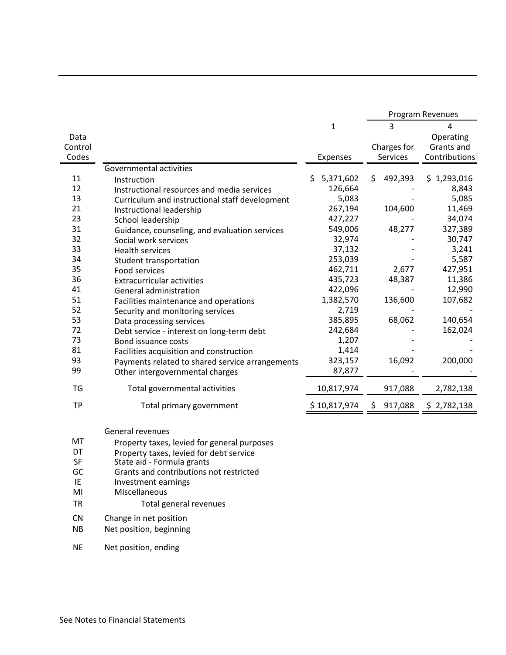|           |                                                 |                 |               | Program Revenues |
|-----------|-------------------------------------------------|-----------------|---------------|------------------|
|           |                                                 | 1               | 3             | 4                |
| Data      |                                                 |                 |               | Operating        |
| Control   |                                                 |                 | Charges for   | Grants and       |
| Codes     |                                                 | Expenses        | Services      | Contributions    |
|           | Governmental activities                         |                 |               |                  |
| 11        | Instruction                                     | 5,371,602<br>\$ | \$<br>492,393 | \$1,293,016      |
| 12        | Instructional resources and media services      | 126,664         |               | 8,843            |
| 13        | Curriculum and instructional staff development  | 5,083           |               | 5,085            |
| 21        | Instructional leadership                        | 267,194         | 104,600       | 11,469           |
| 23        | School leadership                               | 427,227         |               | 34,074           |
| 31        | Guidance, counseling, and evaluation services   | 549,006         | 48,277        | 327,389          |
| 32        | Social work services                            | 32,974          |               | 30,747           |
| 33        | <b>Health services</b>                          | 37,132          |               | 3,241            |
| 34        | Student transportation                          | 253,039         |               | 5,587            |
| 35        | Food services                                   | 462,711         | 2,677         | 427,951          |
| 36        | <b>Extracurricular activities</b>               | 435,723         | 48,387        | 11,386           |
| 41        | General administration                          | 422,096         |               | 12,990           |
| 51        | Facilities maintenance and operations           | 1,382,570       | 136,600       | 107,682          |
| 52        | Security and monitoring services                | 2,719           |               |                  |
| 53        | Data processing services                        | 385,895         | 68,062        | 140,654          |
| 72        | Debt service - interest on long-term debt       | 242,684         |               | 162,024          |
| 73        | <b>Bond issuance costs</b>                      | 1,207           |               |                  |
| 81        | Facilities acquisition and construction         | 1,414           |               |                  |
| 93        | Payments related to shared service arrangements | 323,157         | 16,092        | 200,000          |
| 99        | Other intergovernmental charges                 | 87,877          |               |                  |
|           |                                                 |                 |               |                  |
| <b>TG</b> | Total governmental activities                   | 10,817,974      | 917,088       | 2,782,138        |
| <b>TP</b> | Total primary government                        | \$10,817,974    | 917,088<br>\$ | \$2,782,138      |
|           |                                                 |                 |               |                  |
|           | General revenues                                |                 |               |                  |
| MT        | Property taxes, levied for general purposes     |                 |               |                  |
| DT        | Property taxes, levied for debt service         |                 |               |                  |
| SF        | State aid - Formula grants                      |                 |               |                  |
| GC        | Grants and contributions not restricted         |                 |               |                  |

- IE Investment earnings<br>
MI Miscellaneous **Miscellaneous**
- TR Total general revenues
- CN Change in net position
- NB Net position, beginning
- NE Net position, ending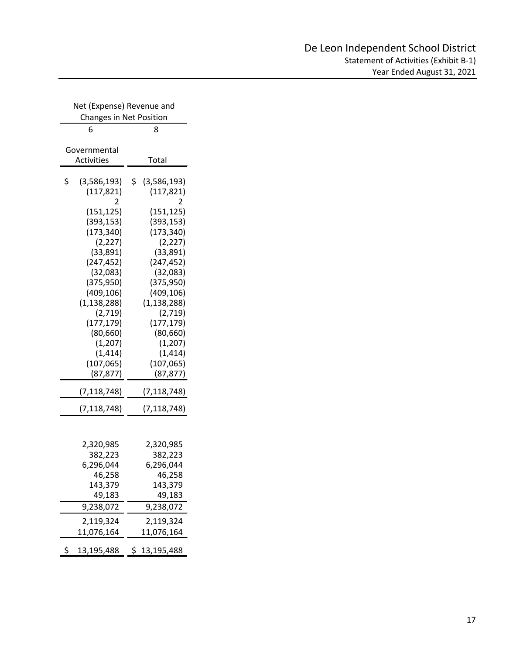<span id="page-20-0"></span>

| Net (Expense) Revenue and      |                                                                                                                                                                                                                                                      |               |                                                                                                                                                                                                                                                                   |  |  |
|--------------------------------|------------------------------------------------------------------------------------------------------------------------------------------------------------------------------------------------------------------------------------------------------|---------------|-------------------------------------------------------------------------------------------------------------------------------------------------------------------------------------------------------------------------------------------------------------------|--|--|
| <b>Changes in Net Position</b> |                                                                                                                                                                                                                                                      |               |                                                                                                                                                                                                                                                                   |  |  |
|                                | 6                                                                                                                                                                                                                                                    |               | 8                                                                                                                                                                                                                                                                 |  |  |
|                                | Governmental                                                                                                                                                                                                                                         |               |                                                                                                                                                                                                                                                                   |  |  |
|                                | Activities                                                                                                                                                                                                                                           |               | Total                                                                                                                                                                                                                                                             |  |  |
| \$                             | (3,586,193)<br>(117, 821)<br>2<br>(151, 125)<br>(393, 153)<br>(173, 340)<br>(2, 227)<br>(33, 891)<br>(247, 452)<br>(32,083)<br>(375, 950)<br>(409, 106)<br>(1, 138, 288)<br>(2,719)<br>(177, 179)<br>(80, 660)<br>(1, 207)<br>(1, 414)<br>(107, 065) |               | (3,586,193)<br>(117, 821)<br>2<br>(151, 125)<br>(393, 153)<br>(173, 340)<br>(2, 227)<br>(33, 891)<br>(247, 452)<br>(32,083)<br>(375, 950)<br>(409, 106)<br>(1, 138, 288)<br>(2,719)<br>(177, 179)<br>(80, 660)<br>(1, 207)<br>(1, 414)<br>(107, 065)<br>(87, 877) |  |  |
|                                | (7, 118, 748)                                                                                                                                                                                                                                        |               | (7, 118, 748)                                                                                                                                                                                                                                                     |  |  |
|                                | (7, 118, 748)                                                                                                                                                                                                                                        | (7, 118, 748) |                                                                                                                                                                                                                                                                   |  |  |
|                                | 2,320,985                                                                                                                                                                                                                                            |               | 2,320,985                                                                                                                                                                                                                                                         |  |  |
|                                | 382,223                                                                                                                                                                                                                                              |               | 382,223                                                                                                                                                                                                                                                           |  |  |
|                                | 6,296,044                                                                                                                                                                                                                                            |               | 6,296,044                                                                                                                                                                                                                                                         |  |  |
|                                | 46,258                                                                                                                                                                                                                                               |               | 46,258                                                                                                                                                                                                                                                            |  |  |
|                                | 143,379<br>49,183                                                                                                                                                                                                                                    |               | 143,379<br>49,183                                                                                                                                                                                                                                                 |  |  |
|                                | 9,238,072                                                                                                                                                                                                                                            |               | 9,238,072                                                                                                                                                                                                                                                         |  |  |
|                                |                                                                                                                                                                                                                                                      |               |                                                                                                                                                                                                                                                                   |  |  |
|                                | 2,119,324<br>11,076,164                                                                                                                                                                                                                              |               | 2,119,324<br>11,076,164                                                                                                                                                                                                                                           |  |  |
| \$.                            | 13,195,488                                                                                                                                                                                                                                           |               | \$13,195,488                                                                                                                                                                                                                                                      |  |  |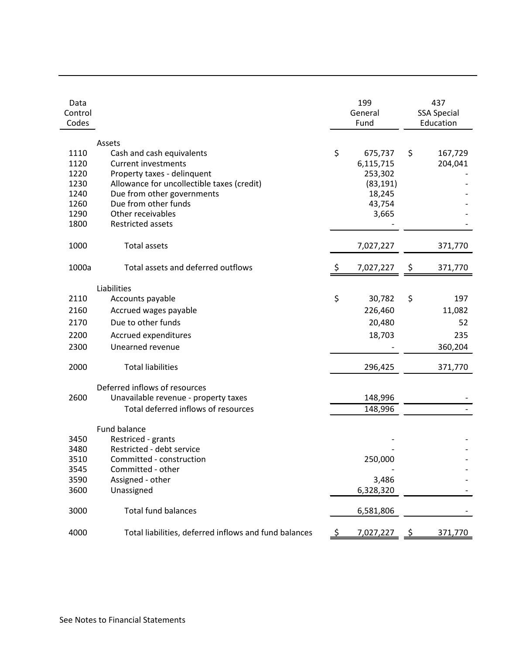| Data<br>Control<br>Codes |                                                       | 199<br>General<br>Fund |     | 437<br><b>SSA Special</b><br>Education |
|--------------------------|-------------------------------------------------------|------------------------|-----|----------------------------------------|
|                          |                                                       |                        |     |                                        |
| 1110                     | Assets<br>Cash and cash equivalents                   | \$<br>675,737          | \$  | 167,729                                |
| 1120                     | <b>Current investments</b>                            | 6,115,715              |     | 204,041                                |
| 1220                     | Property taxes - delinquent                           | 253,302                |     |                                        |
| 1230                     | Allowance for uncollectible taxes (credit)            | (83, 191)              |     |                                        |
| 1240                     | Due from other governments                            | 18,245                 |     |                                        |
| 1260                     | Due from other funds                                  | 43,754                 |     |                                        |
| 1290                     | Other receivables                                     | 3,665                  |     |                                        |
| 1800                     | Restricted assets                                     |                        |     |                                        |
| 1000                     | <b>Total assets</b>                                   | 7,027,227              |     | 371,770                                |
| 1000a                    | Total assets and deferred outflows                    | \$<br>7,027,227        | \$  | 371,770                                |
|                          |                                                       |                        |     |                                        |
|                          | Liabilities                                           |                        |     |                                        |
| 2110                     | Accounts payable                                      | \$<br>30,782           | \$  | 197                                    |
| 2160                     | Accrued wages payable                                 | 226,460                |     | 11,082                                 |
| 2170                     | Due to other funds                                    | 20,480                 |     | 52                                     |
| 2200                     | Accrued expenditures                                  | 18,703                 |     | 235                                    |
| 2300                     | Unearned revenue                                      |                        |     | 360,204                                |
| 2000                     | <b>Total liabilities</b>                              | 296,425                |     | 371,770                                |
|                          | Deferred inflows of resources                         |                        |     |                                        |
| 2600                     | Unavailable revenue - property taxes                  | 148,996                |     |                                        |
|                          | Total deferred inflows of resources                   | 148,996                |     |                                        |
|                          | Fund balance                                          |                        |     |                                        |
| 3450                     | Restriced - grants                                    |                        |     |                                        |
| 3480                     | Restricted - debt service                             |                        |     |                                        |
| 3510                     | Committed - construction                              | 250,000                |     |                                        |
| 3545                     | Committed - other                                     |                        |     |                                        |
| 3590                     | Assigned - other                                      | 3,486                  |     |                                        |
| 3600                     | Unassigned                                            | 6,328,320              |     |                                        |
| 3000                     | <b>Total fund balances</b>                            | 6,581,806              |     |                                        |
| 4000                     | Total liabilities, deferred inflows and fund balances | \$<br>7,027,227        | \$. | 371,770                                |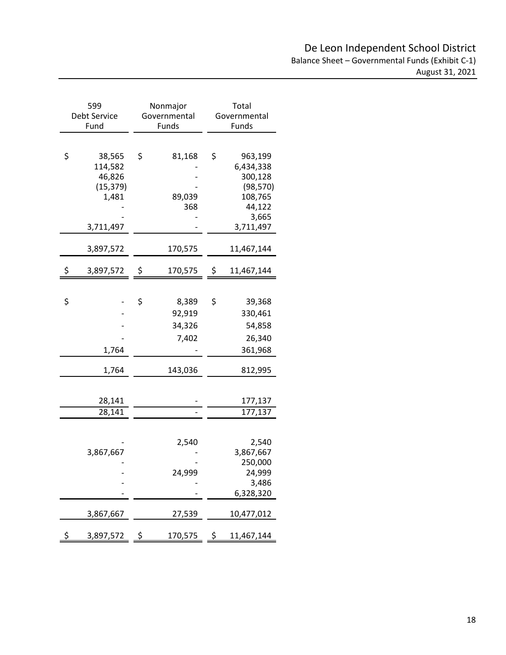# De Leon Independent School District Balance Sheet – Governmental Funds (Exhibit C-1) August 31, 2021

<span id="page-22-1"></span><span id="page-22-0"></span>

|    | 599<br>Debt Service<br>Fund                                    |    | Nonmajor<br>Governmental<br>Funds |         | Total<br>Governmental<br>Funds                                                          |
|----|----------------------------------------------------------------|----|-----------------------------------|---------|-----------------------------------------------------------------------------------------|
|    |                                                                |    |                                   |         |                                                                                         |
| \$ | 38,565<br>114,582<br>46,826<br>(15, 379)<br>1,481<br>3,711,497 | \$ | 81,168<br>89,039<br>368           | \$      | 963,199<br>6,434,338<br>300,128<br>(98, 570)<br>108,765<br>44,122<br>3,665<br>3,711,497 |
|    |                                                                |    |                                   |         |                                                                                         |
|    | 3,897,572                                                      |    | 170,575                           |         | 11,467,144                                                                              |
| \$ | 3,897,572                                                      | \$ | 170,575                           | \$      | 11,467,144                                                                              |
|    |                                                                |    |                                   |         |                                                                                         |
| \$ |                                                                | \$ | 8,389<br>92,919                   | \$      | 39,368<br>330,461                                                                       |
|    |                                                                |    | 34,326                            |         | 54,858                                                                                  |
|    |                                                                |    | 7,402                             |         | 26,340                                                                                  |
|    | 1,764                                                          |    |                                   |         | 361,968                                                                                 |
|    | 1,764                                                          |    | 143,036                           | 812,995 |                                                                                         |
|    |                                                                |    |                                   |         |                                                                                         |
|    | 28,141                                                         |    |                                   |         | 177,137                                                                                 |
|    | 28,141                                                         |    |                                   |         | 177,137                                                                                 |
|    |                                                                |    |                                   |         |                                                                                         |
|    | 3,867,667                                                      |    | 2,540<br>24,999                   |         | 2,540<br>3,867,667<br>250,000<br>24,999                                                 |
|    |                                                                |    |                                   |         | 3,486                                                                                   |
|    |                                                                |    |                                   |         | 6,328,320                                                                               |
|    | 3,867,667                                                      |    | 27,539                            |         | 10,477,012                                                                              |
| Ś  | 3,897,572                                                      | \$ | 170,575                           | \$      | 11,467,144                                                                              |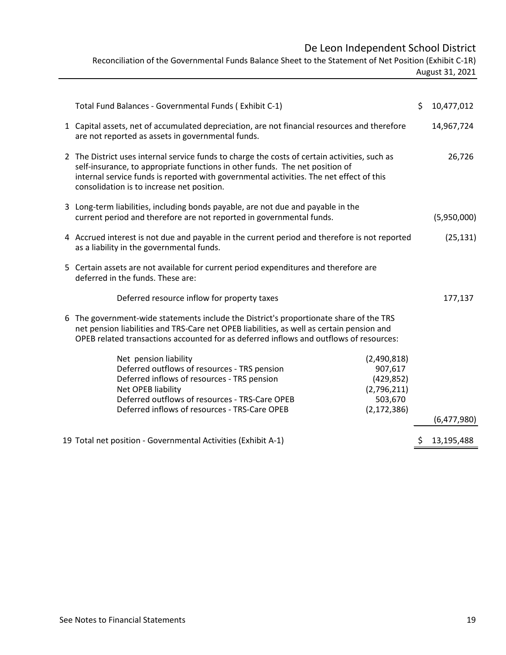<span id="page-23-0"></span>Reconciliation of the Governmental Funds Balance Sheet to the Statement of Net Position (Exhibit C-1R) August 31, 2021

|                                                                                                                                            | Total Fund Balances - Governmental Funds (Exhibit C-1)                                                                                                                                                                                                                                                                           |  | \$ | 10,477,012    |
|--------------------------------------------------------------------------------------------------------------------------------------------|----------------------------------------------------------------------------------------------------------------------------------------------------------------------------------------------------------------------------------------------------------------------------------------------------------------------------------|--|----|---------------|
|                                                                                                                                            | 1 Capital assets, net of accumulated depreciation, are not financial resources and therefore<br>are not reported as assets in governmental funds.                                                                                                                                                                                |  |    | 14,967,724    |
|                                                                                                                                            | 2 The District uses internal service funds to charge the costs of certain activities, such as<br>self-insurance, to appropriate functions in other funds. The net position of<br>internal service funds is reported with governmental activities. The net effect of this<br>consolidation is to increase net position.           |  |    | 26,726        |
|                                                                                                                                            | 3 Long-term liabilities, including bonds payable, are not due and payable in the<br>current period and therefore are not reported in governmental funds.                                                                                                                                                                         |  |    | (5,950,000)   |
| 4 Accrued interest is not due and payable in the current period and therefore is not reported<br>as a liability in the governmental funds. |                                                                                                                                                                                                                                                                                                                                  |  |    | (25, 131)     |
|                                                                                                                                            | 5 Certain assets are not available for current period expenditures and therefore are<br>deferred in the funds. These are:                                                                                                                                                                                                        |  |    |               |
|                                                                                                                                            | Deferred resource inflow for property taxes                                                                                                                                                                                                                                                                                      |  |    | 177,137       |
|                                                                                                                                            | 6 The government-wide statements include the District's proportionate share of the TRS<br>net pension liabilities and TRS-Care net OPEB liabilities, as well as certain pension and<br>OPEB related transactions accounted for as deferred inflows and outflows of resources:                                                    |  |    |               |
|                                                                                                                                            | Net pension liability<br>(2,490,818)<br>Deferred outflows of resources - TRS pension<br>907,617<br>Deferred inflows of resources - TRS pension<br>(429, 852)<br>Net OPEB liability<br>(2,796,211)<br>Deferred outflows of resources - TRS-Care OPEB<br>503,670<br>Deferred inflows of resources - TRS-Care OPEB<br>(2, 172, 386) |  |    | (6, 477, 980) |
|                                                                                                                                            | 19 Total net position - Governmental Activities (Exhibit A-1)                                                                                                                                                                                                                                                                    |  | \$ | 13,195,488    |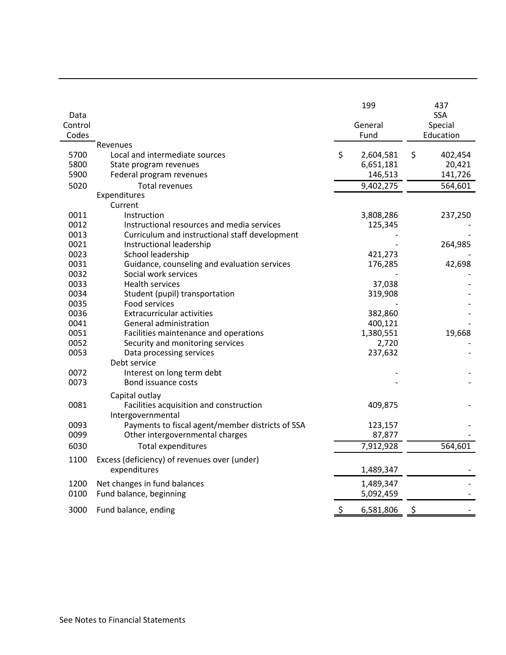| Data             |                                                              |           | 199             | 437<br><b>SSA</b>    |
|------------------|--------------------------------------------------------------|-----------|-----------------|----------------------|
| Control<br>Codes |                                                              |           | General<br>Fund | Special<br>Education |
|                  | Revenues                                                     |           |                 |                      |
| 5700             | Local and intermediate sources                               | \$        | 2,604,581       | \$<br>402,454        |
| 5800             | State program revenues                                       |           | 6,651,181       | 20,421               |
| 5900             | Federal program revenues                                     |           | 146,513         | 141,726              |
| 5020             | <b>Total revenues</b>                                        |           | 9,402,275       | 564,601              |
|                  | Expenditures                                                 |           |                 |                      |
|                  | Current                                                      |           |                 |                      |
| 0011             | Instruction                                                  |           | 3,808,286       | 237,250              |
| 0012             | Instructional resources and media services                   |           | 125,345         |                      |
| 0013             | Curriculum and instructional staff development               |           |                 |                      |
| 0021             | Instructional leadership                                     |           |                 | 264,985              |
| 0023             | School leadership                                            |           | 421,273         |                      |
| 0031             | Guidance, counseling and evaluation services                 |           | 176,285         | 42,698               |
| 0032             | Social work services                                         |           |                 |                      |
| 0033             | Health services                                              |           | 37,038          |                      |
| 0034             | Student (pupil) transportation                               |           | 319,908         |                      |
| 0035             | Food services                                                |           |                 |                      |
| 0036             | <b>Extracurricular activities</b>                            |           | 382,860         |                      |
| 0041             | General administration                                       |           | 400,121         |                      |
| 0051             | Facilities maintenance and operations                        |           | 1,380,551       | 19,668               |
| 0052             | Security and monitoring services                             |           | 2,720           |                      |
| 0053             | Data processing services                                     |           | 237,632         |                      |
|                  | Debt service                                                 |           |                 |                      |
| 0072             | Interest on long term debt                                   |           |                 |                      |
| 0073             | Bond issuance costs                                          |           |                 |                      |
|                  | Capital outlay                                               |           |                 |                      |
| 0081             | Facilities acquisition and construction                      |           | 409,875         |                      |
|                  | Intergovernmental                                            |           |                 |                      |
| 0093             | Payments to fiscal agent/member districts of SSA             |           | 123,157         |                      |
| 0099             | Other intergovernmental charges                              |           | 87,877          |                      |
| 6030             | <b>Total expenditures</b>                                    |           | 7,912,928       | 564,601              |
|                  |                                                              |           |                 |                      |
| 1100             | Excess (deficiency) of revenues over (under)<br>expenditures |           | 1,489,347       |                      |
| 1200             | Net changes in fund balances                                 |           | 1,489,347       |                      |
| 0100             | Fund balance, beginning                                      |           | 5,092,459       |                      |
| 3000             | Fund balance, ending                                         | <u>\$</u> | 6,581,806       | \$                   |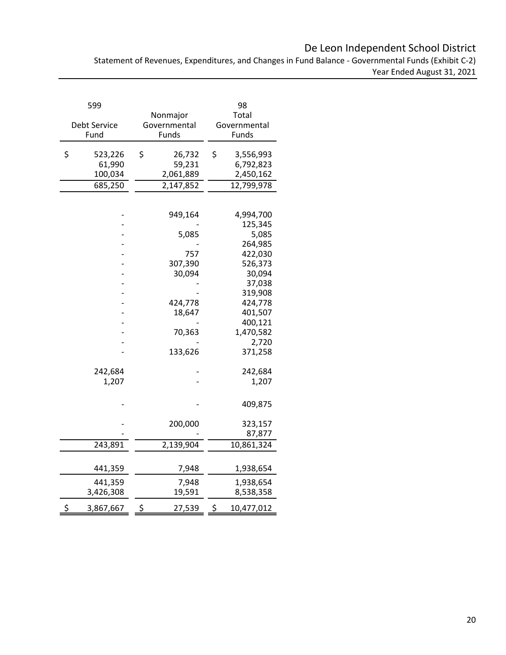<span id="page-25-0"></span>Statement of Revenues, Expenditures, and Changes in Fund Balance - Governmental Funds (Exhibit C-2) Year Ended August 31, 2021

| 599<br>Debt Service<br>Fund        | Nonmajor<br>Governmental<br>Funds   | 98<br>Total<br>Governmental<br>Funds      |
|------------------------------------|-------------------------------------|-------------------------------------------|
| \$<br>523,226<br>61,990<br>100,034 | \$<br>26,732<br>59,231<br>2,061,889 | \$<br>3,556,993<br>6,792,823<br>2,450,162 |
| 685,250                            | 2,147,852                           | 12,799,978                                |
|                                    | 949,164                             | 4,994,700<br>125,345                      |
|                                    | 5,085                               | 5,085                                     |
|                                    |                                     | 264,985                                   |
|                                    | 757                                 | 422,030                                   |
|                                    | 307,390<br>30,094                   | 526,373<br>30,094                         |
|                                    |                                     | 37,038                                    |
|                                    |                                     | 319,908                                   |
|                                    | 424,778                             | 424,778                                   |
|                                    | 18,647                              | 401,507                                   |
|                                    |                                     | 400,121                                   |
|                                    | 70,363                              | 1,470,582                                 |
|                                    |                                     | 2,720                                     |
|                                    | 133,626                             | 371,258                                   |
| 242,684<br>1,207                   |                                     | 242,684<br>1,207                          |
|                                    |                                     | 409,875                                   |
|                                    | 200,000                             | 323,157                                   |
|                                    |                                     | 87,877                                    |
| 243,891                            | 2,139,904                           | 10,861,324                                |
|                                    |                                     |                                           |
| 441,359                            | 7,948                               | 1,938,654                                 |
| 441,359                            | 7,948                               | 1,938,654                                 |
| 3,426,308                          | 19,591                              | 8,538,358                                 |
| \$<br>3,867,667                    | \$<br>27,539                        | \$<br>10,477,012                          |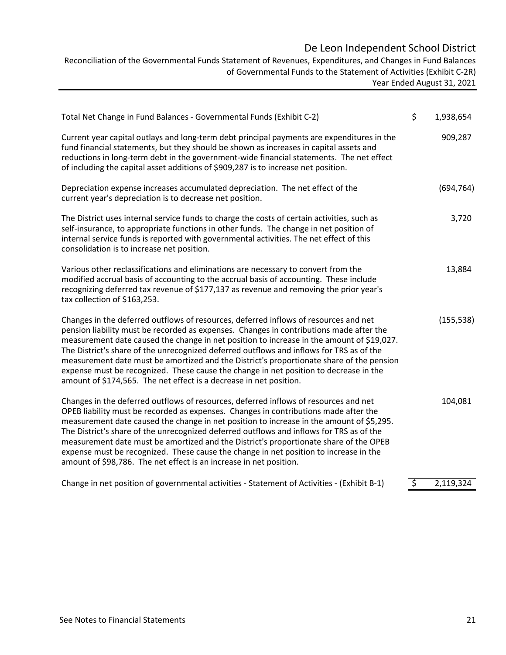<span id="page-26-0"></span>Reconciliation of the Governmental Funds Statement of Revenues, Expenditures, and Changes in Fund Balances of Governmental Funds to the Statement of Activities (Exhibit C-2R) Year Ended August 31, 2021

| Total Net Change in Fund Balances - Governmental Funds (Exhibit C-2)                                                                                                                                                                                                                                                                                                                                                                                                                                                                                                                                                                | \$ | 1,938,654  |
|-------------------------------------------------------------------------------------------------------------------------------------------------------------------------------------------------------------------------------------------------------------------------------------------------------------------------------------------------------------------------------------------------------------------------------------------------------------------------------------------------------------------------------------------------------------------------------------------------------------------------------------|----|------------|
| Current year capital outlays and long-term debt principal payments are expenditures in the<br>fund financial statements, but they should be shown as increases in capital assets and<br>reductions in long-term debt in the government-wide financial statements. The net effect<br>of including the capital asset additions of \$909,287 is to increase net position.                                                                                                                                                                                                                                                              |    | 909,287    |
| Depreciation expense increases accumulated depreciation. The net effect of the<br>current year's depreciation is to decrease net position.                                                                                                                                                                                                                                                                                                                                                                                                                                                                                          |    | (694, 764) |
| The District uses internal service funds to charge the costs of certain activities, such as<br>self-insurance, to appropriate functions in other funds. The change in net position of<br>internal service funds is reported with governmental activities. The net effect of this<br>consolidation is to increase net position.                                                                                                                                                                                                                                                                                                      |    | 3,720      |
| Various other reclassifications and eliminations are necessary to convert from the<br>modified accrual basis of accounting to the accrual basis of accounting. These include<br>recognizing deferred tax revenue of \$177,137 as revenue and removing the prior year's<br>tax collection of \$163,253.                                                                                                                                                                                                                                                                                                                              |    | 13,884     |
| Changes in the deferred outflows of resources, deferred inflows of resources and net<br>pension liability must be recorded as expenses. Changes in contributions made after the<br>measurement date caused the change in net position to increase in the amount of \$19,027.<br>The District's share of the unrecognized deferred outflows and inflows for TRS as of the<br>measurement date must be amortized and the District's proportionate share of the pension<br>expense must be recognized. These cause the change in net position to decrease in the<br>amount of \$174,565. The net effect is a decrease in net position. |    | (155, 538) |
| Changes in the deferred outflows of resources, deferred inflows of resources and net<br>OPEB liability must be recorded as expenses. Changes in contributions made after the<br>measurement date caused the change in net position to increase in the amount of \$5,295.<br>The District's share of the unrecognized deferred outflows and inflows for TRS as of the<br>measurement date must be amortized and the District's proportionate share of the OPEB<br>expense must be recognized. These cause the change in net position to increase in the<br>amount of \$98,786. The net effect is an increase in net position.        |    | 104,081    |
| Change in net position of governmental activities - Statement of Activities - (Exhibit B-1)                                                                                                                                                                                                                                                                                                                                                                                                                                                                                                                                         | ड़ | 2,119,324  |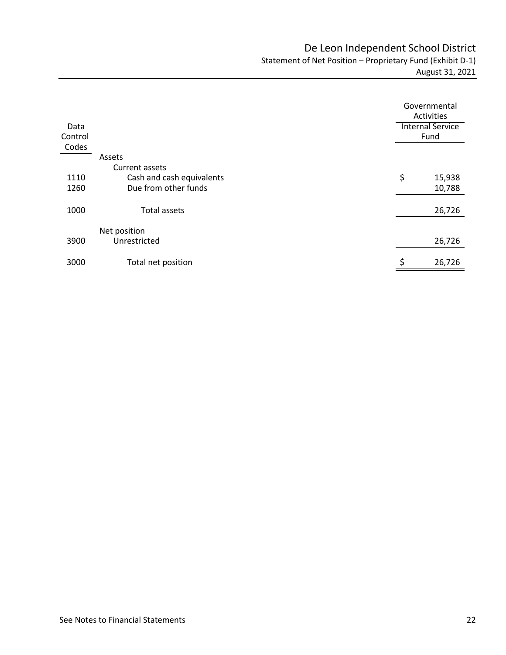<span id="page-27-0"></span>

| Data<br>Control<br>Codes |                           | Governmental<br>Activities<br><b>Internal Service</b><br>Fund |
|--------------------------|---------------------------|---------------------------------------------------------------|
|                          | Assets                    |                                                               |
|                          | Current assets            |                                                               |
| 1110                     | Cash and cash equivalents | \$<br>15,938                                                  |
| 1260                     | Due from other funds      | 10,788                                                        |
|                          |                           |                                                               |
| 1000                     | <b>Total assets</b>       | 26,726                                                        |
|                          |                           |                                                               |
|                          | Net position              |                                                               |
| 3900                     | Unrestricted              | 26,726                                                        |
|                          |                           |                                                               |
| 3000                     | Total net position        | \$<br>26,726                                                  |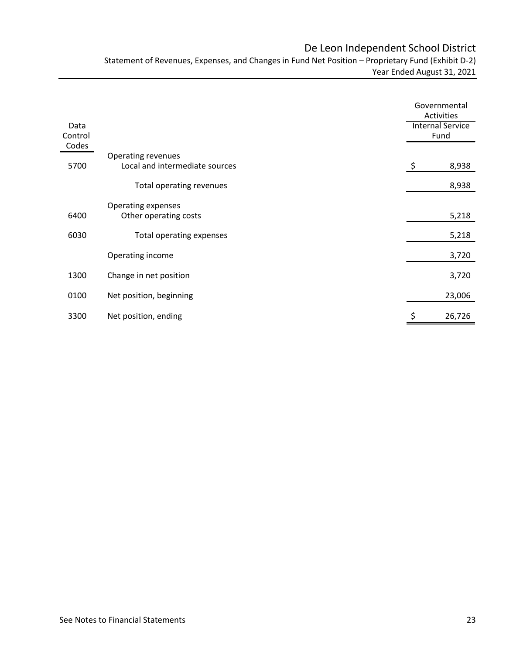Statement of Revenues, Expenses, and Changes in Fund Net Position – Proprietary Fund (Exhibit D-2) Year Ended August 31, 2021

<span id="page-28-0"></span>

| Data<br>Control |                                                      | Governmental<br>Activities<br><b>Internal Service</b><br>Fund |        |
|-----------------|------------------------------------------------------|---------------------------------------------------------------|--------|
| Codes           |                                                      |                                                               |        |
| 5700            | Operating revenues<br>Local and intermediate sources | \$                                                            | 8,938  |
|                 | Total operating revenues                             |                                                               | 8,938  |
|                 | Operating expenses                                   |                                                               |        |
| 6400            | Other operating costs                                |                                                               | 5,218  |
| 6030            | Total operating expenses                             |                                                               | 5,218  |
|                 | Operating income                                     |                                                               | 3,720  |
| 1300            | Change in net position                               |                                                               | 3,720  |
| 0100            | Net position, beginning                              |                                                               | 23,006 |
| 3300            | Net position, ending                                 |                                                               | 26,726 |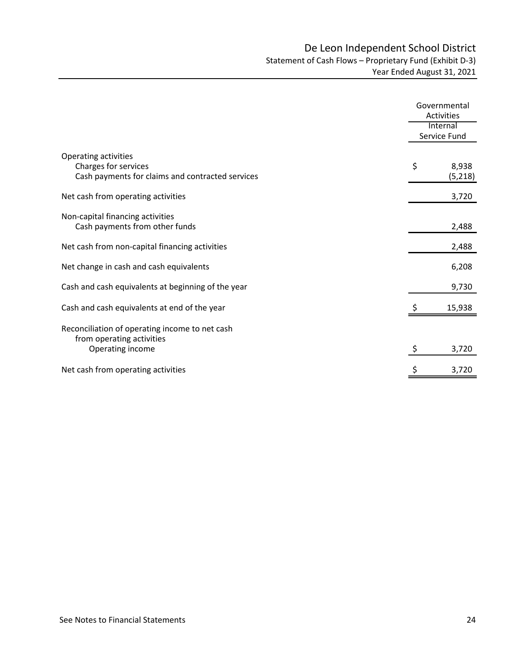<span id="page-29-0"></span>

|                                                                                                         | Governmental<br>Activities<br>Internal<br>Service Fund |                   |
|---------------------------------------------------------------------------------------------------------|--------------------------------------------------------|-------------------|
| <b>Operating activities</b><br>Charges for services<br>Cash payments for claims and contracted services | \$                                                     | 8,938<br>(5, 218) |
| Net cash from operating activities                                                                      |                                                        | 3,720             |
| Non-capital financing activities<br>Cash payments from other funds                                      |                                                        | 2,488             |
| Net cash from non-capital financing activities                                                          |                                                        | 2,488             |
| Net change in cash and cash equivalents                                                                 |                                                        | 6,208             |
| Cash and cash equivalents at beginning of the year                                                      |                                                        | 9,730             |
| Cash and cash equivalents at end of the year                                                            |                                                        | 15,938            |
| Reconciliation of operating income to net cash<br>from operating activities<br>Operating income         | \$                                                     | 3,720             |
| Net cash from operating activities                                                                      |                                                        | 3,720             |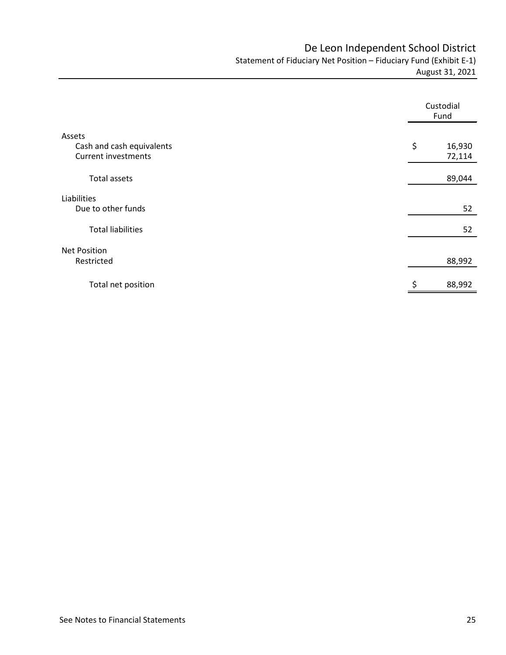Statement of Fiduciary Net Position – Fiduciary Fund (Exhibit E-1) August 31, 2021

<span id="page-30-0"></span>

|                                   | Custodial<br>Fund |  |
|-----------------------------------|-------------------|--|
| Assets                            |                   |  |
| Cash and cash equivalents         | \$<br>16,930      |  |
| <b>Current investments</b>        | 72,114            |  |
| <b>Total assets</b>               | 89,044            |  |
|                                   |                   |  |
| Liabilities<br>Due to other funds | 52                |  |
|                                   |                   |  |
| <b>Total liabilities</b>          | 52                |  |
| <b>Net Position</b>               |                   |  |
| Restricted                        | 88,992            |  |
|                                   |                   |  |
| Total net position                | 88,992            |  |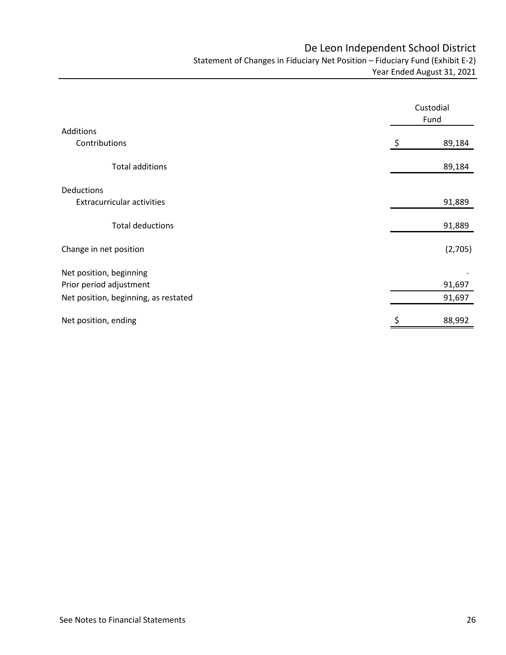# De Leon Independent School District Statement of Changes in Fiduciary Net Position – Fiduciary Fund (Exhibit E-2)

Year Ended August 31, 2021

<span id="page-31-0"></span>

|                                      | Custodial<br>Fund |         |
|--------------------------------------|-------------------|---------|
| Additions                            |                   |         |
| Contributions                        |                   | 89,184  |
| <b>Total additions</b>               |                   | 89,184  |
| Deductions                           |                   |         |
| <b>Extracurricular activities</b>    |                   | 91,889  |
| <b>Total deductions</b>              |                   | 91,889  |
| Change in net position               |                   | (2,705) |
| Net position, beginning              |                   |         |
| Prior period adjustment              |                   | 91,697  |
| Net position, beginning, as restated |                   | 91,697  |
| Net position, ending                 |                   | 88,992  |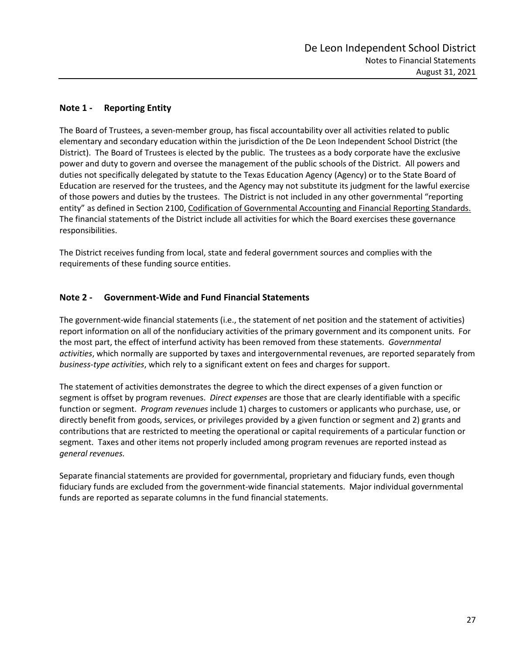# <span id="page-32-0"></span>**Note 1 - Reporting Entity**

The Board of Trustees, a seven-member group, has fiscal accountability over all activities related to public elementary and secondary education within the jurisdiction of the De Leon Independent School District (the District). The Board of Trustees is elected by the public. The trustees as a body corporate have the exclusive power and duty to govern and oversee the management of the public schools of the District. All powers and duties not specifically delegated by statute to the Texas Education Agency (Agency) or to the State Board of Education are reserved for the trustees, and the Agency may not substitute its judgment for the lawful exercise of those powers and duties by the trustees. The District is not included in any other governmental "reporting entity" as defined in Section 2100, Codification of Governmental Accounting and Financial Reporting Standards. The financial statements of the District include all activities for which the Board exercises these governance responsibilities.

The District receives funding from local, state and federal government sources and complies with the requirements of these funding source entities.

# **Note 2 - Government-Wide and Fund Financial Statements**

The government-wide financial statements (i.e., the statement of net position and the statement of activities) report information on all of the nonfiduciary activities of the primary government and its component units. For the most part, the effect of interfund activity has been removed from these statements. *Governmental activities*, which normally are supported by taxes and intergovernmental revenues, are reported separately from *business-type activities*, which rely to a significant extent on fees and charges for support.

The statement of activities demonstrates the degree to which the direct expenses of a given function or segment is offset by program revenues. *Direct expenses* are those that are clearly identifiable with a specific function or segment. *Program revenues* include 1) charges to customers or applicants who purchase, use, or directly benefit from goods, services, or privileges provided by a given function or segment and 2) grants and contributions that are restricted to meeting the operational or capital requirements of a particular function or segment. Taxes and other items not properly included among program revenues are reported instead as *general revenues.*

Separate financial statements are provided for governmental, proprietary and fiduciary funds, even though fiduciary funds are excluded from the government-wide financial statements. Major individual governmental funds are reported as separate columns in the fund financial statements.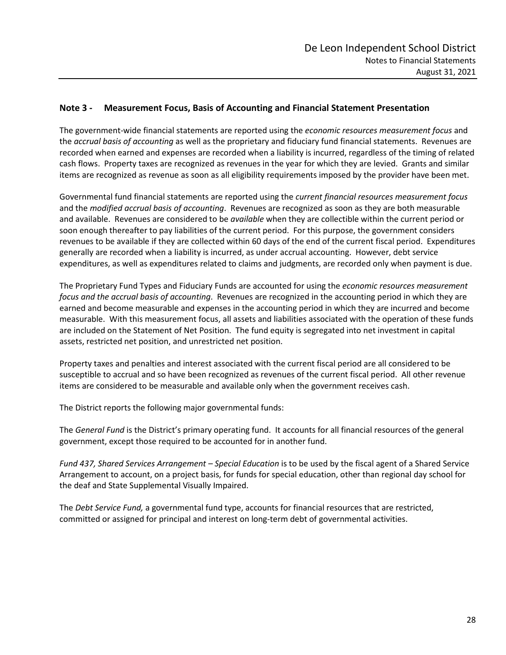# **Note 3 - Measurement Focus, Basis of Accounting and Financial Statement Presentation**

The government-wide financial statements are reported using the *economic resources measurement focus* and the *accrual basis of accounting* as well as the proprietary and fiduciary fund financial statements. Revenues are recorded when earned and expenses are recorded when a liability is incurred, regardless of the timing of related cash flows. Property taxes are recognized as revenues in the year for which they are levied. Grants and similar items are recognized as revenue as soon as all eligibility requirements imposed by the provider have been met.

Governmental fund financial statements are reported using the *current financial resources measurement focus*  and the *modified accrual basis of accounting*. Revenues are recognized as soon as they are both measurable and available. Revenues are considered to be *available* when they are collectible within the current period or soon enough thereafter to pay liabilities of the current period. For this purpose, the government considers revenues to be available if they are collected within 60 days of the end of the current fiscal period. Expenditures generally are recorded when a liability is incurred, as under accrual accounting. However, debt service expenditures, as well as expenditures related to claims and judgments, are recorded only when payment is due.

The Proprietary Fund Types and Fiduciary Funds are accounted for using the *economic resources measurement focus and the accrual basis of accounting*. Revenues are recognized in the accounting period in which they are earned and become measurable and expenses in the accounting period in which they are incurred and become measurable. With this measurement focus, all assets and liabilities associated with the operation of these funds are included on the Statement of Net Position. The fund equity is segregated into net investment in capital assets, restricted net position, and unrestricted net position.

Property taxes and penalties and interest associated with the current fiscal period are all considered to be susceptible to accrual and so have been recognized as revenues of the current fiscal period. All other revenue items are considered to be measurable and available only when the government receives cash.

The District reports the following major governmental funds:

The *General Fund* is the District's primary operating fund. It accounts for all financial resources of the general government, except those required to be accounted for in another fund.

*Fund 437, Shared Services Arrangement – Special Education* is to be used by the fiscal agent of a Shared Service Arrangement to account, on a project basis, for funds for special education, other than regional day school for the deaf and State Supplemental Visually Impaired.

The *Debt Service Fund,* a governmental fund type, accounts for financial resources that are restricted, committed or assigned for principal and interest on long-term debt of governmental activities.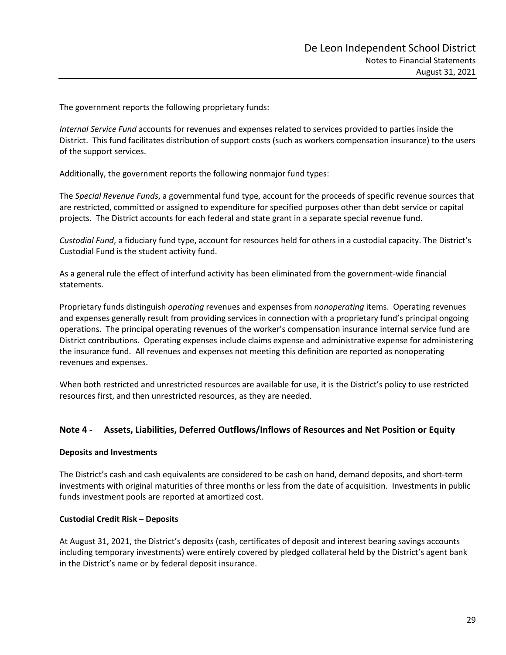The government reports the following proprietary funds:

*Internal Service Fund* accounts for revenues and expenses related to services provided to parties inside the District. This fund facilitates distribution of support costs (such as workers compensation insurance) to the users of the support services.

Additionally, the government reports the following nonmajor fund types:

The *Special Revenue Funds*, a governmental fund type, account for the proceeds of specific revenue sources that are restricted, committed or assigned to expenditure for specified purposes other than debt service or capital projects. The District accounts for each federal and state grant in a separate special revenue fund.

*Custodial Fund*, a fiduciary fund type, account for resources held for others in a custodial capacity. The District's Custodial Fund is the student activity fund.

As a general rule the effect of interfund activity has been eliminated from the government-wide financial statements.

Proprietary funds distinguish *operating* revenues and expenses from *nonoperating* items. Operating revenues and expenses generally result from providing services in connection with a proprietary fund's principal ongoing operations. The principal operating revenues of the worker's compensation insurance internal service fund are District contributions. Operating expenses include claims expense and administrative expense for administering the insurance fund. All revenues and expenses not meeting this definition are reported as nonoperating revenues and expenses.

When both restricted and unrestricted resources are available for use, it is the District's policy to use restricted resources first, and then unrestricted resources, as they are needed.

# **Note 4 - Assets, Liabilities, Deferred Outflows/Inflows of Resources and Net Position or Equity**

#### **Deposits and Investments**

The District's cash and cash equivalents are considered to be cash on hand, demand deposits, and short-term investments with original maturities of three months or less from the date of acquisition. Investments in public funds investment pools are reported at amortized cost.

#### **Custodial Credit Risk – Deposits**

At August 31, 2021, the District's deposits (cash, certificates of deposit and interest bearing savings accounts including temporary investments) were entirely covered by pledged collateral held by the District's agent bank in the District's name or by federal deposit insurance.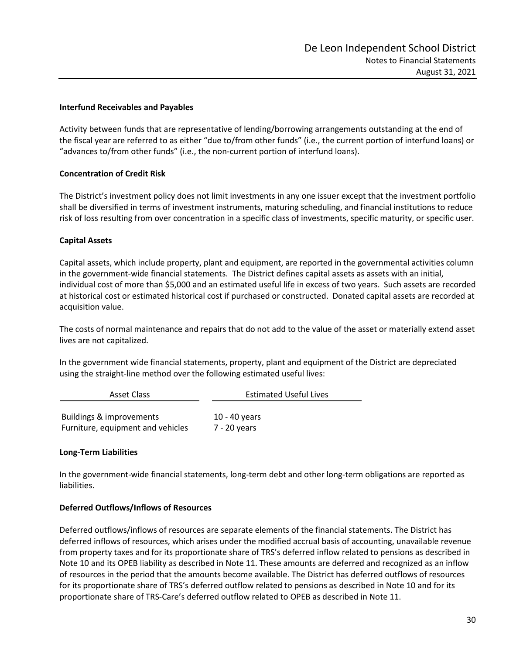### **Interfund Receivables and Payables**

Activity between funds that are representative of lending/borrowing arrangements outstanding at the end of the fiscal year are referred to as either "due to/from other funds" (i.e., the current portion of interfund loans) or "advances to/from other funds" (i.e., the non-current portion of interfund loans).

# **Concentration of Credit Risk**

The District's investment policy does not limit investments in any one issuer except that the investment portfolio shall be diversified in terms of investment instruments, maturing scheduling, and financial institutions to reduce risk of loss resulting from over concentration in a specific class of investments, specific maturity, or specific user.

#### **Capital Assets**

Capital assets, which include property, plant and equipment, are reported in the governmental activities column in the government-wide financial statements. The District defines capital assets as assets with an initial, individual cost of more than \$5,000 and an estimated useful life in excess of two years. Such assets are recorded at historical cost or estimated historical cost if purchased or constructed. Donated capital assets are recorded at acquisition value.

The costs of normal maintenance and repairs that do not add to the value of the asset or materially extend asset lives are not capitalized.

In the government wide financial statements, property, plant and equipment of the District are depreciated using the straight-line method over the following estimated useful lives:

| Asset Class                       | <b>Estimated Useful Lives</b> |  |  |
|-----------------------------------|-------------------------------|--|--|
| Buildings & improvements          | 10 - 40 years                 |  |  |
| Furniture, equipment and vehicles | 7 - 20 years                  |  |  |

#### **Long-Term Liabilities**

In the government-wide financial statements, long-term debt and other long-term obligations are reported as liabilities.

#### **Deferred Outflows/Inflows of Resources**

Deferred outflows/inflows of resources are separate elements of the financial statements. The District has deferred inflows of resources, which arises under the modified accrual basis of accounting, unavailable revenue from property taxes and for its proportionate share of TRS's deferred inflow related to pensions as described in Note 10 and its OPEB liability as described in Note 11. These amounts are deferred and recognized as an inflow of resources in the period that the amounts become available. The District has deferred outflows of resources for its proportionate share of TRS's deferred outflow related to pensions as described in Note 10 and for its proportionate share of TRS-Care's deferred outflow related to OPEB as described in Note 11.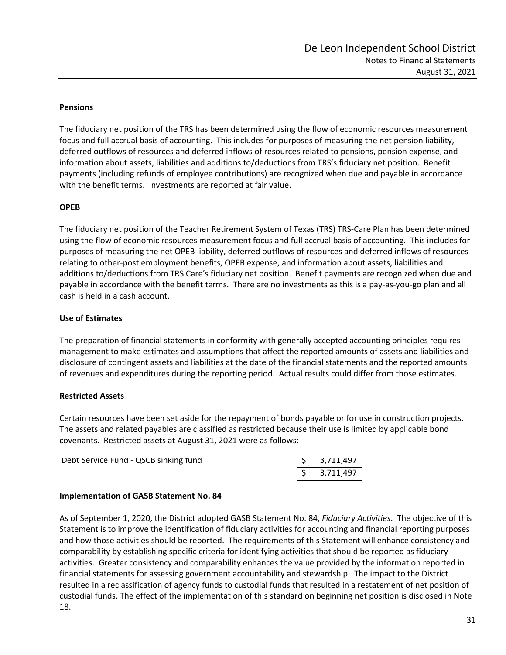## **Pensions**

The fiduciary net position of the TRS has been determined using the flow of economic resources measurement focus and full accrual basis of accounting. This includes for purposes of measuring the net pension liability, deferred outflows of resources and deferred inflows of resources related to pensions, pension expense, and information about assets, liabilities and additions to/deductions from TRS's fiduciary net position. Benefit payments (including refunds of employee contributions) are recognized when due and payable in accordance with the benefit terms. Investments are reported at fair value.

#### **OPEB**

The fiduciary net position of the Teacher Retirement System of Texas (TRS) TRS-Care Plan has been determined using the flow of economic resources measurement focus and full accrual basis of accounting. This includes for purposes of measuring the net OPEB liability, deferred outflows of resources and deferred inflows of resources relating to other-post employment benefits, OPEB expense, and information about assets, liabilities and additions to/deductions from TRS Care's fiduciary net position. Benefit payments are recognized when due and payable in accordance with the benefit terms. There are no investments as this is a pay-as-you-go plan and all cash is held in a cash account.

#### **Use of Estimates**

The preparation of financial statements in conformity with generally accepted accounting principles requires management to make estimates and assumptions that affect the reported amounts of assets and liabilities and disclosure of contingent assets and liabilities at the date of the financial statements and the reported amounts of revenues and expenditures during the reporting period. Actual results could differ from those estimates.

## **Restricted Assets**

Certain resources have been set aside for the repayment of bonds payable or for use in construction projects. The assets and related payables are classified as restricted because their use is limited by applicable bond covenants. Restricted assets at August 31, 2021 were as follows:

| Debt Service Fund - QSCB sinking fund | \$ 3,711,497 |
|---------------------------------------|--------------|
|                                       | \$3,711,497  |

#### **Implementation of GASB Statement No. 84**

As of September 1, 2020, the District adopted GASB Statement No. 84, *Fiduciary Activities*. The objective of this Statement is to improve the identification of fiduciary activities for accounting and financial reporting purposes and how those activities should be reported. The requirements of this Statement will enhance consistency and comparability by establishing specific criteria for identifying activities that should be reported as fiduciary activities. Greater consistency and comparability enhances the value provided by the information reported in financial statements for assessing government accountability and stewardship. The impact to the District resulted in a reclassification of agency funds to custodial funds that resulted in a restatement of net position of custodial funds. The effect of the implementation of this standard on beginning net position is disclosed in Note 18.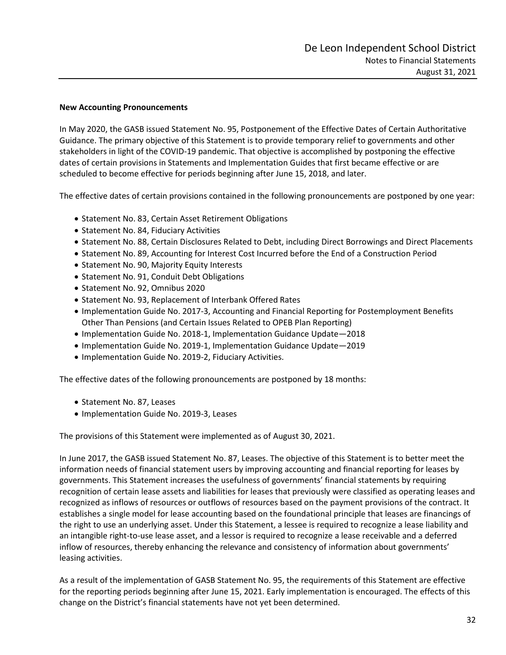#### **New Accounting Pronouncements**

In May 2020, the GASB issued Statement No. 95, Postponement of the Effective Dates of Certain Authoritative Guidance. The primary objective of this Statement is to provide temporary relief to governments and other stakeholders in light of the COVID-19 pandemic. That objective is accomplished by postponing the effective dates of certain provisions in Statements and Implementation Guides that first became effective or are scheduled to become effective for periods beginning after June 15, 2018, and later.

The effective dates of certain provisions contained in the following pronouncements are postponed by one year:

- Statement No. 83, Certain Asset Retirement Obligations
- Statement No. 84, Fiduciary Activities
- Statement No. 88, Certain Disclosures Related to Debt, including Direct Borrowings and Direct Placements
- Statement No. 89, Accounting for Interest Cost Incurred before the End of a Construction Period
- Statement No. 90, Majority Equity Interests
- Statement No. 91, Conduit Debt Obligations
- Statement No. 92, Omnibus 2020
- Statement No. 93, Replacement of Interbank Offered Rates
- Implementation Guide No. 2017-3, Accounting and Financial Reporting for Postemployment Benefits Other Than Pensions (and Certain Issues Related to OPEB Plan Reporting)
- Implementation Guide No. 2018-1, Implementation Guidance Update—2018
- Implementation Guide No. 2019-1, Implementation Guidance Update—2019
- Implementation Guide No. 2019-2, Fiduciary Activities.

The effective dates of the following pronouncements are postponed by 18 months:

- Statement No. 87, Leases
- Implementation Guide No. 2019-3, Leases

The provisions of this Statement were implemented as of August 30, 2021.

In June 2017, the GASB issued Statement No. 87, Leases. The objective of this Statement is to better meet the information needs of financial statement users by improving accounting and financial reporting for leases by governments. This Statement increases the usefulness of governments' financial statements by requiring recognition of certain lease assets and liabilities for leases that previously were classified as operating leases and recognized as inflows of resources or outflows of resources based on the payment provisions of the contract. It establishes a single model for lease accounting based on the foundational principle that leases are financings of the right to use an underlying asset. Under this Statement, a lessee is required to recognize a lease liability and an intangible right-to-use lease asset, and a lessor is required to recognize a lease receivable and a deferred inflow of resources, thereby enhancing the relevance and consistency of information about governments' leasing activities.

As a result of the implementation of GASB Statement No. 95, the requirements of this Statement are effective for the reporting periods beginning after June 15, 2021. Early implementation is encouraged. The effects of this change on the District's financial statements have not yet been determined.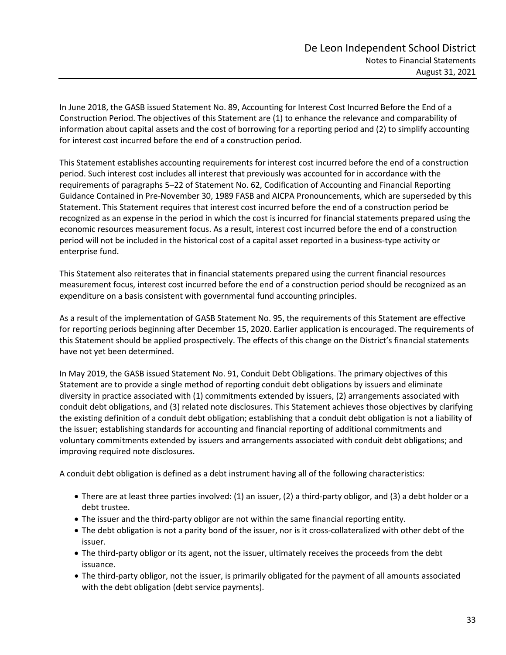In June 2018, the GASB issued Statement No. 89, Accounting for Interest Cost Incurred Before the End of a Construction Period. The objectives of this Statement are (1) to enhance the relevance and comparability of information about capital assets and the cost of borrowing for a reporting period and (2) to simplify accounting for interest cost incurred before the end of a construction period.

This Statement establishes accounting requirements for interest cost incurred before the end of a construction period. Such interest cost includes all interest that previously was accounted for in accordance with the requirements of paragraphs 5–22 of Statement No. 62, Codification of Accounting and Financial Reporting Guidance Contained in Pre-November 30, 1989 FASB and AICPA Pronouncements, which are superseded by this Statement. This Statement requires that interest cost incurred before the end of a construction period be recognized as an expense in the period in which the cost is incurred for financial statements prepared using the economic resources measurement focus. As a result, interest cost incurred before the end of a construction period will not be included in the historical cost of a capital asset reported in a business-type activity or enterprise fund.

This Statement also reiterates that in financial statements prepared using the current financial resources measurement focus, interest cost incurred before the end of a construction period should be recognized as an expenditure on a basis consistent with governmental fund accounting principles.

As a result of the implementation of GASB Statement No. 95, the requirements of this Statement are effective for reporting periods beginning after December 15, 2020. Earlier application is encouraged. The requirements of this Statement should be applied prospectively. The effects of this change on the District's financial statements have not yet been determined.

In May 2019, the GASB issued Statement No. 91, Conduit Debt Obligations. The primary objectives of this Statement are to provide a single method of reporting conduit debt obligations by issuers and eliminate diversity in practice associated with (1) commitments extended by issuers, (2) arrangements associated with conduit debt obligations, and (3) related note disclosures. This Statement achieves those objectives by clarifying the existing definition of a conduit debt obligation; establishing that a conduit debt obligation is not a liability of the issuer; establishing standards for accounting and financial reporting of additional commitments and voluntary commitments extended by issuers and arrangements associated with conduit debt obligations; and improving required note disclosures.

A conduit debt obligation is defined as a debt instrument having all of the following characteristics:

- There are at least three parties involved: (1) an issuer, (2) a third-party obligor, and (3) a debt holder or a debt trustee.
- The issuer and the third-party obligor are not within the same financial reporting entity.
- The debt obligation is not a parity bond of the issuer, nor is it cross-collateralized with other debt of the issuer.
- The third-party obligor or its agent, not the issuer, ultimately receives the proceeds from the debt issuance.
- The third-party obligor, not the issuer, is primarily obligated for the payment of all amounts associated with the debt obligation (debt service payments).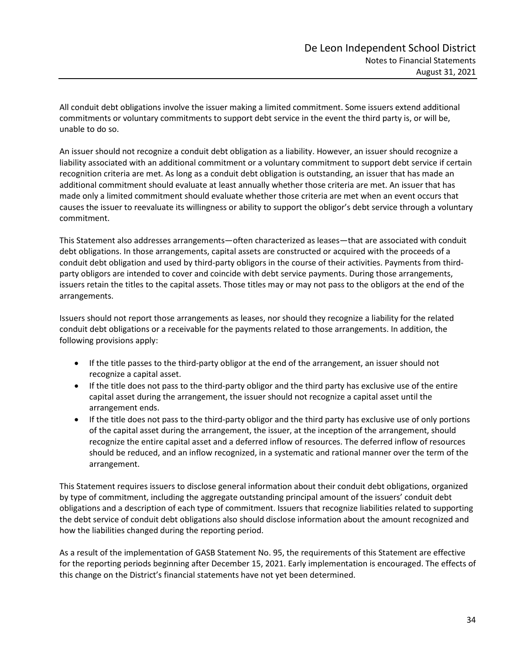All conduit debt obligations involve the issuer making a limited commitment. Some issuers extend additional commitments or voluntary commitments to support debt service in the event the third party is, or will be, unable to do so.

An issuer should not recognize a conduit debt obligation as a liability. However, an issuer should recognize a liability associated with an additional commitment or a voluntary commitment to support debt service if certain recognition criteria are met. As long as a conduit debt obligation is outstanding, an issuer that has made an additional commitment should evaluate at least annually whether those criteria are met. An issuer that has made only a limited commitment should evaluate whether those criteria are met when an event occurs that causes the issuer to reevaluate its willingness or ability to support the obligor's debt service through a voluntary commitment.

This Statement also addresses arrangements—often characterized as leases—that are associated with conduit debt obligations. In those arrangements, capital assets are constructed or acquired with the proceeds of a conduit debt obligation and used by third-party obligors in the course of their activities. Payments from thirdparty obligors are intended to cover and coincide with debt service payments. During those arrangements, issuers retain the titles to the capital assets. Those titles may or may not pass to the obligors at the end of the arrangements.

Issuers should not report those arrangements as leases, nor should they recognize a liability for the related conduit debt obligations or a receivable for the payments related to those arrangements. In addition, the following provisions apply:

- If the title passes to the third-party obligor at the end of the arrangement, an issuer should not recognize a capital asset.
- If the title does not pass to the third-party obligor and the third party has exclusive use of the entire capital asset during the arrangement, the issuer should not recognize a capital asset until the arrangement ends.
- If the title does not pass to the third-party obligor and the third party has exclusive use of only portions of the capital asset during the arrangement, the issuer, at the inception of the arrangement, should recognize the entire capital asset and a deferred inflow of resources. The deferred inflow of resources should be reduced, and an inflow recognized, in a systematic and rational manner over the term of the arrangement.

This Statement requires issuers to disclose general information about their conduit debt obligations, organized by type of commitment, including the aggregate outstanding principal amount of the issuers' conduit debt obligations and a description of each type of commitment. Issuers that recognize liabilities related to supporting the debt service of conduit debt obligations also should disclose information about the amount recognized and how the liabilities changed during the reporting period.

As a result of the implementation of GASB Statement No. 95, the requirements of this Statement are effective for the reporting periods beginning after December 15, 2021. Early implementation is encouraged. The effects of this change on the District's financial statements have not yet been determined.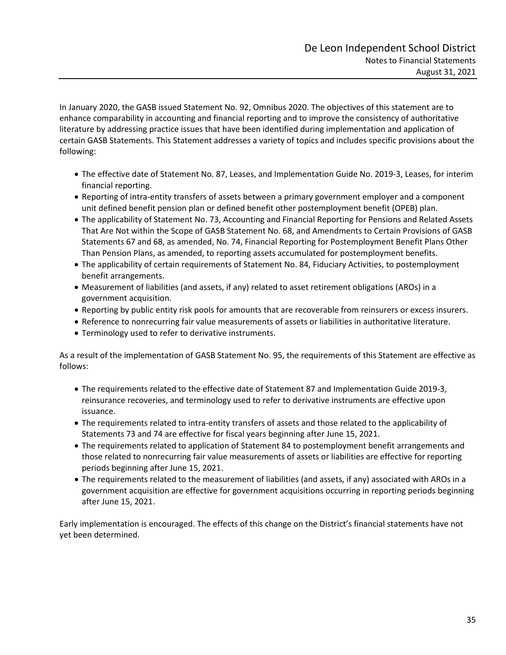In January 2020, the GASB issued Statement No. 92, Omnibus 2020. The objectives of this statement are to enhance comparability in accounting and financial reporting and to improve the consistency of authoritative literature by addressing practice issues that have been identified during implementation and application of certain GASB Statements. This Statement addresses a variety of topics and includes specific provisions about the following:

- The effective date of Statement No. 87, Leases, and Implementation Guide No. 2019-3, Leases, for interim financial reporting.
- Reporting of intra-entity transfers of assets between a primary government employer and a component unit defined benefit pension plan or defined benefit other postemployment benefit (OPEB) plan.
- The applicability of Statement No. 73, Accounting and Financial Reporting for Pensions and Related Assets That Are Not within the Scope of GASB Statement No. 68, and Amendments to Certain Provisions of GASB Statements 67 and 68, as amended, No. 74, Financial Reporting for Postemployment Benefit Plans Other Than Pension Plans, as amended, to reporting assets accumulated for postemployment benefits.
- The applicability of certain requirements of Statement No. 84, Fiduciary Activities, to postemployment benefit arrangements.
- Measurement of liabilities (and assets, if any) related to asset retirement obligations (AROs) in a government acquisition.
- Reporting by public entity risk pools for amounts that are recoverable from reinsurers or excess insurers.
- Reference to nonrecurring fair value measurements of assets or liabilities in authoritative literature.
- Terminology used to refer to derivative instruments.

As a result of the implementation of GASB Statement No. 95, the requirements of this Statement are effective as follows:

- The requirements related to the effective date of Statement 87 and Implementation Guide 2019-3, reinsurance recoveries, and terminology used to refer to derivative instruments are effective upon issuance.
- The requirements related to intra-entity transfers of assets and those related to the applicability of Statements 73 and 74 are effective for fiscal years beginning after June 15, 2021.
- The requirements related to application of Statement 84 to postemployment benefit arrangements and those related to nonrecurring fair value measurements of assets or liabilities are effective for reporting periods beginning after June 15, 2021.
- The requirements related to the measurement of liabilities (and assets, if any) associated with AROs in a government acquisition are effective for government acquisitions occurring in reporting periods beginning after June 15, 2021.

Early implementation is encouraged. The effects of this change on the District's financial statements have not yet been determined.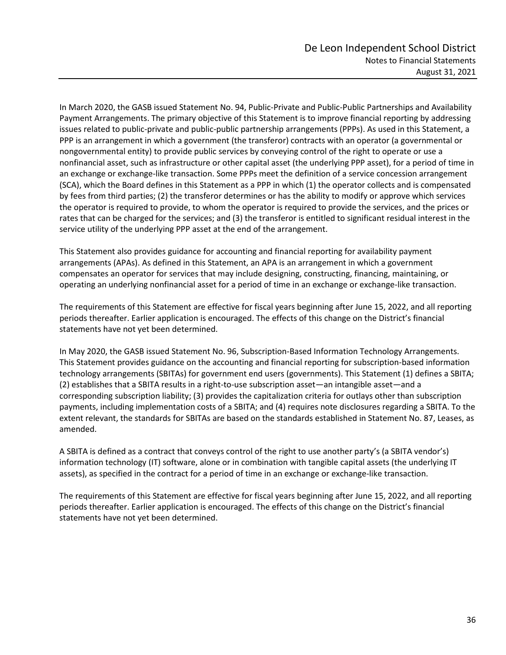In March 2020, the GASB issued Statement No. 94, Public-Private and Public-Public Partnerships and Availability Payment Arrangements. The primary objective of this Statement is to improve financial reporting by addressing issues related to public-private and public-public partnership arrangements (PPPs). As used in this Statement, a PPP is an arrangement in which a government (the transferor) contracts with an operator (a governmental or nongovernmental entity) to provide public services by conveying control of the right to operate or use a nonfinancial asset, such as infrastructure or other capital asset (the underlying PPP asset), for a period of time in an exchange or exchange-like transaction. Some PPPs meet the definition of a service concession arrangement (SCA), which the Board defines in this Statement as a PPP in which (1) the operator collects and is compensated by fees from third parties; (2) the transferor determines or has the ability to modify or approve which services the operator is required to provide, to whom the operator is required to provide the services, and the prices or rates that can be charged for the services; and (3) the transferor is entitled to significant residual interest in the service utility of the underlying PPP asset at the end of the arrangement.

This Statement also provides guidance for accounting and financial reporting for availability payment arrangements (APAs). As defined in this Statement, an APA is an arrangement in which a government compensates an operator for services that may include designing, constructing, financing, maintaining, or operating an underlying nonfinancial asset for a period of time in an exchange or exchange-like transaction.

The requirements of this Statement are effective for fiscal years beginning after June 15, 2022, and all reporting periods thereafter. Earlier application is encouraged. The effects of this change on the District's financial statements have not yet been determined.

In May 2020, the GASB issued Statement No. 96, Subscription-Based Information Technology Arrangements. This Statement provides guidance on the accounting and financial reporting for subscription-based information technology arrangements (SBITAs) for government end users (governments). This Statement (1) defines a SBITA; (2) establishes that a SBITA results in a right-to-use subscription asset—an intangible asset—and a corresponding subscription liability; (3) provides the capitalization criteria for outlays other than subscription payments, including implementation costs of a SBITA; and (4) requires note disclosures regarding a SBITA. To the extent relevant, the standards for SBITAs are based on the standards established in Statement No. 87, Leases, as amended.

A SBITA is defined as a contract that conveys control of the right to use another party's (a SBITA vendor's) information technology (IT) software, alone or in combination with tangible capital assets (the underlying IT assets), as specified in the contract for a period of time in an exchange or exchange-like transaction.

The requirements of this Statement are effective for fiscal years beginning after June 15, 2022, and all reporting periods thereafter. Earlier application is encouraged. The effects of this change on the District's financial statements have not yet been determined.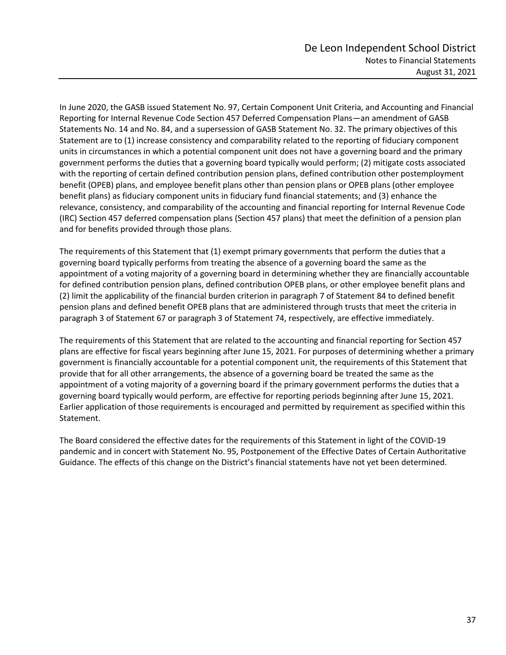In June 2020, the GASB issued Statement No. 97, Certain Component Unit Criteria, and Accounting and Financial Reporting for Internal Revenue Code Section 457 Deferred Compensation Plans—an amendment of GASB Statements No. 14 and No. 84, and a supersession of GASB Statement No. 32. The primary objectives of this Statement are to (1) increase consistency and comparability related to the reporting of fiduciary component units in circumstances in which a potential component unit does not have a governing board and the primary government performs the duties that a governing board typically would perform; (2) mitigate costs associated with the reporting of certain defined contribution pension plans, defined contribution other postemployment benefit (OPEB) plans, and employee benefit plans other than pension plans or OPEB plans (other employee benefit plans) as fiduciary component units in fiduciary fund financial statements; and (3) enhance the relevance, consistency, and comparability of the accounting and financial reporting for Internal Revenue Code (IRC) Section 457 deferred compensation plans (Section 457 plans) that meet the definition of a pension plan and for benefits provided through those plans.

The requirements of this Statement that (1) exempt primary governments that perform the duties that a governing board typically performs from treating the absence of a governing board the same as the appointment of a voting majority of a governing board in determining whether they are financially accountable for defined contribution pension plans, defined contribution OPEB plans, or other employee benefit plans and (2) limit the applicability of the financial burden criterion in paragraph 7 of Statement 84 to defined benefit pension plans and defined benefit OPEB plans that are administered through trusts that meet the criteria in paragraph 3 of Statement 67 or paragraph 3 of Statement 74, respectively, are effective immediately.

The requirements of this Statement that are related to the accounting and financial reporting for Section 457 plans are effective for fiscal years beginning after June 15, 2021. For purposes of determining whether a primary government is financially accountable for a potential component unit, the requirements of this Statement that provide that for all other arrangements, the absence of a governing board be treated the same as the appointment of a voting majority of a governing board if the primary government performs the duties that a governing board typically would perform, are effective for reporting periods beginning after June 15, 2021. Earlier application of those requirements is encouraged and permitted by requirement as specified within this Statement.

The Board considered the effective dates for the requirements of this Statement in light of the COVID-19 pandemic and in concert with Statement No. 95, Postponement of the Effective Dates of Certain Authoritative Guidance. The effects of this change on the District's financial statements have not yet been determined.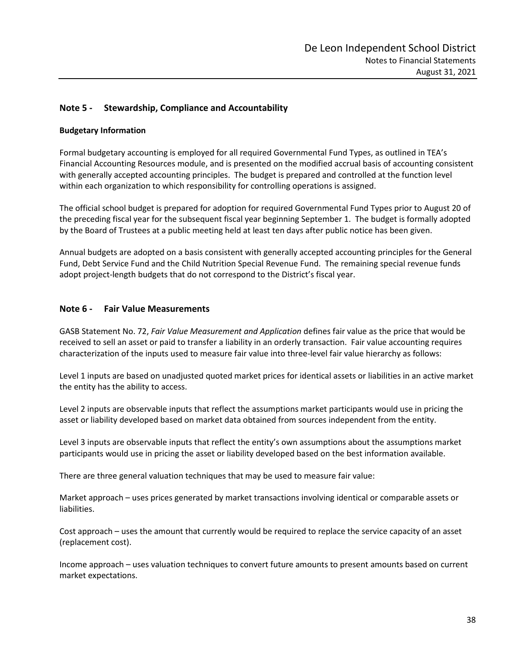## **Note 5 - Stewardship, Compliance and Accountability**

#### **Budgetary Information**

Formal budgetary accounting is employed for all required Governmental Fund Types, as outlined in TEA's Financial Accounting Resources module, and is presented on the modified accrual basis of accounting consistent with generally accepted accounting principles. The budget is prepared and controlled at the function level within each organization to which responsibility for controlling operations is assigned.

The official school budget is prepared for adoption for required Governmental Fund Types prior to August 20 of the preceding fiscal year for the subsequent fiscal year beginning September 1. The budget is formally adopted by the Board of Trustees at a public meeting held at least ten days after public notice has been given.

Annual budgets are adopted on a basis consistent with generally accepted accounting principles for the General Fund, Debt Service Fund and the Child Nutrition Special Revenue Fund. The remaining special revenue funds adopt project-length budgets that do not correspond to the District's fiscal year.

## **Note 6 - Fair Value Measurements**

GASB Statement No. 72, *Fair Value Measurement and Application* defines fair value as the price that would be received to sell an asset or paid to transfer a liability in an orderly transaction. Fair value accounting requires characterization of the inputs used to measure fair value into three-level fair value hierarchy as follows:

Level 1 inputs are based on unadjusted quoted market prices for identical assets or liabilities in an active market the entity has the ability to access.

Level 2 inputs are observable inputs that reflect the assumptions market participants would use in pricing the asset or liability developed based on market data obtained from sources independent from the entity.

Level 3 inputs are observable inputs that reflect the entity's own assumptions about the assumptions market participants would use in pricing the asset or liability developed based on the best information available.

There are three general valuation techniques that may be used to measure fair value:

Market approach – uses prices generated by market transactions involving identical or comparable assets or liabilities.

Cost approach – uses the amount that currently would be required to replace the service capacity of an asset (replacement cost).

Income approach – uses valuation techniques to convert future amounts to present amounts based on current market expectations.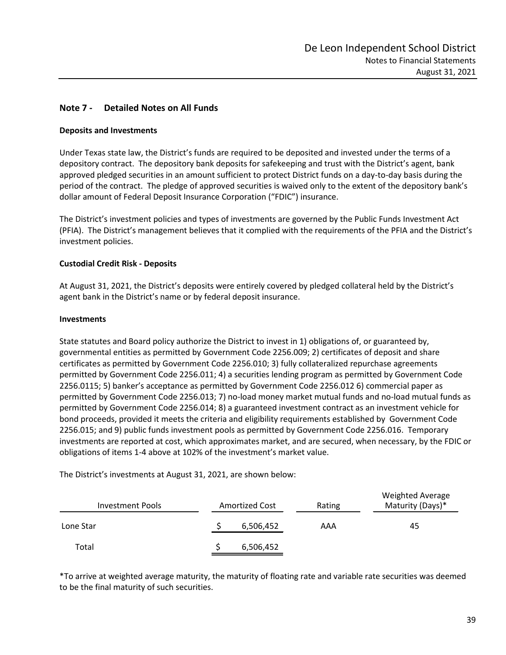## **Note 7 - Detailed Notes on All Funds**

#### **Deposits and Investments**

Under Texas state law, the District's funds are required to be deposited and invested under the terms of a depository contract. The depository bank deposits for safekeeping and trust with the District's agent, bank approved pledged securities in an amount sufficient to protect District funds on a day-to-day basis during the period of the contract. The pledge of approved securities is waived only to the extent of the depository bank's dollar amount of Federal Deposit Insurance Corporation ("FDIC") insurance.

The District's investment policies and types of investments are governed by the Public Funds Investment Act (PFIA). The District's management believes that it complied with the requirements of the PFIA and the District's investment policies.

## **Custodial Credit Risk - Deposits**

At August 31, 2021, the District's deposits were entirely covered by pledged collateral held by the District's agent bank in the District's name or by federal deposit insurance.

#### **Investments**

State statutes and Board policy authorize the District to invest in 1) obligations of, or guaranteed by, governmental entities as permitted by Government Code 2256.009; 2) certificates of deposit and share certificates as permitted by Government Code 2256.010; 3) fully collateralized repurchase agreements permitted by Government Code 2256.011; 4) a securities lending program as permitted by Government Code 2256.0115; 5) banker's acceptance as permitted by Government Code 2256.012 6) commercial paper as permitted by Government Code 2256.013; 7) no-load money market mutual funds and no-load mutual funds as permitted by Government Code 2256.014; 8) a guaranteed investment contract as an investment vehicle for bond proceeds, provided it meets the criteria and eligibility requirements established by Government Code 2256.015; and 9) public funds investment pools as permitted by Government Code 2256.016. Temporary investments are reported at cost, which approximates market, and are secured, when necessary, by the FDIC or obligations of items 1-4 above at 102% of the investment's market value.

The District's investments at August 31, 2021, are shown below:

| <b>Investment Pools</b> | <b>Amortized Cost</b> | Rating | <b>Weighted Average</b><br>Maturity (Days)* |  |  |
|-------------------------|-----------------------|--------|---------------------------------------------|--|--|
| Lone Star               | 6,506,452             | AAA    | 45                                          |  |  |
| Total                   | 6,506,452             |        |                                             |  |  |

\*To arrive at weighted average maturity, the maturity of floating rate and variable rate securities was deemed to be the final maturity of such securities.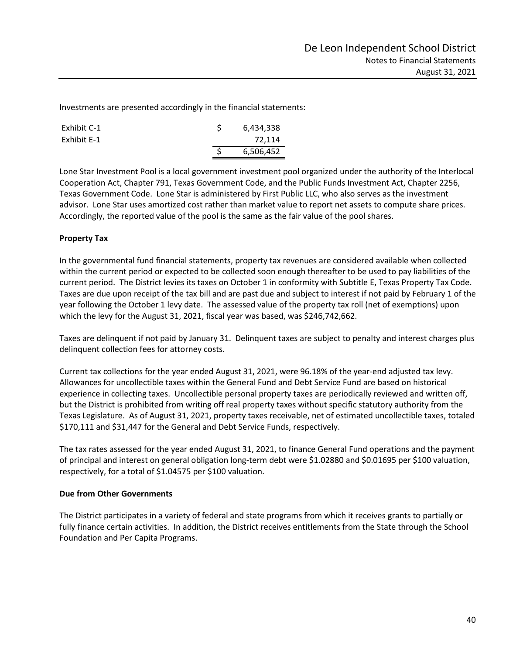Investments are presented accordingly in the financial statements:

| Exhibit C-1 | 6,434,338 |
|-------------|-----------|
| Exhibit E-1 | 72,114    |
|             | 6,506,452 |

Lone Star Investment Pool is a local government investment pool organized under the authority of the Interlocal Cooperation Act, Chapter 791, Texas Government Code, and the Public Funds Investment Act, Chapter 2256, Texas Government Code. Lone Star is administered by First Public LLC, who also serves as the investment advisor. Lone Star uses amortized cost rather than market value to report net assets to compute share prices. Accordingly, the reported value of the pool is the same as the fair value of the pool shares.

## **Property Tax**

In the governmental fund financial statements, property tax revenues are considered available when collected within the current period or expected to be collected soon enough thereafter to be used to pay liabilities of the current period. The District levies its taxes on October 1 in conformity with Subtitle E, Texas Property Tax Code. Taxes are due upon receipt of the tax bill and are past due and subject to interest if not paid by February 1 of the year following the October 1 levy date. The assessed value of the property tax roll (net of exemptions) upon which the levy for the August 31, 2021, fiscal year was based, was \$246,742,662.

Taxes are delinquent if not paid by January 31. Delinquent taxes are subject to penalty and interest charges plus delinquent collection fees for attorney costs.

Current tax collections for the year ended August 31, 2021, were 96.18% of the year-end adjusted tax levy. Allowances for uncollectible taxes within the General Fund and Debt Service Fund are based on historical experience in collecting taxes. Uncollectible personal property taxes are periodically reviewed and written off, but the District is prohibited from writing off real property taxes without specific statutory authority from the Texas Legislature. As of August 31, 2021, property taxes receivable, net of estimated uncollectible taxes, totaled \$170,111 and \$31,447 for the General and Debt Service Funds, respectively.

The tax rates assessed for the year ended August 31, 2021, to finance General Fund operations and the payment of principal and interest on general obligation long-term debt were \$1.02880 and \$0.01695 per \$100 valuation, respectively, for a total of \$1.04575 per \$100 valuation.

## **Due from Other Governments**

The District participates in a variety of federal and state programs from which it receives grants to partially or fully finance certain activities. In addition, the District receives entitlements from the State through the School Foundation and Per Capita Programs.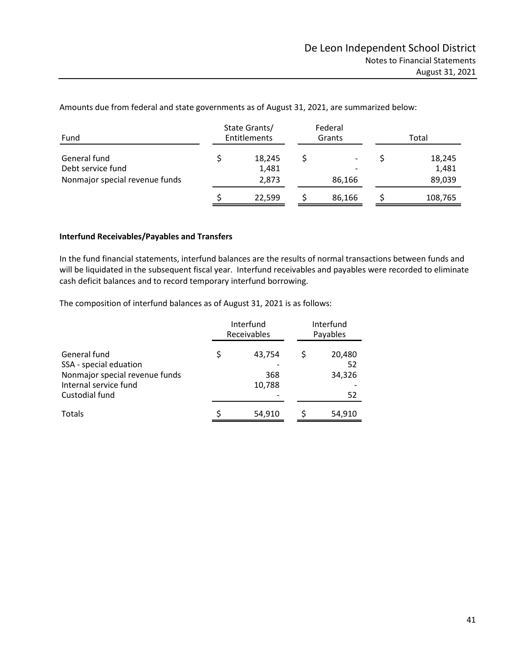| Fund                                                                | State Grants/<br>Entitlements | Federal<br>Grants | Total |                           |  |
|---------------------------------------------------------------------|-------------------------------|-------------------|-------|---------------------------|--|
| General fund<br>Debt service fund<br>Nonmajor special revenue funds | 18,245<br>1,481<br>2,873      | 86,166            |       | 18,245<br>1,481<br>89,039 |  |
|                                                                     |                               |                   |       |                           |  |
|                                                                     | 22,599                        | 86,166            |       | 108,765                   |  |

Amounts due from federal and state governments as of August 31, 2021, are summarized below:

## **Interfund Receivables/Payables and Transfers**

In the fund financial statements, interfund balances are the results of normal transactions between funds and will be liquidated in the subsequent fiscal year. Interfund receivables and payables were recorded to eliminate cash deficit balances and to record temporary interfund borrowing.

The composition of interfund balances as of August 31, 2021 is as follows:

|                                                                                                                     | Interfund<br>Receivables |                         | Interfund<br>Payables |                              |  |  |
|---------------------------------------------------------------------------------------------------------------------|--------------------------|-------------------------|-----------------------|------------------------------|--|--|
| General fund<br>SSA - special eduation<br>Nonmajor special revenue funds<br>Internal service fund<br>Custodial fund |                          | 43,754<br>368<br>10,788 |                       | 20,480<br>52<br>34,326<br>52 |  |  |
| Totals                                                                                                              |                          | 54,910                  |                       | 54,910                       |  |  |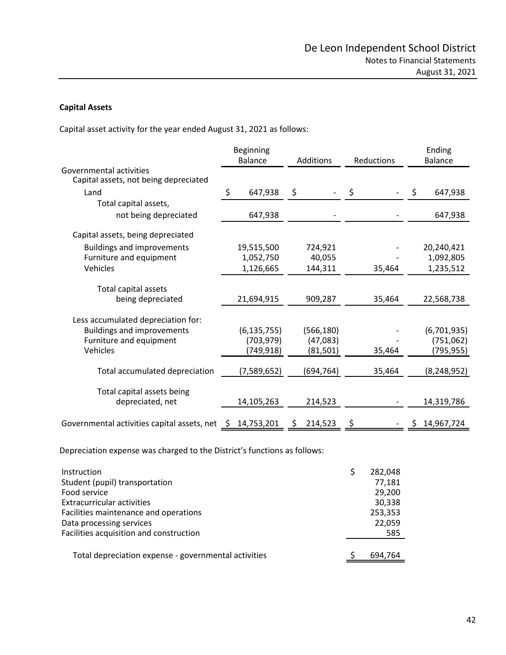## **Capital Assets**

Capital asset activity for the year ended August 31, 2021 as follows:

|                                                                  | Beginning<br><b>Balance</b> |               | Additions |            | Reductions | Ending<br>Balance |               |  |
|------------------------------------------------------------------|-----------------------------|---------------|-----------|------------|------------|-------------------|---------------|--|
| Governmental activities<br>Capital assets, not being depreciated |                             |               |           |            |            |                   |               |  |
| Land                                                             | \$                          | 647,938       | \$        |            | \$         | \$                | 647,938       |  |
| Total capital assets,                                            |                             |               |           |            |            |                   |               |  |
| not being depreciated                                            |                             | 647,938       |           |            |            |                   | 647,938       |  |
| Capital assets, being depreciated                                |                             |               |           |            |            |                   |               |  |
| <b>Buildings and improvements</b>                                |                             | 19,515,500    |           | 724,921    |            |                   | 20,240,421    |  |
| Furniture and equipment                                          |                             | 1,052,750     |           | 40,055     |            |                   | 1,092,805     |  |
| Vehicles                                                         |                             | 1,126,665     |           | 144,311    | 35,464     |                   | 1,235,512     |  |
| Total capital assets                                             |                             |               |           |            |            |                   |               |  |
| being depreciated                                                |                             | 21,694,915    |           | 909,287    | 35,464     |                   | 22,568,738    |  |
| Less accumulated depreciation for:                               |                             |               |           |            |            |                   |               |  |
| <b>Buildings and improvements</b>                                |                             | (6, 135, 755) |           | (566, 180) |            |                   | (6,701,935)   |  |
| Furniture and equipment                                          |                             | (703, 979)    |           | (47,083)   |            |                   | (751,062)     |  |
| Vehicles                                                         |                             | (749,918)     |           | (81,501)   | 35,464     |                   | (795,955)     |  |
| Total accumulated depreciation                                   |                             | (7,589,652)   |           | (694,764)  | 35,464     |                   | (8, 248, 952) |  |
| Total capital assets being<br>depreciated, net                   |                             | 14,105,263    |           | 214,523    |            |                   | 14,319,786    |  |
|                                                                  |                             |               |           |            |            |                   |               |  |
| Governmental activities capital assets, net $\;$ \$ 14,753,201   |                             |               | \$.       | 214,523    | \$         | \$.               | 14,967,724    |  |

Depreciation expense was charged to the District's functions as follows:

| Instruction                                          | 282,048 |
|------------------------------------------------------|---------|
| Student (pupil) transportation                       | 77,181  |
| Food service                                         | 29,200  |
| <b>Extracurricular activities</b>                    | 30,338  |
| Facilities maintenance and operations                | 253,353 |
| Data processing services                             | 22,059  |
| Facilities acquisition and construction              | 585     |
| Total depreciation expense - governmental activities | 694,764 |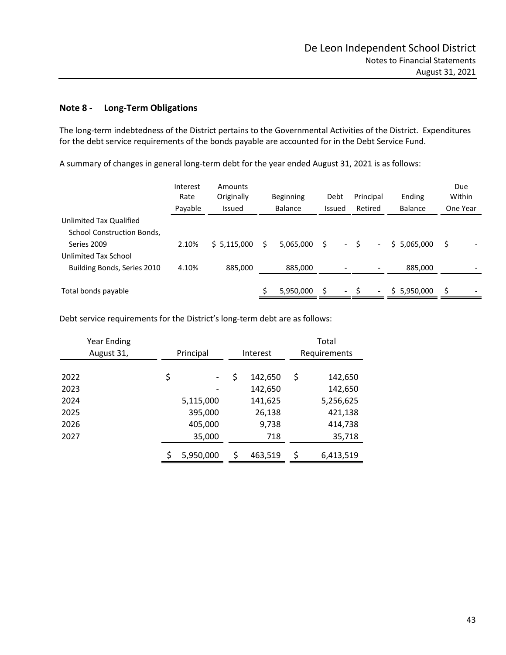## **Note 8 - Long-Term Obligations**

The long-term indebtedness of the District pertains to the Governmental Activities of the District. Expenditures for the debt service requirements of the bonds payable are accounted for in the Debt Service Fund.

A summary of changes in general long-term debt for the year ended August 31, 2021 is as follows:

|                             | Interest<br>Rate<br>Payable | Amounts<br>Originally<br>Issued |   | <b>Beginning</b><br><b>Balance</b> | Debt<br>Issued |        | Principal<br>Retired |        | Ending<br>Balance | Due<br>Within<br>One Year |  |
|-----------------------------|-----------------------------|---------------------------------|---|------------------------------------|----------------|--------|----------------------|--------|-------------------|---------------------------|--|
| Unlimited Tax Qualified     |                             |                                 |   |                                    |                |        |                      |        |                   |                           |  |
| School Construction Bonds,  |                             |                                 |   |                                    |                |        |                      |        |                   |                           |  |
| Series 2009                 | 2.10%                       | \$5,115,000                     | S | 5,065,000                          | Ś              |        | - \$                 | $\sim$ | \$5,065,000       | \$                        |  |
| Unlimited Tax School        |                             |                                 |   |                                    |                |        |                      |        |                   |                           |  |
| Building Bonds, Series 2010 | 4.10%                       | 885,000                         |   | 885,000                            |                |        |                      |        | 885,000           |                           |  |
|                             |                             |                                 |   |                                    |                |        |                      |        |                   |                           |  |
| Total bonds payable         |                             |                                 |   | 5,950,000                          |                | $\sim$ | - S                  | $\sim$ | Ś.<br>5,950,000   | \$.                       |  |

Debt service requirements for the District's long-term debt are as follows:

| <b>Year Ending</b> |           |          |         | Total           |
|--------------------|-----------|----------|---------|-----------------|
| August 31,         | Principal | Interest |         | Requirements    |
|                    |           |          |         |                 |
| 2022               | \$        | \$       | 142,650 | \$<br>142,650   |
| 2023               |           |          | 142,650 | 142,650         |
| 2024               | 5,115,000 |          | 141,625 | 5,256,625       |
| 2025               | 395,000   |          | 26,138  | 421,138         |
| 2026               | 405,000   |          | 9,738   | 414,738         |
| 2027               | 35,000    |          | 718     | 35,718          |
|                    | 5,950,000 | Ś        | 463,519 | \$<br>6,413,519 |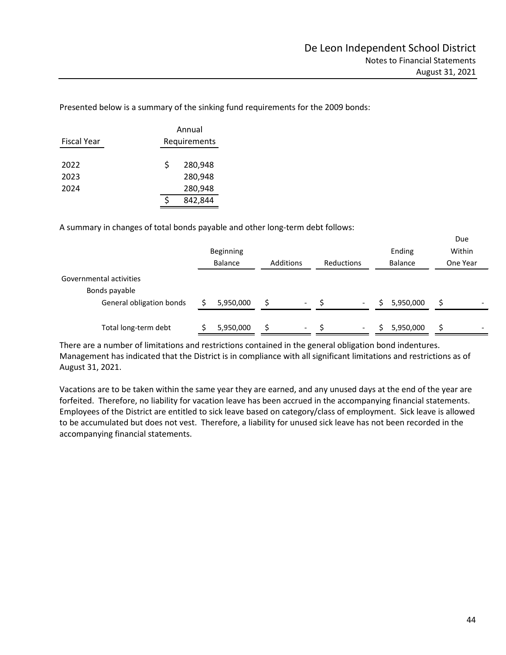Presented below is a summary of the sinking fund requirements for the 2009 bonds:

|                    | Annual        |
|--------------------|---------------|
| <b>Fiscal Year</b> | Requirements  |
|                    |               |
| 2022               | \$<br>280,948 |
| 2023               | 280,948       |
| 2024               | 280,948       |
|                    | 842,844       |

A summary in changes of total bonds payable and other long-term debt follows:

|                                          | Beginning<br><b>Balance</b> |   | <b>Additions</b> |     | Reductions               | Ending<br><b>Balance</b> |   | vue<br>Within<br>One Year |
|------------------------------------------|-----------------------------|---|------------------|-----|--------------------------|--------------------------|---|---------------------------|
| Governmental activities<br>Bonds payable |                             |   |                  |     |                          |                          |   |                           |
| General obligation bonds                 | 5,950,000                   | S | $\sim$           | - S | $\overline{\phantom{a}}$ | 5,950,000                | Ś |                           |
| Total long-term debt                     | 5,950,000                   |   | $\sim$           |     | $\overline{\phantom{a}}$ | 5,950,000                | Ś |                           |

There are a number of limitations and restrictions contained in the general obligation bond indentures. Management has indicated that the District is in compliance with all significant limitations and restrictions as of August 31, 2021.

Vacations are to be taken within the same year they are earned, and any unused days at the end of the year are forfeited. Therefore, no liability for vacation leave has been accrued in the accompanying financial statements. Employees of the District are entitled to sick leave based on category/class of employment. Sick leave is allowed to be accumulated but does not vest. Therefore, a liability for unused sick leave has not been recorded in the accompanying financial statements.

 $D...$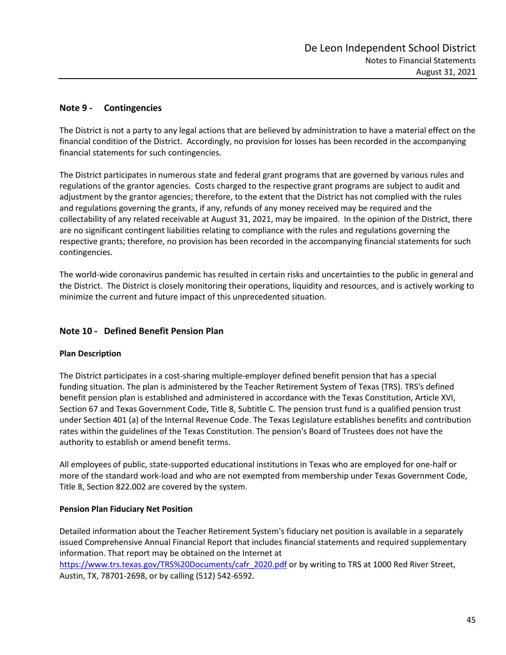## **Note 9 - Contingencies**

The District is not a party to any legal actions that are believed by administration to have a material effect on the financial condition of the District. Accordingly, no provision for losses has been recorded in the accompanying financial statements for such contingencies.

The District participates in numerous state and federal grant programs that are governed by various rules and regulations of the grantor agencies. Costs charged to the respective grant programs are subject to audit and adjustment by the grantor agencies; therefore, to the extent that the District has not complied with the rules and regulations governing the grants, if any, refunds of any money received may be required and the collectability of any related receivable at August 31, 2021, may be impaired. In the opinion of the District, there are no significant contingent liabilities relating to compliance with the rules and regulations governing the respective grants; therefore, no provision has been recorded in the accompanying financial statements for such contingencies.

The world-wide coronavirus pandemic has resulted in certain risks and uncertainties to the public in general and the District. The District is closely monitoring their operations, liquidity and resources, and is actively working to minimize the current and future impact of this unprecedented situation.

## **Note 10 - Defined Benefit Pension Plan**

## **Plan Description**

The District participates in a cost-sharing multiple-employer defined benefit pension that has a special funding situation. The plan is administered by the Teacher Retirement System of Texas (TRS). TRS's defined benefit pension plan is established and administered in accordance with the Texas Constitution, Article XVI, Section 67 and Texas Government Code, Title 8, Subtitle C. The pension trust fund is a qualified pension trust under Section 401 (a) of the Internal Revenue Code. The Texas Legislature establishes benefits and contribution rates within the guidelines of the Texas Constitution. The pension's Board of Trustees does not have the authority to establish or amend benefit terms.

All employees of public, state-supported educational institutions in Texas who are employed for one-half or more of the standard work-load and who are not exempted from membership under Texas Government Code, Title 8, Section 822.002 are covered by the system.

## **Pension Plan Fiduciary Net Position**

Detailed information about the Teacher Retirement System's fiduciary net position is available in a separately issued Comprehensive Annual Financial Report that includes financial statements and required supplementary information. That report may be obtained on the Internet at [https://www.trs.texas.gov/TRS%20Documents/cafr\\_2020.pdf](https://www.trs.texas.gov/TRS%20Documents/cafr_2020.pdf) or by writing to TRS at 1000 Red River Street,

Austin, TX, 78701-2698, or by calling (512) 542-6592.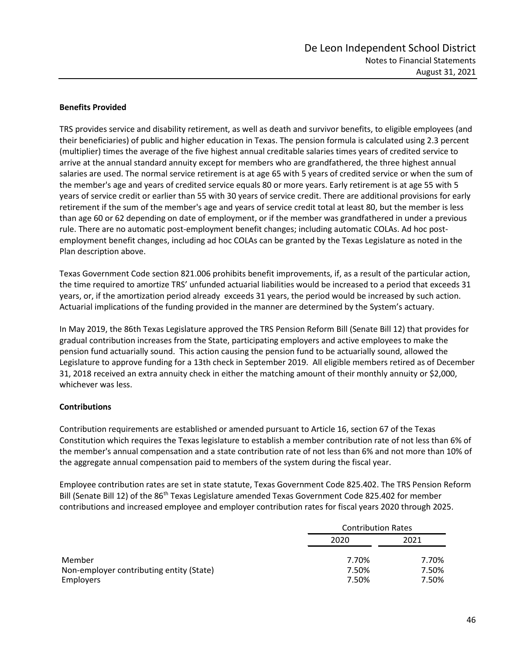## **Benefits Provided**

TRS provides service and disability retirement, as well as death and survivor benefits, to eligible employees (and their beneficiaries) of public and higher education in Texas. The pension formula is calculated using 2.3 percent (multiplier) times the average of the five highest annual creditable salaries times years of credited service to arrive at the annual standard annuity except for members who are grandfathered, the three highest annual salaries are used. The normal service retirement is at age 65 with 5 years of credited service or when the sum of the member's age and years of credited service equals 80 or more years. Early retirement is at age 55 with 5 years of service credit or earlier than 55 with 30 years of service credit. There are additional provisions for early retirement if the sum of the member's age and years of service credit total at least 80, but the member is less than age 60 or 62 depending on date of employment, or if the member was grandfathered in under a previous rule. There are no automatic post-employment benefit changes; including automatic COLAs. Ad hoc postemployment benefit changes, including ad hoc COLAs can be granted by the Texas Legislature as noted in the Plan description above.

Texas Government Code section 821.006 prohibits benefit improvements, if, as a result of the particular action, the time required to amortize TRS' unfunded actuarial liabilities would be increased to a period that exceeds 31 years, or, if the amortization period already exceeds 31 years, the period would be increased by such action. Actuarial implications of the funding provided in the manner are determined by the System's actuary.

In May 2019, the 86th Texas Legislature approved the TRS Pension Reform Bill (Senate Bill 12) that provides for gradual contribution increases from the State, participating employers and active employees to make the pension fund actuarially sound. This action causing the pension fund to be actuarially sound, allowed the Legislature to approve funding for a 13th check in September 2019. All eligible members retired as of December 31, 2018 received an extra annuity check in either the matching amount of their monthly annuity or \$2,000, whichever was less.

## **Contributions**

Contribution requirements are established or amended pursuant to Article 16, section 67 of the Texas Constitution which requires the Texas legislature to establish a member contribution rate of not less than 6% of the member's annual compensation and a state contribution rate of not less than 6% and not more than 10% of the aggregate annual compensation paid to members of the system during the fiscal year.

Employee contribution rates are set in state statute, Texas Government Code 825.402. The TRS Pension Reform Bill (Senate Bill 12) of the 86<sup>th</sup> Texas Legislature amended Texas Government Code 825.402 for member contributions and increased employee and employer contribution rates for fiscal years 2020 through 2025.

|                                          | <b>Contribution Rates</b> |       |  |  |  |
|------------------------------------------|---------------------------|-------|--|--|--|
|                                          | 2020                      | 2021  |  |  |  |
| Member                                   | 7.70%                     | 7.70% |  |  |  |
| Non-employer contributing entity (State) | 7.50%                     | 7.50% |  |  |  |
| Employers                                | 7.50%                     | 7.50% |  |  |  |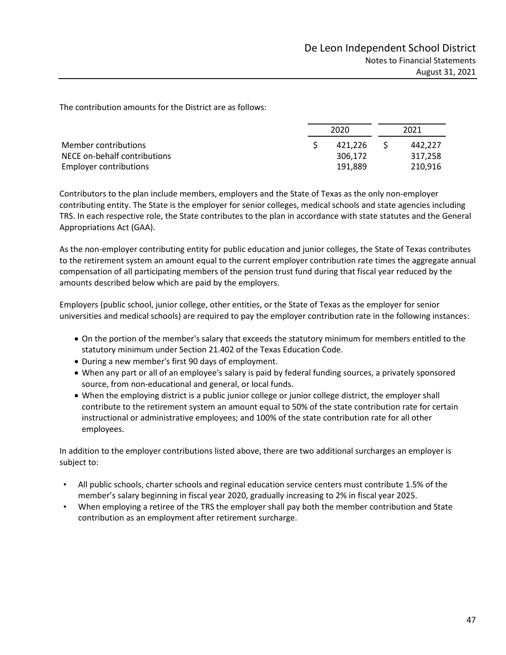The contribution amounts for the District are as follows:

|                              | 2020    | 2021    |
|------------------------------|---------|---------|
| Member contributions         | 421.226 | 442.227 |
| NECE on-behalf contributions | 306.172 | 317.258 |
| Employer contributions       | 191,889 | 210.916 |

Contributors to the plan include members, employers and the State of Texas as the only non-employer contributing entity. The State is the employer for senior colleges, medical schools and state agencies including TRS. In each respective role, the State contributes to the plan in accordance with state statutes and the General Appropriations Act (GAA).

As the non-employer contributing entity for public education and junior colleges, the State of Texas contributes to the retirement system an amount equal to the current employer contribution rate times the aggregate annual compensation of all participating members of the pension trust fund during that fiscal year reduced by the amounts described below which are paid by the employers.

Employers (public school, junior college, other entities, or the State of Texas as the employer for senior universities and medical schools) are required to pay the employer contribution rate in the following instances:

- On the portion of the member's salary that exceeds the statutory minimum for members entitled to the statutory minimum under Section 21.402 of the Texas Education Code.
- During a new member's first 90 days of employment.
- When any part or all of an employee's salary is paid by federal funding sources, a privately sponsored source, from non-educational and general, or local funds.
- When the employing district is a public junior college or junior college district, the employer shall contribute to the retirement system an amount equal to 50% of the state contribution rate for certain instructional or administrative employees; and 100% of the state contribution rate for all other employees.

In addition to the employer contributions listed above, there are two additional surcharges an employer is subject to:

- All public schools, charter schools and reginal education service centers must contribute 1.5% of the member's salary beginning in fiscal year 2020, gradually increasing to 2% in fiscal year 2025.
- When employing a retiree of the TRS the employer shall pay both the member contribution and State contribution as an employment after retirement surcharge.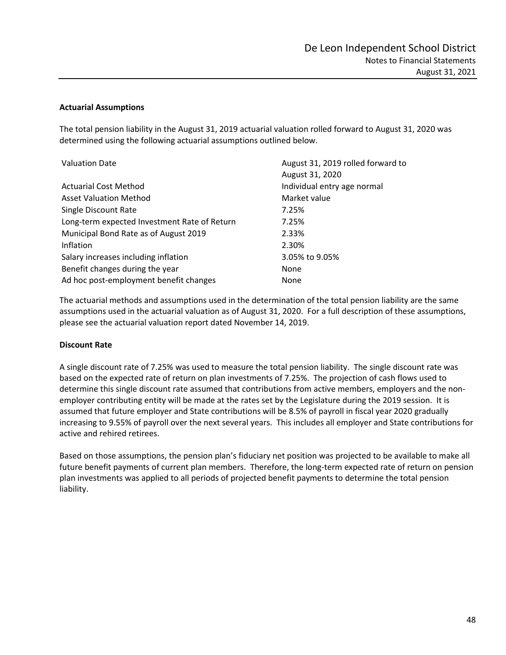## **Actuarial Assumptions**

The total pension liability in the August 31, 2019 actuarial valuation rolled forward to August 31, 2020 was determined using the following actuarial assumptions outlined below.

| <b>Valuation Date</b>                        | August 31, 2019 rolled forward to |
|----------------------------------------------|-----------------------------------|
|                                              | August 31, 2020                   |
| <b>Actuarial Cost Method</b>                 | Individual entry age normal       |
| <b>Asset Valuation Method</b>                | Market value                      |
| Single Discount Rate                         | 7.25%                             |
| Long-term expected Investment Rate of Return | 7.25%                             |
| Municipal Bond Rate as of August 2019        | 2.33%                             |
| Inflation                                    | 2.30%                             |
| Salary increases including inflation         | 3.05% to 9.05%                    |
| Benefit changes during the year              | None                              |
| Ad hoc post-employment benefit changes       | None                              |

The actuarial methods and assumptions used in the determination of the total pension liability are the same assumptions used in the actuarial valuation as of August 31, 2020. For a full description of these assumptions, please see the actuarial valuation report dated November 14, 2019.

## **Discount Rate**

A single discount rate of 7.25% was used to measure the total pension liability. The single discount rate was based on the expected rate of return on plan investments of 7.25%. The projection of cash flows used to determine this single discount rate assumed that contributions from active members, employers and the nonemployer contributing entity will be made at the rates set by the Legislature during the 2019 session. It is assumed that future employer and State contributions will be 8.5% of payroll in fiscal year 2020 gradually increasing to 9.55% of payroll over the next several years. This includes all employer and State contributions for active and rehired retirees.

Based on those assumptions, the pension plan's fiduciary net position was projected to be available to make all future benefit payments of current plan members. Therefore, the long-term expected rate of return on pension plan investments was applied to all periods of projected benefit payments to determine the total pension liability.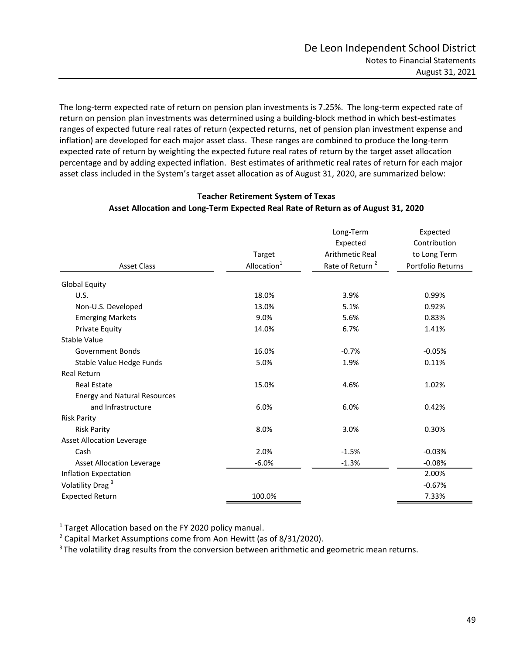The long-term expected rate of return on pension plan investments is 7.25%. The long-term expected rate of return on pension plan investments was determined using a building-block method in which best-estimates ranges of expected future real rates of return (expected returns, net of pension plan investment expense and inflation) are developed for each major asset class. These ranges are combined to produce the long-term expected rate of return by weighting the expected future real rates of return by the target asset allocation percentage and by adding expected inflation. Best estimates of arithmetic real rates of return for each major asset class included in the System's target asset allocation as of August 31, 2020, are summarized below:

## **Teacher Retirement System of Texas Asset Allocation and Long-Term Expected Real Rate of Return as of August 31, 2020**

|                                     |                         | Long-Term                   | Expected          |
|-------------------------------------|-------------------------|-----------------------------|-------------------|
|                                     |                         | Expected                    | Contribution      |
|                                     | Target                  | <b>Arithmetic Real</b>      | to Long Term      |
| <b>Asset Class</b>                  | Allocation <sup>1</sup> | Rate of Return <sup>2</sup> | Portfolio Returns |
| <b>Global Equity</b>                |                         |                             |                   |
| U.S.                                | 18.0%                   | 3.9%                        | 0.99%             |
| Non-U.S. Developed                  | 13.0%                   | 5.1%                        | 0.92%             |
| <b>Emerging Markets</b>             | 9.0%                    | 5.6%                        | 0.83%             |
| <b>Private Equity</b>               | 14.0%                   | 6.7%                        | 1.41%             |
| Stable Value                        |                         |                             |                   |
| <b>Government Bonds</b>             | 16.0%                   | $-0.7%$                     | $-0.05%$          |
| Stable Value Hedge Funds            | 5.0%                    | 1.9%                        | 0.11%             |
| <b>Real Return</b>                  |                         |                             |                   |
| <b>Real Estate</b>                  | 15.0%                   | 4.6%                        | 1.02%             |
| <b>Energy and Natural Resources</b> |                         |                             |                   |
| and Infrastructure                  | 6.0%                    | 6.0%                        | 0.42%             |
| <b>Risk Parity</b>                  |                         |                             |                   |
| <b>Risk Parity</b>                  | 8.0%                    | 3.0%                        | 0.30%             |
| <b>Asset Allocation Leverage</b>    |                         |                             |                   |
| Cash                                | 2.0%                    | $-1.5%$                     | $-0.03%$          |
| <b>Asset Allocation Leverage</b>    | $-6.0%$                 | $-1.3%$                     | $-0.08%$          |
| <b>Inflation Expectation</b>        |                         |                             | 2.00%             |
| Volatility Drag <sup>3</sup>        |                         |                             | $-0.67%$          |
| <b>Expected Return</b>              | 100.0%                  |                             | 7.33%             |

<sup>1</sup> Target Allocation based on the FY 2020 policy manual.

 $2$  Capital Market Assumptions come from Aon Hewitt (as of 8/31/2020).

<sup>3</sup> The volatility drag results from the conversion between arithmetic and geometric mean returns.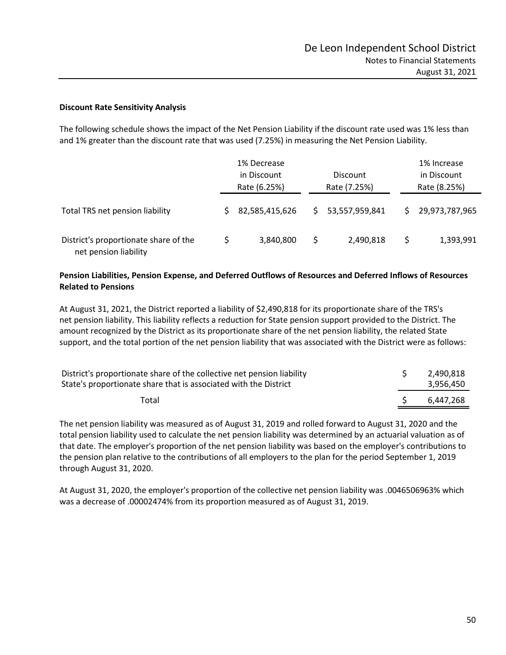## **Discount Rate Sensitivity Analysis**

The following schedule shows the impact of the Net Pension Liability if the discount rate used was 1% less than and 1% greater than the discount rate that was used (7.25%) in measuring the Net Pension Liability.

|                                                                | 1% Decrease<br>in Discount<br>Rate (6.25%) | <b>Discount</b><br>Rate (7.25%) |    | 1% Increase<br>in Discount<br>Rate (8.25%) |
|----------------------------------------------------------------|--------------------------------------------|---------------------------------|----|--------------------------------------------|
| Total TRS net pension liability                                | 82,585,415,626                             | 53,557,959,841                  | S. | 29,973,787,965                             |
| District's proportionate share of the<br>net pension liability | 3,840,800                                  | 2,490,818                       | \$ | 1,393,991                                  |

## **Pension Liabilities, Pension Expense, and Deferred Outflows of Resources and Deferred Inflows of Resources Related to Pensions**

At August 31, 2021, the District reported a liability of \$2,490,818 for its proportionate share of the TRS's net pension liability. This liability reflects a reduction for State pension support provided to the District. The amount recognized by the District as its proportionate share of the net pension liability, the related State support, and the total portion of the net pension liability that was associated with the District were as follows:

| District's proportionate share of the collective net pension liability<br>State's proportionate share that is associated with the District | 2,490,818<br>3.956.450 |
|--------------------------------------------------------------------------------------------------------------------------------------------|------------------------|
| Total                                                                                                                                      | 6.447.268              |

The net pension liability was measured as of August 31, 2019 and rolled forward to August 31, 2020 and the total pension liability used to calculate the net pension liability was determined by an actuarial valuation as of that date. The employer's proportion of the net pension liability was based on the employer's contributions to the pension plan relative to the contributions of all employers to the plan for the period September 1, 2019 through August 31, 2020.

At August 31, 2020, the employer's proportion of the collective net pension liability was .0046506963% which was a decrease of .00002474% from its proportion measured as of August 31, 2019.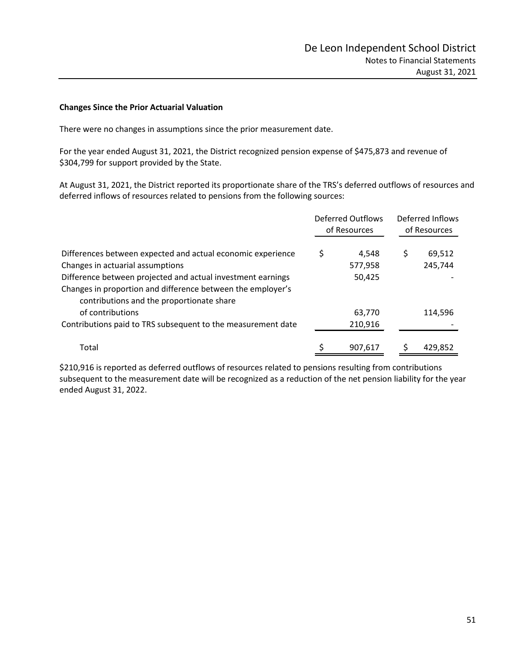## **Changes Since the Prior Actuarial Valuation**

There were no changes in assumptions since the prior measurement date.

For the year ended August 31, 2021, the District recognized pension expense of \$475,873 and revenue of \$304,799 for support provided by the State.

At August 31, 2021, the District reported its proportionate share of the TRS's deferred outflows of resources and deferred inflows of resources related to pensions from the following sources:

|                                                                                                          | <b>Deferred Outflows</b><br>of Resources | Deferred Inflows<br>of Resources |         |
|----------------------------------------------------------------------------------------------------------|------------------------------------------|----------------------------------|---------|
| Differences between expected and actual economic experience                                              | \$<br>4,548                              | \$                               | 69,512  |
| Changes in actuarial assumptions                                                                         | 577,958                                  |                                  | 245,744 |
| Difference between projected and actual investment earnings                                              | 50,425                                   |                                  |         |
| Changes in proportion and difference between the employer's<br>contributions and the proportionate share |                                          |                                  |         |
| of contributions                                                                                         | 63,770                                   |                                  | 114.596 |
| Contributions paid to TRS subsequent to the measurement date                                             | 210,916                                  |                                  |         |
| Total                                                                                                    | 907.617                                  | S                                | 429,852 |

\$210,916 is reported as deferred outflows of resources related to pensions resulting from contributions subsequent to the measurement date will be recognized as a reduction of the net pension liability for the year ended August 31, 2022.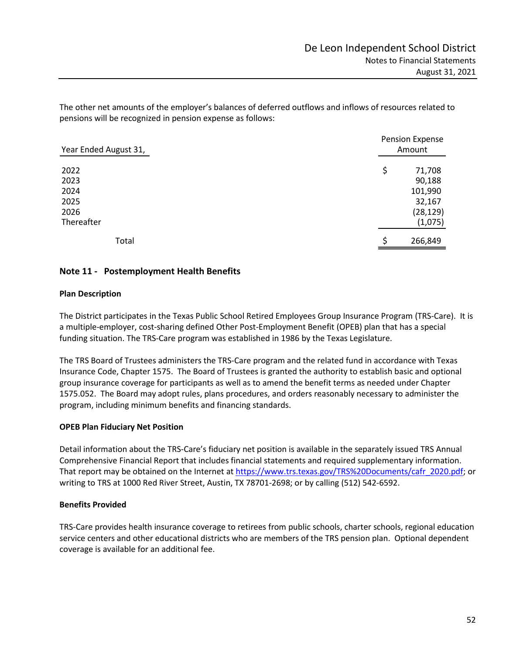The other net amounts of the employer's balances of deferred outflows and inflows of resources related to pensions will be recognized in pension expense as follows:

| Year Ended August 31,                              | <b>Pension Expense</b><br>Amount                                    |
|----------------------------------------------------|---------------------------------------------------------------------|
| 2022<br>2023<br>2024<br>2025<br>2026<br>Thereafter | \$<br>71,708<br>90,188<br>101,990<br>32,167<br>(28, 129)<br>(1,075) |
| Total                                              | 266,849                                                             |

## **Note 11 - Postemployment Health Benefits**

## **Plan Description**

The District participates in the Texas Public School Retired Employees Group Insurance Program (TRS-Care). It is a multiple-employer, cost-sharing defined Other Post-Employment Benefit (OPEB) plan that has a special funding situation. The TRS-Care program was established in 1986 by the Texas Legislature.

The TRS Board of Trustees administers the TRS-Care program and the related fund in accordance with Texas Insurance Code, Chapter 1575. The Board of Trustees is granted the authority to establish basic and optional group insurance coverage for participants as well as to amend the benefit terms as needed under Chapter 1575.052. The Board may adopt rules, plans procedures, and orders reasonably necessary to administer the program, including minimum benefits and financing standards.

## **OPEB Plan Fiduciary Net Position**

Detail information about the TRS-Care's fiduciary net position is available in the separately issued TRS Annual Comprehensive Financial Report that includes financial statements and required supplementary information. That report may be obtained on the Internet at [https://www.trs.texas.gov/TRS%20Documents/cafr\\_2020.pdf;](https://www.trs.texas.gov/TRS%20Documents/cafr_2020.pdf) or writing to TRS at 1000 Red River Street, Austin, TX 78701-2698; or by calling (512) 542-6592.

## **Benefits Provided**

TRS-Care provides health insurance coverage to retirees from public schools, charter schools, regional education service centers and other educational districts who are members of the TRS pension plan. Optional dependent coverage is available for an additional fee.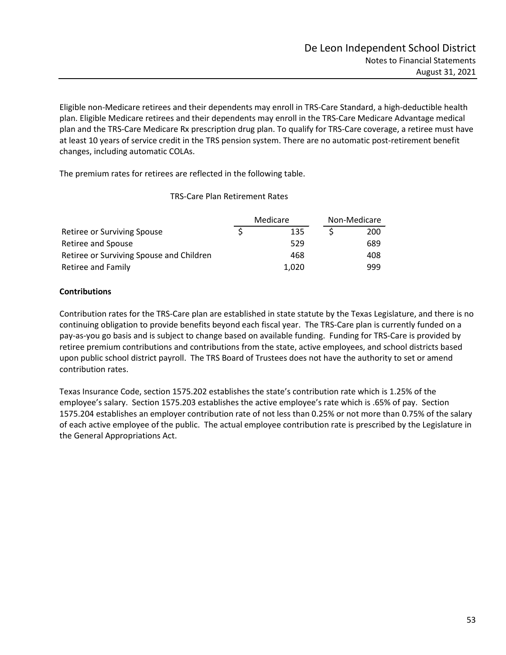Eligible non-Medicare retirees and their dependents may enroll in TRS-Care Standard, a high-deductible health plan. Eligible Medicare retirees and their dependents may enroll in the TRS-Care Medicare Advantage medical plan and the TRS-Care Medicare Rx prescription drug plan. To qualify for TRS-Care coverage, a retiree must have at least 10 years of service credit in the TRS pension system. There are no automatic post-retirement benefit changes, including automatic COLAs.

The premium rates for retirees are reflected in the following table.

## TRS-Care Plan Retirement Rates

|                                          | Medicare | Non-Medicare |
|------------------------------------------|----------|--------------|
| Retiree or Surviving Spouse              | 135      | 200          |
| Retiree and Spouse                       | 529      | 689          |
| Retiree or Surviving Spouse and Children | 468      | 408          |
| Retiree and Family                       | 1.020    | 999          |

## **Contributions**

Contribution rates for the TRS-Care plan are established in state statute by the Texas Legislature, and there is no continuing obligation to provide benefits beyond each fiscal year. The TRS-Care plan is currently funded on a pay-as-you go basis and is subject to change based on available funding. Funding for TRS-Care is provided by retiree premium contributions and contributions from the state, active employees, and school districts based upon public school district payroll. The TRS Board of Trustees does not have the authority to set or amend contribution rates.

Texas Insurance Code, section 1575.202 establishes the state's contribution rate which is 1.25% of the employee's salary. Section 1575.203 establishes the active employee's rate which is .65% of pay. Section 1575.204 establishes an employer contribution rate of not less than 0.25% or not more than 0.75% of the salary of each active employee of the public. The actual employee contribution rate is prescribed by the Legislature in the General Appropriations Act.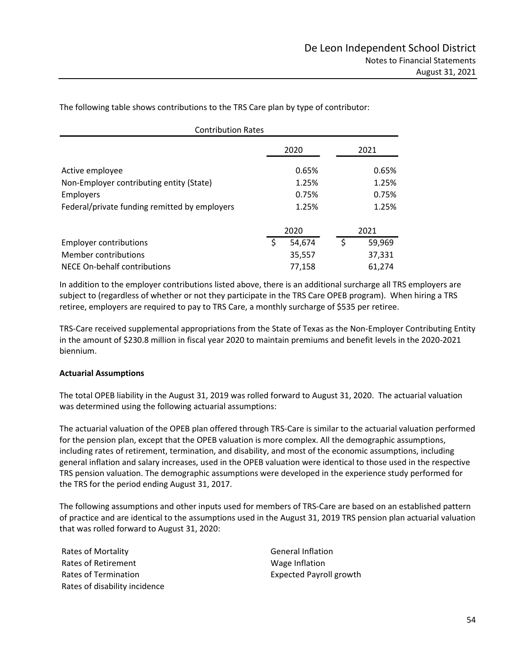2020 2021 Active employee and the control of the control of the control of the control of the control of the control of the control of the control of the control of the control of the control of the control of the control of the con Non-Employer contributing entity (State) 1.25% 1.25% Employers 0.75% 0.75% Federal/private funding remitted by employers 1.25% 1.25% 2020 2021 Employer contributions  $\begin{array}{ccc} 5 & 54,674 & 5 & 59,969 \end{array}$ Member contributions 1990 100 35,557 37,331 NECE On-behalf contributions 61,274 Contribution Rates

The following table shows contributions to the TRS Care plan by type of contributor:

In addition to the employer contributions listed above, there is an additional surcharge all TRS employers are subject to (regardless of whether or not they participate in the TRS Care OPEB program). When hiring a TRS retiree, employers are required to pay to TRS Care, a monthly surcharge of \$535 per retiree.

TRS-Care received supplemental appropriations from the State of Texas as the Non-Employer Contributing Entity in the amount of \$230.8 million in fiscal year 2020 to maintain premiums and benefit levels in the 2020-2021 biennium.

## **Actuarial Assumptions**

The total OPEB liability in the August 31, 2019 was rolled forward to August 31, 2020. The actuarial valuation was determined using the following actuarial assumptions:

The actuarial valuation of the OPEB plan offered through TRS-Care is similar to the actuarial valuation performed for the pension plan, except that the OPEB valuation is more complex. All the demographic assumptions, including rates of retirement, termination, and disability, and most of the economic assumptions, including general inflation and salary increases, used in the OPEB valuation were identical to those used in the respective TRS pension valuation. The demographic assumptions were developed in the experience study performed for the TRS for the period ending August 31, 2017.

The following assumptions and other inputs used for members of TRS-Care are based on an established pattern of practice and are identical to the assumptions used in the August 31, 2019 TRS pension plan actuarial valuation that was rolled forward to August 31, 2020:

Rates of Mortality **General Inflation** Rates of Retirement Nation Network Channels and Mage Inflation Rates of Termination **Expected Payroll growth** Rates of disability incidence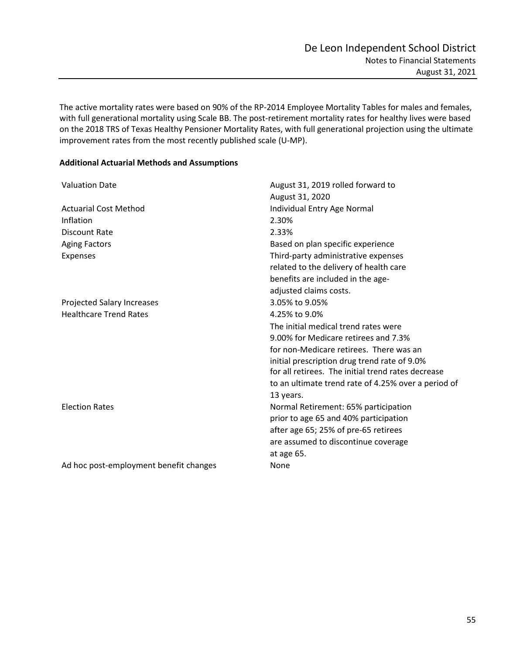The active mortality rates were based on 90% of the RP-2014 Employee Mortality Tables for males and females, with full generational mortality using Scale BB. The post-retirement mortality rates for healthy lives were based on the 2018 TRS of Texas Healthy Pensioner Mortality Rates, with full generational projection using the ultimate improvement rates from the most recently published scale (U-MP).

#### **Additional Actuarial Methods and Assumptions**

| <b>Valuation Date</b>                  | August 31, 2019 rolled forward to                                                                  |
|----------------------------------------|----------------------------------------------------------------------------------------------------|
|                                        | August 31, 2020                                                                                    |
| <b>Actuarial Cost Method</b>           | Individual Entry Age Normal                                                                        |
| Inflation                              | 2.30%                                                                                              |
| Discount Rate                          | 2.33%                                                                                              |
| <b>Aging Factors</b>                   | Based on plan specific experience                                                                  |
| Expenses                               | Third-party administrative expenses                                                                |
|                                        | related to the delivery of health care                                                             |
|                                        | benefits are included in the age-                                                                  |
|                                        | adjusted claims costs.                                                                             |
| <b>Projected Salary Increases</b>      | 3.05% to 9.05%                                                                                     |
| <b>Healthcare Trend Rates</b>          | 4.25% to 9.0%                                                                                      |
|                                        | The initial medical trend rates were                                                               |
|                                        | 9.00% for Medicare retirees and 7.3%                                                               |
|                                        | for non-Medicare retirees. There was an                                                            |
|                                        | initial prescription drug trend rate of 9.0%<br>for all retirees. The initial trend rates decrease |
|                                        | to an ultimate trend rate of 4.25% over a period of                                                |
|                                        | 13 years.                                                                                          |
| <b>Election Rates</b>                  | Normal Retirement: 65% participation                                                               |
|                                        | prior to age 65 and 40% participation                                                              |
|                                        | after age 65; 25% of pre-65 retirees                                                               |
|                                        | are assumed to discontinue coverage                                                                |
|                                        | at age 65.                                                                                         |
| Ad hoc post-employment benefit changes | None                                                                                               |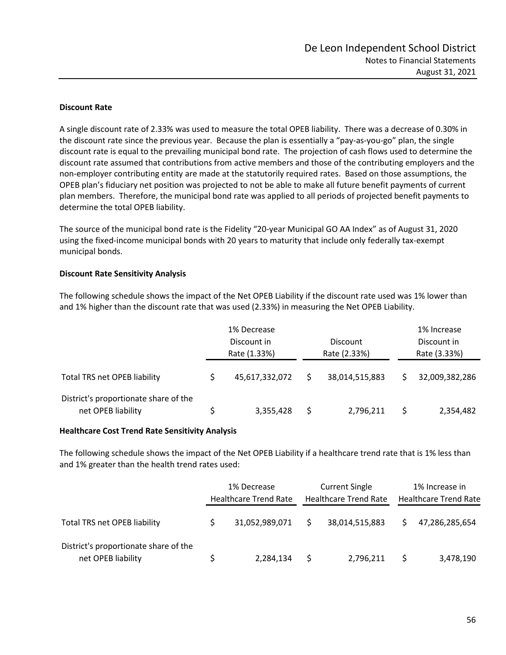## **Discount Rate**

A single discount rate of 2.33% was used to measure the total OPEB liability. There was a decrease of 0.30% in the discount rate since the previous year. Because the plan is essentially a "pay-as-you-go" plan, the single discount rate is equal to the prevailing municipal bond rate. The projection of cash flows used to determine the discount rate assumed that contributions from active members and those of the contributing employers and the non-employer contributing entity are made at the statutorily required rates. Based on those assumptions, the OPEB plan's fiduciary net position was projected to not be able to make all future benefit payments of current plan members. Therefore, the municipal bond rate was applied to all periods of projected benefit payments to determine the total OPEB liability.

The source of the municipal bond rate is the Fidelity "20-year Municipal GO AA Index" as of August 31, 2020 using the fixed-income municipal bonds with 20 years to maturity that include only federally tax-exempt municipal bonds.

#### **Discount Rate Sensitivity Analysis**

The following schedule shows the impact of the Net OPEB Liability if the discount rate used was 1% lower than and 1% higher than the discount rate that was used (2.33%) in measuring the Net OPEB Liability.

|                                                             | 1% Decrease<br>Discount in<br>Rate (1.33%) | <b>Discount</b><br>Rate (2.33%) |                | 1% Increase<br>Discount in<br>Rate (3.33%) |  |
|-------------------------------------------------------------|--------------------------------------------|---------------------------------|----------------|--------------------------------------------|--|
| Total TRS net OPEB liability                                | 45,617,332,072                             |                                 | 38,014,515,883 | 32,009,382,286                             |  |
| District's proportionate share of the<br>net OPEB liability | 3,355,428                                  | \$                              | 2,796,211      | 2,354,482                                  |  |

#### **Healthcare Cost Trend Rate Sensitivity Analysis**

The following schedule shows the impact of the Net OPEB Liability if a healthcare trend rate that is 1% less than and 1% greater than the health trend rates used:

|                                                             | 1% Decrease<br><b>Healthcare Trend Rate</b> |  | <b>Current Single</b><br><b>Healthcare Trend Rate</b> | 1% Increase in<br><b>Healthcare Trend Rate</b> |
|-------------------------------------------------------------|---------------------------------------------|--|-------------------------------------------------------|------------------------------------------------|
| <b>Total TRS net OPEB liability</b>                         | 31,052,989,071                              |  | 38,014,515,883                                        | 47,286,285,654                                 |
| District's proportionate share of the<br>net OPEB liability | 2,284,134                                   |  | 2,796,211                                             | 3,478,190                                      |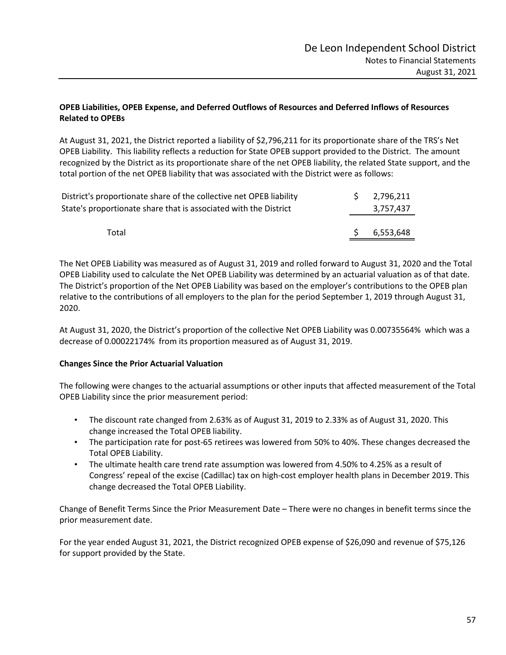## **OPEB Liabilities, OPEB Expense, and Deferred Outflows of Resources and Deferred Inflows of Resources Related to OPEBs**

At August 31, 2021, the District reported a liability of \$2,796,211 for its proportionate share of the TRS's Net OPEB Liability. This liability reflects a reduction for State OPEB support provided to the District. The amount recognized by the District as its proportionate share of the net OPEB liability, the related State support, and the total portion of the net OPEB liability that was associated with the District were as follows:

| District's proportionate share of the collective net OPEB liability |    | 2.796.211 |
|---------------------------------------------------------------------|----|-----------|
| State's proportionate share that is associated with the District    |    | 3.757.437 |
|                                                                     |    |           |
| Total                                                               | S. | 6.553.648 |

The Net OPEB Liability was measured as of August 31, 2019 and rolled forward to August 31, 2020 and the Total OPEB Liability used to calculate the Net OPEB Liability was determined by an actuarial valuation as of that date. The District's proportion of the Net OPEB Liability was based on the employer's contributions to the OPEB plan relative to the contributions of all employers to the plan for the period September 1, 2019 through August 31, 2020.

At August 31, 2020, the District's proportion of the collective Net OPEB Liability was 0.00735564% which was a decrease of 0.00022174% from its proportion measured as of August 31, 2019.

## **Changes Since the Prior Actuarial Valuation**

The following were changes to the actuarial assumptions or other inputs that affected measurement of the Total OPEB Liability since the prior measurement period:

- The discount rate changed from 2.63% as of August 31, 2019 to 2.33% as of August 31, 2020. This change increased the Total OPEB liability.
- The participation rate for post-65 retirees was lowered from 50% to 40%. These changes decreased the Total OPEB Liability.
- The ultimate health care trend rate assumption was lowered from 4.50% to 4.25% as a result of Congress' repeal of the excise (Cadillac) tax on high-cost employer health plans in December 2019. This change decreased the Total OPEB Liability.

Change of Benefit Terms Since the Prior Measurement Date – There were no changes in benefit terms since the prior measurement date.

For the year ended August 31, 2021, the District recognized OPEB expense of \$26,090 and revenue of \$75,126 for support provided by the State.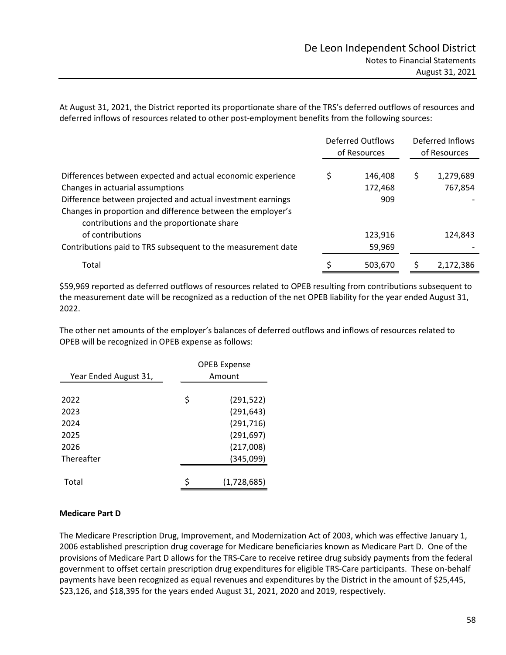At August 31, 2021, the District reported its proportionate share of the TRS's deferred outflows of resources and deferred inflows of resources related to other post-employment benefits from the following sources:

|                                                                                                          | <b>Deferred Outflows</b><br>of Resources |    | Deferred Inflows<br>of Resources |
|----------------------------------------------------------------------------------------------------------|------------------------------------------|----|----------------------------------|
| Differences between expected and actual economic experience                                              | \$<br>146,408                            | Ş. | 1,279,689                        |
| Changes in actuarial assumptions                                                                         | 172,468                                  |    | 767,854                          |
| Difference between projected and actual investment earnings                                              | 909                                      |    |                                  |
| Changes in proportion and difference between the employer's<br>contributions and the proportionate share |                                          |    |                                  |
| of contributions                                                                                         | 123,916                                  |    | 124,843                          |
| Contributions paid to TRS subsequent to the measurement date                                             | 59,969                                   |    |                                  |
| Total                                                                                                    | 503,670                                  |    | 2,172,386                        |
|                                                                                                          |                                          |    |                                  |

\$59,969 reported as deferred outflows of resources related to OPEB resulting from contributions subsequent to the measurement date will be recognized as a reduction of the net OPEB liability for the year ended August 31, 2022.

The other net amounts of the employer's balances of deferred outflows and inflows of resources related to OPEB will be recognized in OPEB expense as follows:

|                       | <b>OPEB Expense</b> |  |  |  |  |  |
|-----------------------|---------------------|--|--|--|--|--|
| Year Ended August 31, | Amount              |  |  |  |  |  |
|                       |                     |  |  |  |  |  |
| 2022                  | \$<br>(291, 522)    |  |  |  |  |  |
| 2023                  | (291, 643)          |  |  |  |  |  |
| 2024                  | (291, 716)          |  |  |  |  |  |
| 2025                  | (291, 697)          |  |  |  |  |  |
| 2026                  | (217,008)           |  |  |  |  |  |
| Thereafter            | (345,099)           |  |  |  |  |  |
|                       |                     |  |  |  |  |  |
| Total                 | (1,728,685)         |  |  |  |  |  |

## **Medicare Part D**

The Medicare Prescription Drug, Improvement, and Modernization Act of 2003, which was effective January 1, 2006 established prescription drug coverage for Medicare beneficiaries known as Medicare Part D. One of the provisions of Medicare Part D allows for the TRS-Care to receive retiree drug subsidy payments from the federal government to offset certain prescription drug expenditures for eligible TRS-Care participants. These on-behalf payments have been recognized as equal revenues and expenditures by the District in the amount of \$25,445, \$23,126, and \$18,395 for the years ended August 31, 2021, 2020 and 2019, respectively.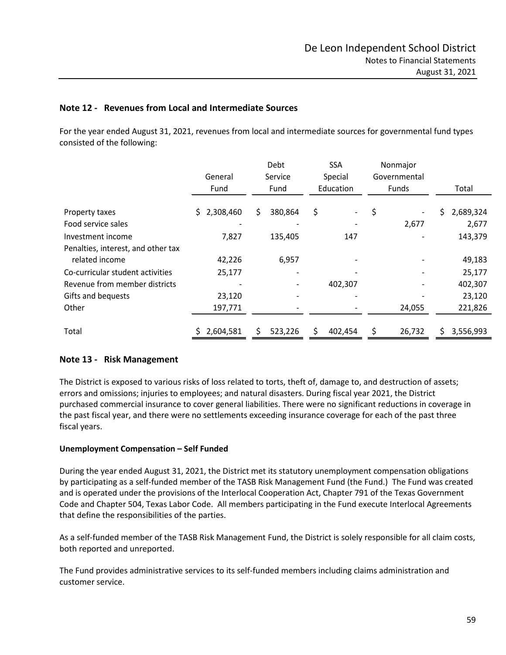## **Note 12 - Revenues from Local and Intermediate Sources**

For the year ended August 31, 2021, revenues from local and intermediate sources for governmental fund types consisted of the following:

|                                    |             | Debt          | <b>SSA</b> | Nonmajor     |                 |
|------------------------------------|-------------|---------------|------------|--------------|-----------------|
|                                    | General     | Service       | Special    | Governmental |                 |
|                                    | Fund        | Fund          | Education  | <b>Funds</b> | Total           |
| Property taxes                     | \$2,308,460 | \$<br>380,864 | \$         | \$           | \$<br>2,689,324 |
| Food service sales                 |             |               |            | 2,677        | 2,677           |
| Investment income                  | 7,827       | 135,405       | 147        |              | 143,379         |
| Penalties, interest, and other tax |             |               |            |              |                 |
| related income                     | 42,226      | 6,957         |            |              | 49,183          |
| Co-curricular student activities   | 25,177      |               |            |              | 25,177          |
| Revenue from member districts      |             |               | 402,307    |              | 402,307         |
| Gifts and bequests                 | 23,120      |               |            |              | 23,120          |
| Other                              | 197,771     |               |            | 24,055       | 221,826         |
| Total                              | 2,604,581   | 523,226       | 402,454    | \$<br>26,732 | 3,556,993       |

## **Note 13 - Risk Management**

The District is exposed to various risks of loss related to torts, theft of, damage to, and destruction of assets; errors and omissions; injuries to employees; and natural disasters. During fiscal year 2021, the District purchased commercial insurance to cover general liabilities. There were no significant reductions in coverage in the past fiscal year, and there were no settlements exceeding insurance coverage for each of the past three fiscal years.

## **Unemployment Compensation – Self Funded**

During the year ended August 31, 2021, the District met its statutory unemployment compensation obligations by participating as a self-funded member of the TASB Risk Management Fund (the Fund.) The Fund was created and is operated under the provisions of the Interlocal Cooperation Act, Chapter 791 of the Texas Government Code and Chapter 504, Texas Labor Code. All members participating in the Fund execute Interlocal Agreements that define the responsibilities of the parties.

As a self-funded member of the TASB Risk Management Fund, the District is solely responsible for all claim costs, both reported and unreported.

The Fund provides administrative services to its self-funded members including claims administration and customer service.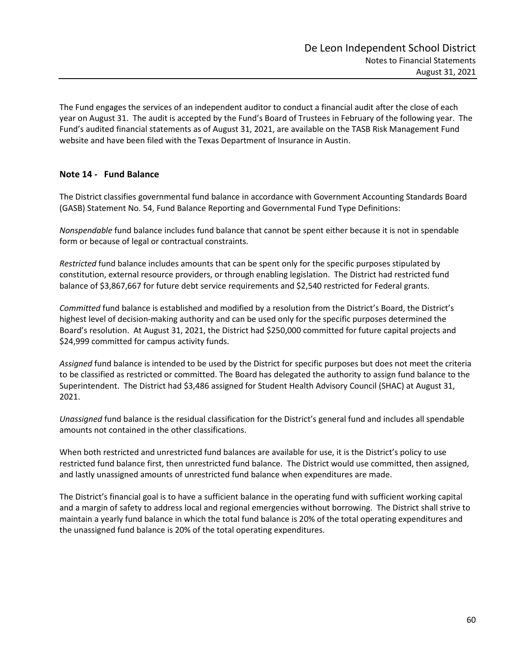The Fund engages the services of an independent auditor to conduct a financial audit after the close of each year on August 31. The audit is accepted by the Fund's Board of Trustees in February of the following year. The Fund's audited financial statements as of August 31, 2021, are available on the TASB Risk Management Fund website and have been filed with the Texas Department of Insurance in Austin.

## **Note 14 - Fund Balance**

The District classifies governmental fund balance in accordance with Government Accounting Standards Board (GASB) Statement No. 54, Fund Balance Reporting and Governmental Fund Type Definitions:

*Nonspendable* fund balance includes fund balance that cannot be spent either because it is not in spendable form or because of legal or contractual constraints.

*Restricted* fund balance includes amounts that can be spent only for the specific purposes stipulated by constitution, external resource providers, or through enabling legislation. The District had restricted fund balance of \$3,867,667 for future debt service requirements and \$2,540 restricted for Federal grants.

*Committed* fund balance is established and modified by a resolution from the District's Board, the District's highest level of decision-making authority and can be used only for the specific purposes determined the Board's resolution. At August 31, 2021, the District had \$250,000 committed for future capital projects and \$24,999 committed for campus activity funds.

*Assigned* fund balance is intended to be used by the District for specific purposes but does not meet the criteria to be classified as restricted or committed. The Board has delegated the authority to assign fund balance to the Superintendent. The District had \$3,486 assigned for Student Health Advisory Council (SHAC) at August 31, 2021.

*Unassigned* fund balance is the residual classification for the District's general fund and includes all spendable amounts not contained in the other classifications.

When both restricted and unrestricted fund balances are available for use, it is the District's policy to use restricted fund balance first, then unrestricted fund balance. The District would use committed, then assigned, and lastly unassigned amounts of unrestricted fund balance when expenditures are made.

The District's financial goal is to have a sufficient balance in the operating fund with sufficient working capital and a margin of safety to address local and regional emergencies without borrowing. The District shall strive to maintain a yearly fund balance in which the total fund balance is 20% of the total operating expenditures and the unassigned fund balance is 20% of the total operating expenditures.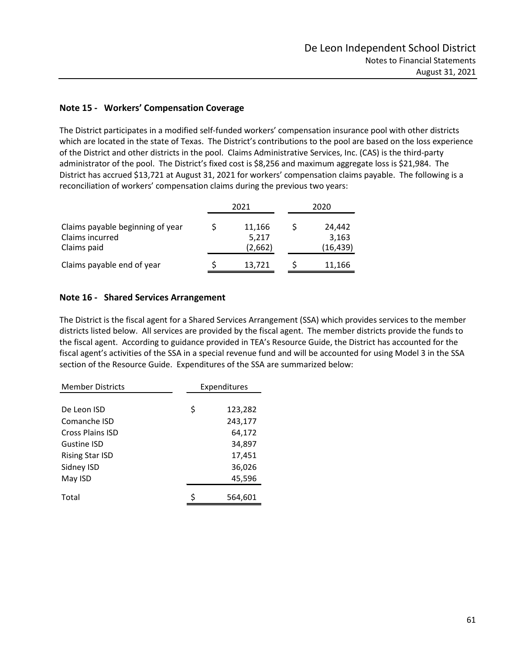## **Note 15 - Workers' Compensation Coverage**

The District participates in a modified self-funded workers' compensation insurance pool with other districts which are located in the state of Texas. The District's contributions to the pool are based on the loss experience of the District and other districts in the pool. Claims Administrative Services, Inc. (CAS) is the third-party administrator of the pool. The District's fixed cost is \$8,256 and maximum aggregate loss is \$21,984. The District has accrued \$13,721 at August 31, 2021 for workers' compensation claims payable. The following is a reconciliation of workers' compensation claims during the previous two years:

|                                                                    | 2021                       | 2020                         |
|--------------------------------------------------------------------|----------------------------|------------------------------|
| Claims payable beginning of year<br>Claims incurred<br>Claims paid | 11,166<br>5,217<br>(2,662) | 24,442<br>3,163<br>(16, 439) |
| Claims payable end of year                                         | 13,721                     | 11,166                       |

## **Note 16 - Shared Services Arrangement**

The District is the fiscal agent for a Shared Services Arrangement (SSA) which provides services to the member districts listed below. All services are provided by the fiscal agent. The member districts provide the funds to the fiscal agent. According to guidance provided in TEA's Resource Guide, the District has accounted for the fiscal agent's activities of the SSA in a special revenue fund and will be accounted for using Model 3 in the SSA section of the Resource Guide. Expenditures of the SSA are summarized below:

| <b>Member Districts</b> | Expenditures |         |  |  |  |  |
|-------------------------|--------------|---------|--|--|--|--|
|                         |              |         |  |  |  |  |
| De Leon ISD             | \$           | 123,282 |  |  |  |  |
| Comanche ISD            |              | 243,177 |  |  |  |  |
| <b>Cross Plains ISD</b> |              | 64,172  |  |  |  |  |
| Gustine ISD             |              | 34,897  |  |  |  |  |
| <b>Rising Star ISD</b>  |              | 17,451  |  |  |  |  |
| Sidney ISD              |              | 36,026  |  |  |  |  |
| May ISD                 |              | 45,596  |  |  |  |  |
| Total                   | S            | 564,601 |  |  |  |  |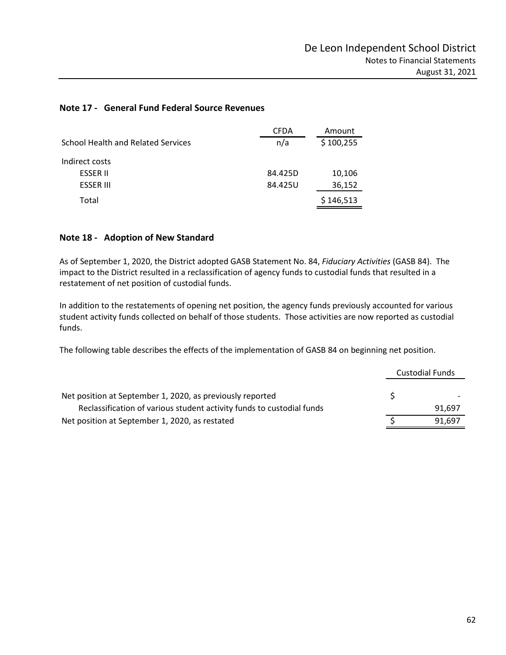## **Note 17 - General Fund Federal Source Revenues**

|                                    | <b>CFDA</b> | Amount    |
|------------------------------------|-------------|-----------|
| School Health and Related Services | n/a         | \$100,255 |
| Indirect costs                     |             |           |
| <b>ESSER II</b>                    | 84.425D     | 10,106    |
| <b>ESSER III</b>                   | 84.425U     | 36,152    |
| Total                              |             | \$146,513 |

## **Note 18 - Adoption of New Standard**

As of September 1, 2020, the District adopted GASB Statement No. 84, *Fiduciary Activities* (GASB 84). The impact to the District resulted in a reclassification of agency funds to custodial funds that resulted in a restatement of net position of custodial funds.

In addition to the restatements of opening net position, the agency funds previously accounted for various student activity funds collected on behalf of those students. Those activities are now reported as custodial funds.

The following table describes the effects of the implementation of GASB 84 on beginning net position.

|                                                                       | <b>Custodial Funds</b> |
|-----------------------------------------------------------------------|------------------------|
| Net position at September 1, 2020, as previously reported             |                        |
| Reclassification of various student activity funds to custodial funds | 91.697                 |
| Net position at September 1, 2020, as restated                        | 91.697                 |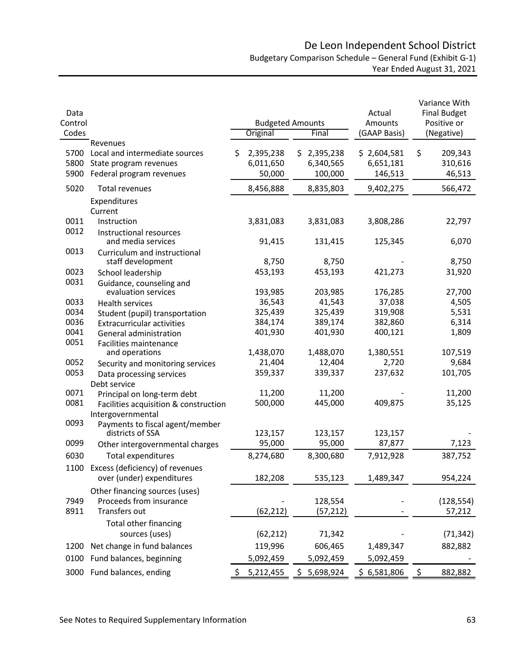# De Leon Independent School District

Budgetary Comparison Schedule – General Fund (Exhibit G-1)

Year Ended August 31, 2021

| Data    |                                                              |   |                         |                  | Actual          | Variance With<br><b>Final Budget</b> |
|---------|--------------------------------------------------------------|---|-------------------------|------------------|-----------------|--------------------------------------|
| Control |                                                              |   | <b>Budgeted Amounts</b> |                  | Amounts         | Positive or                          |
| Codes   |                                                              |   | Original                | Final            | (GAAP Basis)    | (Negative)                           |
|         | Revenues                                                     |   |                         |                  |                 |                                      |
| 5700    | Local and intermediate sources                               | Ś | 2,395,238               | 2,395,238<br>\$. | \$2,604,581     | \$<br>209,343                        |
| 5800    | State program revenues                                       |   | 6,011,650               | 6,340,565        | 6,651,181       | 310,616                              |
| 5900    | Federal program revenues                                     |   | 50,000                  | 100,000          | 146,513         | 46,513                               |
| 5020    | Total revenues                                               |   | 8,456,888               | 8,835,803        | 9,402,275       | 566,472                              |
|         | Expenditures                                                 |   |                         |                  |                 |                                      |
|         | Current                                                      |   |                         |                  |                 |                                      |
| 0011    | Instruction                                                  |   | 3,831,083               | 3,831,083        | 3,808,286       | 22,797                               |
| 0012    | Instructional resources<br>and media services                |   |                         |                  |                 |                                      |
| 0013    |                                                              |   | 91,415                  | 131,415          | 125,345         | 6,070                                |
|         | Curriculum and instructional<br>staff development            |   | 8,750                   | 8,750            |                 | 8,750                                |
| 0023    | School leadership                                            |   | 453,193                 | 453,193          | 421,273         | 31,920                               |
| 0031    | Guidance, counseling and                                     |   |                         |                  |                 |                                      |
|         | evaluation services                                          |   | 193,985                 | 203,985          | 176,285         | 27,700                               |
| 0033    | <b>Health services</b>                                       |   | 36,543                  | 41,543           | 37,038          | 4,505                                |
| 0034    | Student (pupil) transportation                               |   | 325,439                 | 325,439          | 319,908         | 5,531                                |
| 0036    | <b>Extracurricular activities</b>                            |   | 384,174                 | 389,174          | 382,860         | 6,314                                |
| 0041    | General administration                                       |   | 401,930                 | 401,930          | 400,121         | 1,809                                |
| 0051    | Facilities maintenance                                       |   |                         |                  |                 |                                      |
|         | and operations                                               |   | 1,438,070               | 1,488,070        | 1,380,551       | 107,519                              |
| 0052    |                                                              |   | 21,404                  | 12,404           | 2,720           | 9,684                                |
| 0053    | Security and monitoring services<br>Data processing services |   | 359,337                 | 339,337          | 237,632         | 101,705                              |
|         | Debt service                                                 |   |                         |                  |                 |                                      |
| 0071    | Principal on long-term debt                                  |   | 11,200                  | 11,200           |                 | 11,200                               |
| 0081    | Facilities acquisition & construction                        |   | 500,000                 | 445,000          | 409,875         | 35,125                               |
|         | Intergovernmental                                            |   |                         |                  |                 |                                      |
| 0093    | Payments to fiscal agent/member                              |   |                         |                  |                 |                                      |
|         | districts of SSA                                             |   | 123,157                 | 123,157          | 123,157         |                                      |
| 0099    | Other intergovernmental charges                              |   | 95,000                  | 95,000           | 87,877          | 7,123                                |
| 6030    | <b>Total expenditures</b>                                    |   | 8,274,680               | 8,300,680        | 7,912,928       | 387,752                              |
|         |                                                              |   |                         |                  |                 |                                      |
| 1100    | Excess (deficiency) of revenues                              |   |                         |                  |                 |                                      |
|         | over (under) expenditures                                    |   | 182,208                 | 535,123          | 1,489,347       | 954,224                              |
|         | Other financing sources (uses)                               |   |                         |                  |                 |                                      |
| 7949    | Proceeds from insurance                                      |   |                         | 128,554          |                 | (128, 554)                           |
| 8911    | Transfers out                                                |   | (62, 212)               | (57, 212)        |                 | 57,212                               |
|         | Total other financing                                        |   |                         |                  |                 |                                      |
|         | sources (uses)                                               |   | (62, 212)               | 71,342           |                 | (71, 342)                            |
| 1200    | Net change in fund balances                                  |   | 119,996                 | 606,465          | 1,489,347       | 882,882                              |
| 0100    | Fund balances, beginning                                     |   | 5,092,459               | 5,092,459        | 5,092,459       |                                      |
| 3000    | Fund balances, ending                                        |   | 5,212,455               | 5,698,924        | \$<br>6,581,806 | \$<br>882,882                        |
|         |                                                              |   |                         |                  |                 |                                      |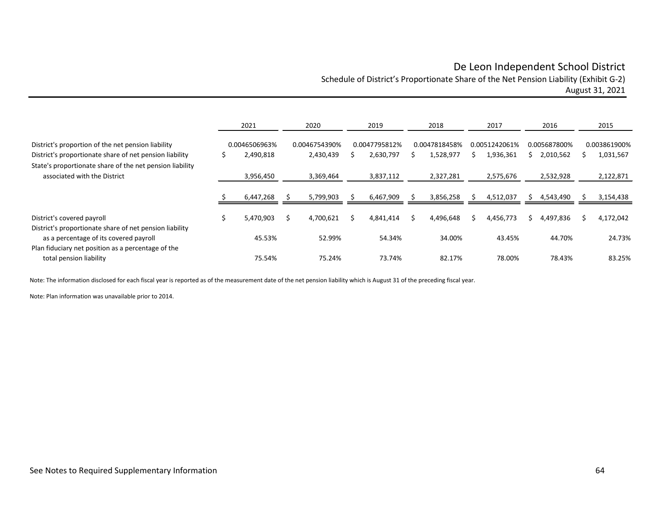# De Leon Independent School District

Schedule of District's Proportionate Share of the Net Pension Liability (Exhibit G-2) August 31, 2021

| 2021                                                                                                                                                                      |  | 2020                       |  | 2019                       |  | 2018                       |   | 2017                            |        | 2016                       |        |                                 | 2015 |                           |
|---------------------------------------------------------------------------------------------------------------------------------------------------------------------------|--|----------------------------|--|----------------------------|--|----------------------------|---|---------------------------------|--------|----------------------------|--------|---------------------------------|------|---------------------------|
| District's proportion of the net pension liability<br>District's proportionate share of net pension liability<br>State's proportionate share of the net pension liability |  | 0.0046506963%<br>2,490,818 |  | 0.0046754390%<br>2,430,439 |  | 0.0047795812%<br>2,630,797 |   | 0.0047818458%<br>1,528,977<br>S |        | 0.0051242061%<br>1,936,361 |        | 0.005687800%<br>2,010,562<br>S. |      | 0.003861900%<br>1,031,567 |
| associated with the District                                                                                                                                              |  | 3,956,450                  |  | 3,369,464                  |  | 3,837,112                  |   | 2,327,281                       |        | 2,575,676                  |        | 2,532,928                       |      | 2,122,871                 |
|                                                                                                                                                                           |  | 6,447,268                  |  | 5,799,903                  |  | 6,467,909                  | S | 3,856,258                       | S.     | 4,512,037                  | S.     | 4,543,490                       |      | 3,154,438                 |
| District's covered payroll<br>District's proportionate share of net pension liability                                                                                     |  | 5,470,903                  |  | 4,700,621                  |  | 4,841,414                  |   | 4,496,648                       |        | 4,456,773                  | S.     | 1,497,836                       |      | 4,172,042                 |
| as a percentage of its covered payroll<br>Plan fiduciary net position as a percentage of the<br>total pension liability                                                   |  | 45.53%                     |  | 52.99%                     |  | 54.34%                     |   | 34.00%                          | 43.45% |                            | 44.70% |                                 |      | 24.73%                    |
|                                                                                                                                                                           |  | 75.54%                     |  | 75.24%                     |  | 73.74%                     |   | 82.17%                          |        | 78.00%                     |        | 78.43%                          |      | 83.25%                    |

Note: The information disclosed for each fiscal year is reported as of the measurement date of the net pension liability which is August 31 of the preceding fiscal year.

Note: Plan information was unavailable prior to 2014.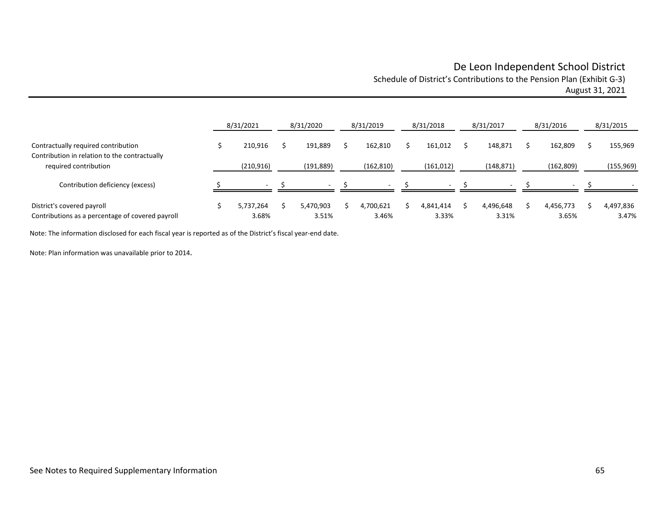# De Leon Independent School District

Schedule of District's Contributions to the Pension Plan (Exhibit G-3) August 31, 2021

|                                                                                      |  | 8/31/2021          |  | 8/31/2020          |  | 8/31/2019          |  | 8/31/2018                |  | 8/31/2017          |  | 8/31/2016                |  | 8/31/2015          |  |
|--------------------------------------------------------------------------------------|--|--------------------|--|--------------------|--|--------------------|--|--------------------------|--|--------------------|--|--------------------------|--|--------------------|--|
| Contractually required contribution<br>Contribution in relation to the contractually |  | 210.916            |  | 191,889            |  | 162,810            |  | 161,012                  |  | 148,871            |  | 162,809                  |  | 155,969            |  |
| required contribution                                                                |  | (210, 916)         |  | (191, 889)         |  | (162, 810)         |  | (161, 012)               |  | (148, 871)         |  | (162, 809)               |  | (155, 969)         |  |
| Contribution deficiency (excess)                                                     |  |                    |  | $\sim$             |  |                    |  | $\overline{\phantom{0}}$ |  |                    |  | $\overline{\phantom{0}}$ |  |                    |  |
| District's covered payroll<br>Contributions as a percentage of covered payroll       |  | 5,737,264<br>3.68% |  | 5,470,903<br>3.51% |  | 4,700,621<br>3.46% |  | 4,841,414<br>3.33%       |  | 4,496,648<br>3.31% |  | 4,456,773<br>3.65%       |  | 4,497,836<br>3.47% |  |

Note: The information disclosed for each fiscal year is reported as of the District's fiscal year-end date.

Note: Plan information was unavailable prior to 2014.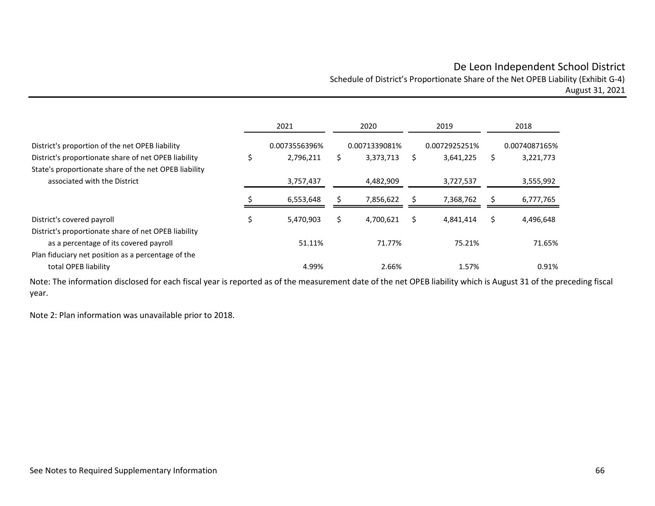## De Leon Independent School District Schedule of District's Proportionate Share of the Net OPEB Liability (Exhibit G-4)

August 31, 2021

|                                                                                                | 2021            |   | 2020          |    | 2019          |    | 2018          |
|------------------------------------------------------------------------------------------------|-----------------|---|---------------|----|---------------|----|---------------|
| District's proportion of the net OPEB liability                                                | 0.0073556396%   |   | 0.0071339081% |    | 0.0072925251% |    | 0.0074087165% |
| District's proportionate share of net OPEB liability                                           | \$<br>2,796,211 |   | 3,373,713     | S. | 3,641,225     | \$ | 3,221,773     |
| State's proportionate share of the net OPEB liability<br>associated with the District          | 3,757,437       |   | 4,482,909     |    | 3,727,537     |    | 3,555,992     |
|                                                                                                | 6,553,648       |   | 7,856,622     | Ś  | 7,368,762     | S  | 6,777,765     |
| District's covered payroll                                                                     | \$<br>5,470,903 | S | 4,700,621     | S  | 4,841,414     | \$ | 4,496,648     |
| District's proportionate share of net OPEB liability<br>as a percentage of its covered payroll | 51.11%          |   | 71.77%        |    | 75.21%        |    | 71.65%        |
| Plan fiduciary net position as a percentage of the                                             |                 |   |               |    |               |    |               |
| total OPEB liability                                                                           | 4.99%           |   | 2.66%         |    | 1.57%         |    | 0.91%         |

Note: The information disclosed for each fiscal year is reported as of the measurement date of the net OPEB liability which is August 31 of the preceding fiscal year.

Note 2: Plan information was unavailable prior to 2018.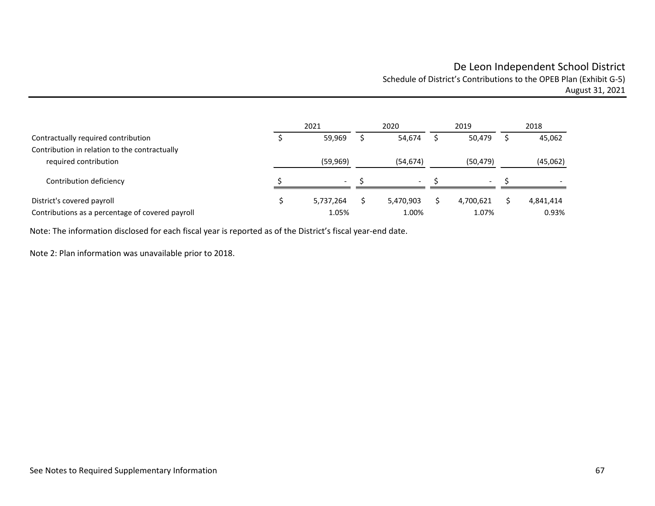## De Leon Independent School District Schedule of District's Contributions to the OPEB Plan (Exhibit G-5) August 31, 2021

|                                                  | 2021                     | 2020      | 2019                     | 2018      |
|--------------------------------------------------|--------------------------|-----------|--------------------------|-----------|
| Contractually required contribution              | 59,969                   | 54,674    | 50,479                   | 45,062    |
| Contribution in relation to the contractually    |                          |           |                          |           |
| required contribution                            | (59, 969)                | (54, 674) | (50, 479)                | (45,062)  |
| Contribution deficiency                          | $\overline{\phantom{0}}$ | $\sim$    | $\overline{\phantom{a}}$ |           |
| District's covered payroll                       | 5,737,264                | 5.470.903 | 4,700,621                | 4,841,414 |
| Contributions as a percentage of covered payroll | 1.05%                    | 1.00%     | 1.07%                    | 0.93%     |

Note: The information disclosed for each fiscal year is reported as of the District's fiscal year-end date.

Note 2: Plan information was unavailable prior to 2018.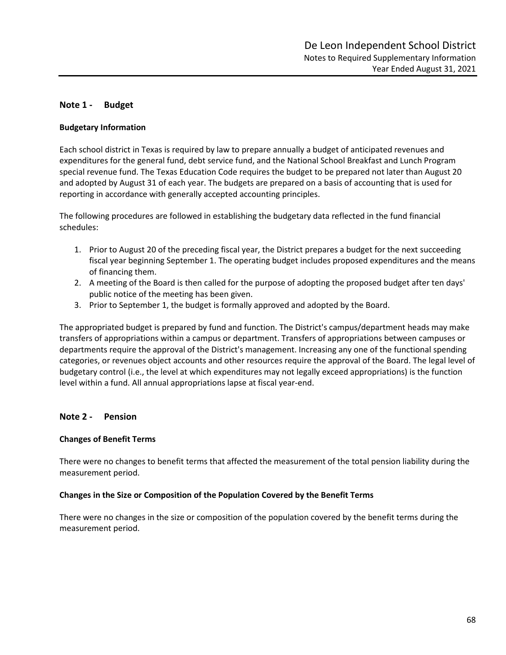### **Note 1 - Budget**

#### **Budgetary Information**

Each school district in Texas is required by law to prepare annually a budget of anticipated revenues and expenditures for the general fund, debt service fund, and the National School Breakfast and Lunch Program special revenue fund. The Texas Education Code requires the budget to be prepared not later than August 20 and adopted by August 31 of each year. The budgets are prepared on a basis of accounting that is used for reporting in accordance with generally accepted accounting principles.

The following procedures are followed in establishing the budgetary data reflected in the fund financial schedules:

- 1. Prior to August 20 of the preceding fiscal year, the District prepares a budget for the next succeeding fiscal year beginning September 1. The operating budget includes proposed expenditures and the means of financing them.
- 2. A meeting of the Board is then called for the purpose of adopting the proposed budget after ten days' public notice of the meeting has been given.
- 3. Prior to September 1, the budget is formally approved and adopted by the Board.

The appropriated budget is prepared by fund and function. The District's campus/department heads may make transfers of appropriations within a campus or department. Transfers of appropriations between campuses or departments require the approval of the District's management. Increasing any one of the functional spending categories, or revenues object accounts and other resources require the approval of the Board. The legal level of budgetary control (i.e., the level at which expenditures may not legally exceed appropriations) is the function level within a fund. All annual appropriations lapse at fiscal year-end.

### **Note 2 - Pension**

### **Changes of Benefit Terms**

There were no changes to benefit terms that affected the measurement of the total pension liability during the measurement period.

#### **Changes in the Size or Composition of the Population Covered by the Benefit Terms**

There were no changes in the size or composition of the population covered by the benefit terms during the measurement period.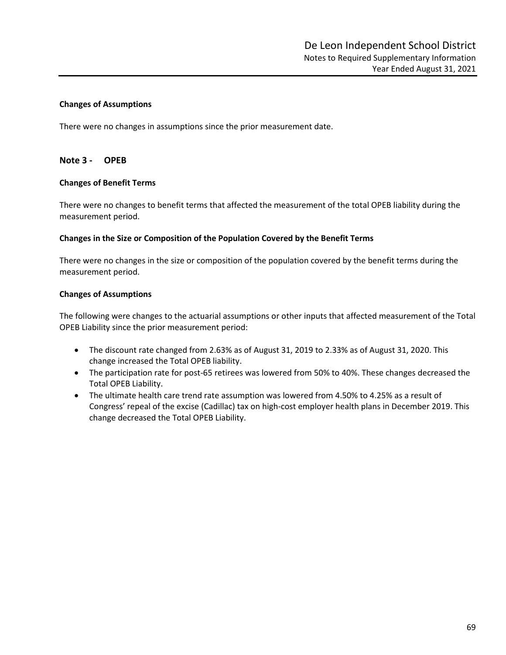#### **Changes of Assumptions**

There were no changes in assumptions since the prior measurement date.

#### **Note 3 - OPEB**

#### **Changes of Benefit Terms**

There were no changes to benefit terms that affected the measurement of the total OPEB liability during the measurement period.

#### **Changes in the Size or Composition of the Population Covered by the Benefit Terms**

There were no changes in the size or composition of the population covered by the benefit terms during the measurement period.

#### **Changes of Assumptions**

The following were changes to the actuarial assumptions or other inputs that affected measurement of the Total OPEB Liability since the prior measurement period:

- The discount rate changed from 2.63% as of August 31, 2019 to 2.33% as of August 31, 2020. This change increased the Total OPEB liability.
- The participation rate for post-65 retirees was lowered from 50% to 40%. These changes decreased the Total OPEB Liability.
- The ultimate health care trend rate assumption was lowered from 4.50% to 4.25% as a result of Congress' repeal of the excise (Cadillac) tax on high-cost employer health plans in December 2019. This change decreased the Total OPEB Liability.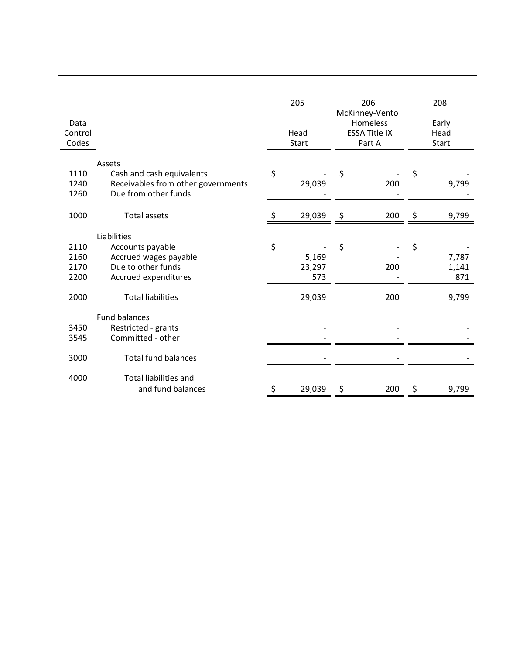| Data<br>Control<br>Codes |                                                            | 205<br>Head<br><b>Start</b> | 206<br>McKinney-Vento<br>Homeless<br><b>ESSA Title IX</b><br>Part A | 208<br>Early<br>Head<br><b>Start</b> |
|--------------------------|------------------------------------------------------------|-----------------------------|---------------------------------------------------------------------|--------------------------------------|
|                          |                                                            |                             |                                                                     |                                      |
| 1110                     | Assets<br>Cash and cash equivalents                        | \$                          | \$                                                                  | \$                                   |
| 1240<br>1260             | Receivables from other governments<br>Due from other funds | 29,039                      | 200                                                                 | 9,799                                |
| 1000                     | <b>Total assets</b>                                        | \$<br>29,039                | \$<br>200                                                           | \$<br>9,799                          |
|                          | Liabilities                                                |                             |                                                                     |                                      |
| 2110                     | Accounts payable                                           | \$                          | \$                                                                  | \$                                   |
| 2160                     | Accrued wages payable                                      | 5,169                       |                                                                     | 7,787                                |
| 2170                     | Due to other funds                                         | 23,297                      | 200                                                                 | 1,141                                |
| 2200                     | Accrued expenditures                                       | 573                         |                                                                     | 871                                  |
| 2000                     | <b>Total liabilities</b>                                   | 29,039                      | 200                                                                 | 9,799                                |
|                          | <b>Fund balances</b>                                       |                             |                                                                     |                                      |
| 3450                     | Restricted - grants                                        |                             |                                                                     |                                      |
| 3545                     | Committed - other                                          |                             |                                                                     |                                      |
| 3000                     | <b>Total fund balances</b>                                 |                             |                                                                     |                                      |
| 4000                     | <b>Total liabilities and</b>                               |                             |                                                                     |                                      |
|                          | and fund balances                                          | \$<br>29,039                | \$<br>200                                                           | \$<br>9,799                          |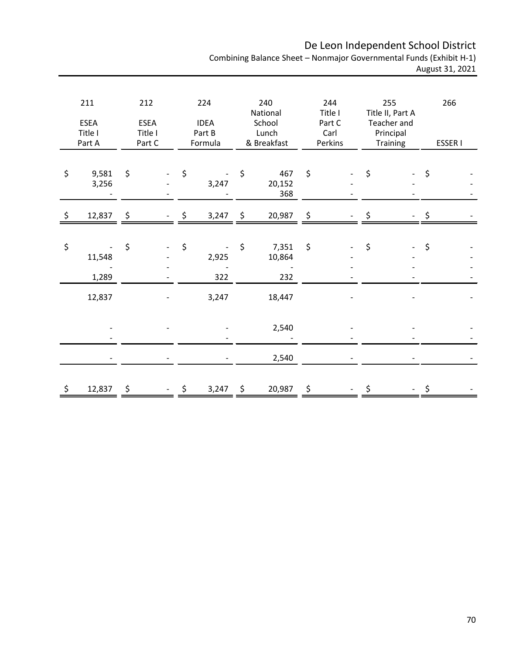Combining Balance Sheet – Nonmajor Governmental Funds (Exhibit H-1)

August 31, 2021

| 211<br><b>ESEA</b><br>Title I<br>Part A |         | 212<br><b>ESEA</b><br>Title I<br>Part C | 224<br><b>IDEA</b><br>Part B<br>Formula | 240<br>National<br>School<br>Lunch<br>& Breakfast |         | 244<br>Title I<br>Part C<br>Carl<br>Perkins | 255<br>Title II, Part A<br>Teacher and<br>Principal<br>Training | 266<br>ESSER I |
|-----------------------------------------|---------|-----------------------------------------|-----------------------------------------|---------------------------------------------------|---------|---------------------------------------------|-----------------------------------------------------------------|----------------|
| \$<br>9,581<br>3,256                    | $\zeta$ |                                         | \$<br>3,247                             | \$<br>467<br>20,152<br>368                        | $\zeta$ |                                             | \$                                                              | \$             |
| \$<br>12,837                            | \$      |                                         | \$<br>$3,247$ \$                        | 20,987                                            | \$      |                                             | \$                                                              | \$             |
| \$<br>11,548                            | \$      |                                         | \$<br>2,925                             | \$<br>7,351<br>10,864                             | \$      |                                             | \$                                                              | \$             |
| 1,289<br>12,837                         |         |                                         | 322<br>3,247                            | 232<br>18,447                                     |         |                                             |                                                                 |                |
|                                         |         |                                         |                                         | 2,540                                             |         |                                             |                                                                 |                |
|                                         |         |                                         |                                         | 2,540                                             |         |                                             |                                                                 |                |
| \$<br>12,837                            | \$      |                                         | \$<br>3,247                             | \$<br>20,987                                      | \$      |                                             | \$                                                              | \$             |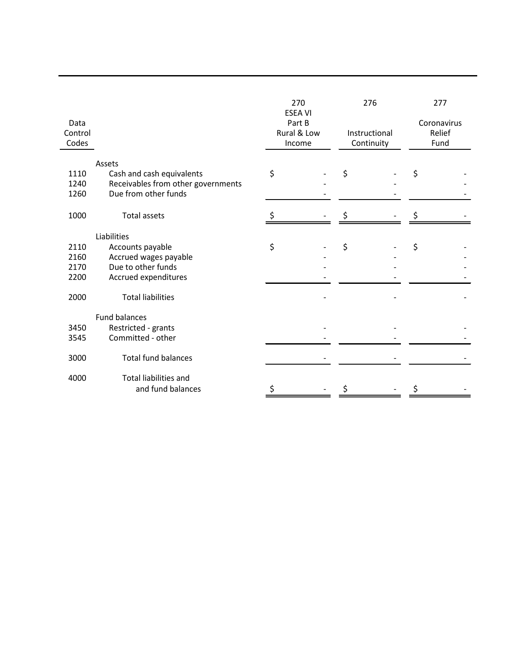| Data<br>Control<br>Codes |                                                                                         | 270<br><b>ESEA VI</b><br>Part B<br>Rural & Low<br>Income | 276<br>Instructional<br>Continuity | 277<br>Coronavirus<br>Relief<br>Fund |
|--------------------------|-----------------------------------------------------------------------------------------|----------------------------------------------------------|------------------------------------|--------------------------------------|
|                          | Assets                                                                                  |                                                          |                                    |                                      |
| 1110<br>1240<br>1260     | Cash and cash equivalents<br>Receivables from other governments<br>Due from other funds | \$                                                       | \$                                 | \$                                   |
|                          |                                                                                         |                                                          |                                    |                                      |
| 1000                     | <b>Total assets</b>                                                                     |                                                          | \$                                 |                                      |
|                          | Liabilities                                                                             |                                                          |                                    |                                      |
| 2110                     | Accounts payable                                                                        | \$                                                       | \$                                 | \$                                   |
| 2160                     | Accrued wages payable                                                                   |                                                          |                                    |                                      |
| 2170                     | Due to other funds                                                                      |                                                          |                                    |                                      |
| 2200                     | Accrued expenditures                                                                    |                                                          |                                    |                                      |
| 2000                     | <b>Total liabilities</b>                                                                |                                                          |                                    |                                      |
|                          | <b>Fund balances</b>                                                                    |                                                          |                                    |                                      |
| 3450                     | Restricted - grants                                                                     |                                                          |                                    |                                      |
| 3545                     | Committed - other                                                                       |                                                          |                                    |                                      |
| 3000                     | <b>Total fund balances</b>                                                              |                                                          |                                    |                                      |
| 4000                     | <b>Total liabilities and</b>                                                            |                                                          |                                    |                                      |
|                          | and fund balances                                                                       |                                                          |                                    |                                      |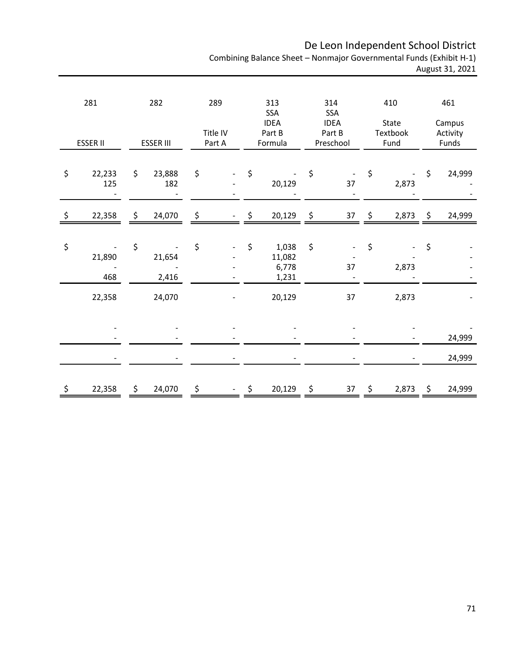Combining Balance Sheet – Nonmajor Governmental Funds (Exhibit H-1)

August 31, 2021

|         | 281<br><b>ESSER II</b> |                | 282<br><b>ESSER III</b> | 289<br>Title IV<br>Part A | 313<br>SSA<br><b>IDEA</b><br>Part B<br>Formula |         | 314<br><b>SSA</b><br><b>IDEA</b><br>Part B<br>Preschool |         | 410<br>State<br>Textbook<br>Fund | 461<br>Campus<br>Activity<br>Funds |
|---------|------------------------|----------------|-------------------------|---------------------------|------------------------------------------------|---------|---------------------------------------------------------|---------|----------------------------------|------------------------------------|
| \$      | 22,233<br>125          | \$             | 23,888<br>182           | \$                        | \$<br>20,129                                   | \$      | 37                                                      | $\zeta$ | 2,873                            | \$<br>24,999                       |
| $\zeta$ | 22,358                 | $\ddot{\zeta}$ | 24,070                  | \$                        | \$<br>20,129                                   | \$      | 37                                                      | \$      | 2,873                            | \$<br>24,999                       |
| \$      | 21,890<br>468          | \$             | 21,654<br>2,416         | \$                        | \$<br>1,038<br>11,082<br>6,778<br>1,231        | $\zeta$ | $\overline{\phantom{a}}$<br>37                          | \$      | 2,873                            | \$                                 |
|         | 22,358                 |                | 24,070                  |                           | 20,129                                         |         | 37                                                      |         | 2,873                            |                                    |
|         |                        |                |                         |                           |                                                |         |                                                         |         |                                  | 24,999                             |
|         |                        |                |                         |                           |                                                |         |                                                         |         |                                  | 24,999                             |
| \$      | 22,358                 | \$             | 24,070                  | \$                        | \$<br>20,129                                   | \$      | 37                                                      | \$      | 2,873                            | \$<br>24,999                       |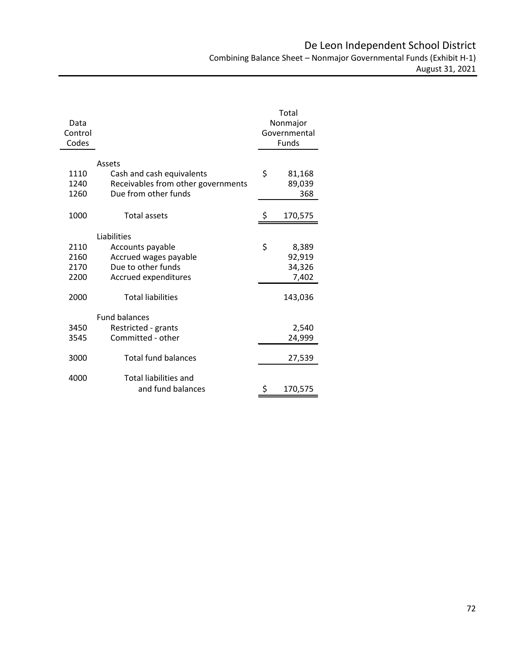| Data<br>Control<br>Codes |                                    | Total<br>Nonmajor<br>Governmental<br>Funds |
|--------------------------|------------------------------------|--------------------------------------------|
|                          | Assets                             |                                            |
| 1110                     | Cash and cash equivalents          | \$<br>81,168                               |
| 1240                     | Receivables from other governments | 89,039                                     |
| 1260                     | Due from other funds               | 368                                        |
| 1000                     | <b>Total assets</b>                | \$<br>170,575                              |
|                          | Liabilities                        |                                            |
| 2110                     | Accounts payable                   | \$<br>8,389                                |
| 2160                     | Accrued wages payable              | 92,919                                     |
| 2170                     | Due to other funds                 | 34,326                                     |
| 2200                     | Accrued expenditures               | 7,402                                      |
| 2000                     | <b>Total liabilities</b>           | 143,036                                    |
|                          | <b>Fund balances</b>               |                                            |
| 3450                     | Restricted - grants                | 2,540                                      |
| 3545                     | Committed - other                  | 24,999                                     |
| 3000                     | <b>Total fund balances</b>         | 27,539                                     |
| 4000                     | <b>Total liabilities and</b>       |                                            |
|                          | and fund balances                  | \$<br>170,575                              |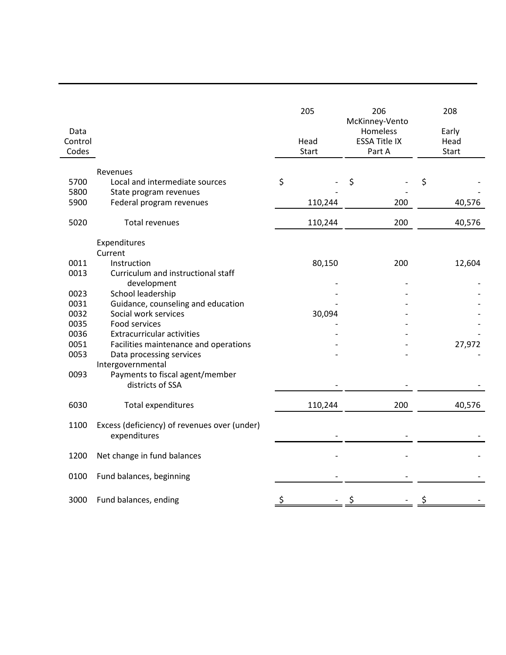|                          |                                                              | 205                                                         | 206<br>McKinney-Vento | 208                    |
|--------------------------|--------------------------------------------------------------|-------------------------------------------------------------|-----------------------|------------------------|
| Data<br>Control<br>Codes |                                                              | Homeless<br><b>ESSA Title IX</b><br>Head<br>Start<br>Part A |                       | Early<br>Head<br>Start |
|                          | Revenues                                                     |                                                             |                       |                        |
| 5700                     | Local and intermediate sources                               | \$                                                          | \$                    | \$                     |
| 5800                     | State program revenues                                       |                                                             |                       |                        |
| 5900                     | Federal program revenues                                     | 110,244                                                     | 200                   | 40,576                 |
| 5020                     | <b>Total revenues</b>                                        | 110,244                                                     | 200                   | 40,576                 |
|                          | Expenditures                                                 |                                                             |                       |                        |
|                          | Current                                                      |                                                             |                       |                        |
| 0011                     | Instruction                                                  | 80,150                                                      | 200                   | 12,604                 |
| 0013                     | Curriculum and instructional staff<br>development            |                                                             |                       |                        |
| 0023                     | School leadership                                            |                                                             |                       |                        |
| 0031                     | Guidance, counseling and education                           |                                                             |                       |                        |
| 0032                     | Social work services                                         | 30,094                                                      |                       |                        |
| 0035                     | Food services                                                |                                                             |                       |                        |
| 0036                     | <b>Extracurricular activities</b>                            |                                                             |                       |                        |
| 0051                     | Facilities maintenance and operations                        |                                                             |                       | 27,972                 |
| 0053                     | Data processing services                                     |                                                             |                       |                        |
|                          | Intergovernmental                                            |                                                             |                       |                        |
| 0093                     | Payments to fiscal agent/member<br>districts of SSA          |                                                             |                       |                        |
| 6030                     | Total expenditures                                           | 110,244                                                     | 200                   | 40,576                 |
| 1100                     | Excess (deficiency) of revenues over (under)<br>expenditures |                                                             |                       |                        |
| 1200                     | Net change in fund balances                                  |                                                             |                       |                        |
| 0100                     | Fund balances, beginning                                     |                                                             |                       |                        |
| 3000                     | Fund balances, ending                                        | \$                                                          | S                     |                        |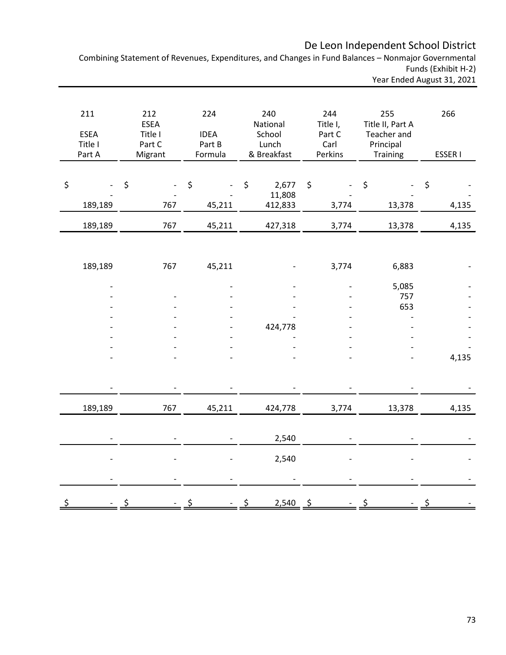Combining Statement of Revenues, Expenditures, and Changes in Fund Balances – Nonmajor Governmental Funds (Exhibit H-2)

| 211<br><b>ESEA</b><br>Title I<br>Part A | 212<br><b>ESEA</b><br>Title I<br>Part C<br>Migrant | 224<br><b>IDEA</b><br>Part B<br>Formula | 240<br>National<br>School<br>Lunch<br>& Breakfast | 244<br>Title I,<br>Part C<br>Carl<br>Perkins | 255<br>Title II, Part A<br>Teacher and<br>Principal<br>Training | 266<br>ESSER I |
|-----------------------------------------|----------------------------------------------------|-----------------------------------------|---------------------------------------------------|----------------------------------------------|-----------------------------------------------------------------|----------------|
| \$                                      | \$                                                 | \$                                      | \$<br>2,677                                       | \$                                           | \$                                                              | \$             |
| 189,189                                 | 767                                                | 45,211                                  | 11,808<br>412,833                                 | 3,774                                        | 13,378                                                          | 4,135          |
| 189,189                                 | 767                                                | 45,211                                  | 427,318                                           | 3,774                                        | 13,378                                                          | 4,135          |
|                                         |                                                    |                                         |                                                   |                                              |                                                                 |                |
| 189,189                                 | 767                                                | 45,211                                  |                                                   | 3,774                                        | 6,883                                                           |                |
|                                         |                                                    |                                         |                                                   |                                              | 5,085                                                           |                |
|                                         |                                                    |                                         |                                                   |                                              | 757<br>653                                                      |                |
|                                         |                                                    |                                         |                                                   |                                              |                                                                 |                |
|                                         |                                                    |                                         | 424,778                                           |                                              |                                                                 |                |
|                                         |                                                    |                                         |                                                   |                                              |                                                                 |                |
|                                         |                                                    |                                         |                                                   |                                              |                                                                 | 4,135          |
|                                         |                                                    |                                         |                                                   |                                              |                                                                 |                |
|                                         |                                                    |                                         |                                                   |                                              |                                                                 |                |
| 189,189                                 | 767                                                | 45,211                                  | 424,778                                           | 3,774                                        | 13,378                                                          | 4,135          |
|                                         |                                                    |                                         | 2,540                                             |                                              |                                                                 |                |
|                                         |                                                    |                                         |                                                   |                                              |                                                                 |                |
|                                         |                                                    |                                         | 2,540                                             |                                              |                                                                 |                |
|                                         |                                                    |                                         |                                                   |                                              |                                                                 |                |
|                                         |                                                    |                                         | 2,540                                             | \$                                           |                                                                 |                |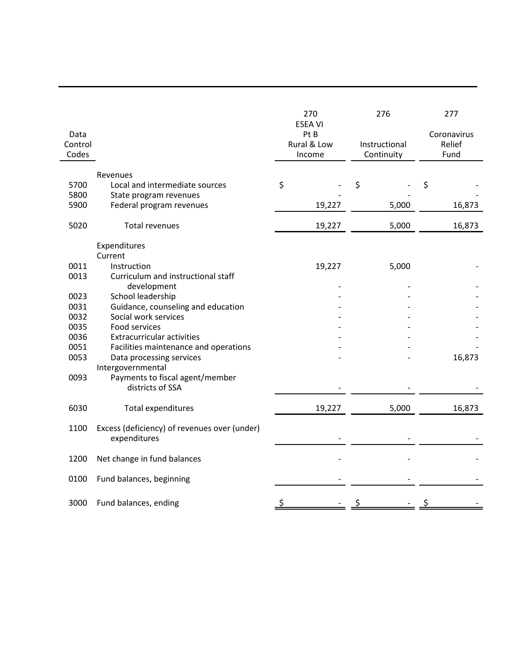| Data<br>Control<br>Codes |                                                              | 270<br><b>ESEA VI</b><br>Pt B<br>Rural & Low<br>Income | 276<br>Instructional<br>Continuity | 277<br>Coronavirus<br>Relief<br>Fund |
|--------------------------|--------------------------------------------------------------|--------------------------------------------------------|------------------------------------|--------------------------------------|
|                          | Revenues                                                     |                                                        |                                    |                                      |
| 5700                     | Local and intermediate sources                               | \$                                                     | \$                                 | \$                                   |
| 5800                     | State program revenues                                       |                                                        |                                    |                                      |
| 5900                     | Federal program revenues                                     | 19,227                                                 | 5,000                              | 16,873                               |
| 5020                     | <b>Total revenues</b>                                        | 19,227                                                 | 5,000                              | 16,873                               |
|                          | Expenditures                                                 |                                                        |                                    |                                      |
|                          | Current                                                      |                                                        |                                    |                                      |
| 0011                     | Instruction                                                  | 19,227                                                 | 5,000                              |                                      |
| 0013                     | Curriculum and instructional staff                           |                                                        |                                    |                                      |
|                          | development                                                  |                                                        |                                    |                                      |
| 0023                     | School leadership                                            |                                                        |                                    |                                      |
| 0031                     | Guidance, counseling and education                           |                                                        |                                    |                                      |
| 0032                     | Social work services                                         |                                                        |                                    |                                      |
| 0035<br>0036             | Food services<br><b>Extracurricular activities</b>           |                                                        |                                    |                                      |
| 0051                     | Facilities maintenance and operations                        |                                                        |                                    |                                      |
| 0053                     | Data processing services                                     |                                                        |                                    | 16,873                               |
|                          | Intergovernmental                                            |                                                        |                                    |                                      |
| 0093                     | Payments to fiscal agent/member                              |                                                        |                                    |                                      |
|                          | districts of SSA                                             |                                                        |                                    |                                      |
| 6030                     | Total expenditures                                           | 19,227                                                 | 5,000                              | 16,873                               |
| 1100                     | Excess (deficiency) of revenues over (under)<br>expenditures |                                                        |                                    |                                      |
| 1200                     | Net change in fund balances                                  |                                                        |                                    |                                      |
| 0100                     | Fund balances, beginning                                     |                                                        |                                    |                                      |
| 3000                     | Fund balances, ending                                        |                                                        |                                    |                                      |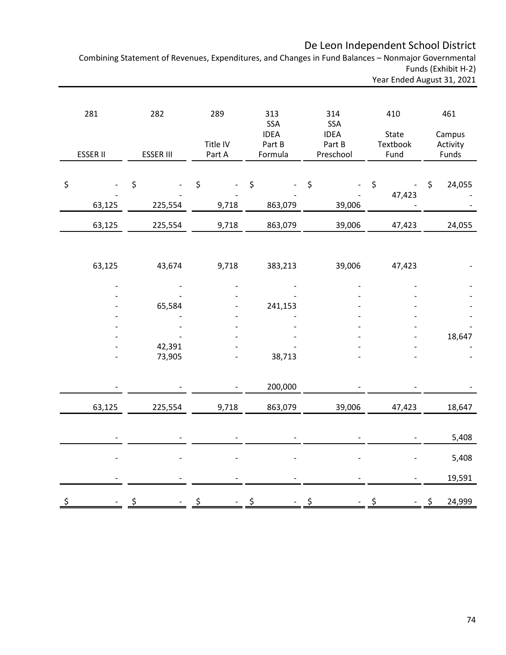Combining Statement of Revenues, Expenditures, and Changes in Fund Balances – Nonmajor Governmental Funds (Exhibit H-2)

| 281<br><b>ESSER II</b> | 282<br><b>ESSER III</b>              | 289<br>Title IV<br>Part A | 313<br>SSA<br><b>IDEA</b><br>Part B<br>Formula | 314<br>SSA<br><b>IDEA</b><br>Part B<br>Preschool | 410<br>State<br>Textbook<br>Fund | 461<br>Campus<br>Activity<br>Funds |
|------------------------|--------------------------------------|---------------------------|------------------------------------------------|--------------------------------------------------|----------------------------------|------------------------------------|
| \$<br>63,125           | \$<br>225,554                        | \$<br>9,718               | \$<br>863,079                                  | \$<br>39,006                                     | \$<br>47,423                     | \$<br>24,055                       |
| 63,125                 | 225,554                              | 9,718                     | 863,079                                        | 39,006                                           | 47,423                           | 24,055                             |
| 63,125                 | 43,674<br>65,584<br>42,391<br>73,905 | 9,718                     | 383,213<br>241,153<br>38,713<br>200,000        | 39,006                                           | 47,423                           | 18,647                             |
| 63,125                 | 225,554                              | 9,718                     | 863,079                                        | 39,006                                           | 47,423                           | 18,647                             |
|                        |                                      |                           |                                                |                                                  |                                  | 5,408<br>5,408<br>19,591           |
| $\frac{1}{2}$          | <u>ځـ</u>                            | \$                        | \$                                             | \$                                               | $\zeta$                          | \$<br>24,999                       |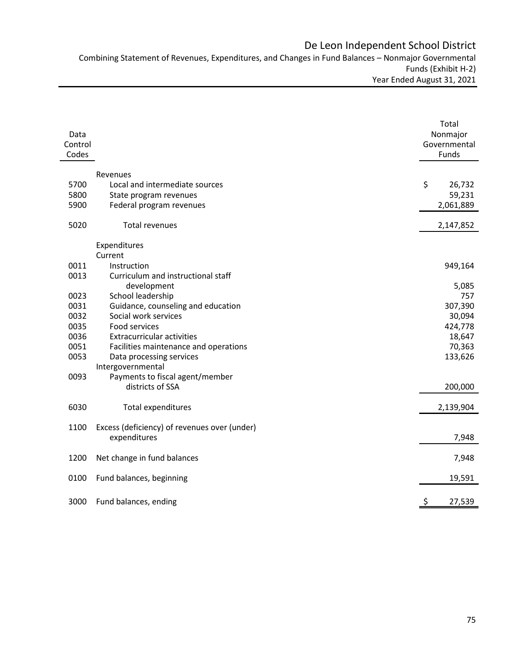Combining Statement of Revenues, Expenditures, and Changes in Fund Balances – Nonmajor Governmental Funds (Exhibit H-2) Year Ended August 31, 2021

Total Data Nonmajor Control Governmental Codes Funds Revenues 5700 Local and intermediate sources **1996** Contract 10 August 26,732 5800 State program revenues 59,231 5900 Federal program revenues 2,061,889 5020 Total revenues 2,147,852 Expenditures Current 0011 Instruction 949,164 0013 Curriculum and instructional staff development 5,085 0023 School leadership 757 0031 Guidance, counseling and education 307,390 0032 Social work services 30,094 0035 Food services 424,778 0036 Extracurricular activities 18,647 0051 Facilities maintenance and operations **Figure 2018** 70,363 0053 Data processing services 133,626 Intergovernmental 0093 Payments to fiscal agent/member districts of SSA 200,000 6030 Total expenditures 2,139,904 1100 Excess (deficiency) of revenues over (under) expenditures 7,948 1200 Net change in fund balances 7,948 0100 Fund balances, beginning 19,591 3000 Fund balances, ending the state of the state of the state of the state of the state of the state of the state of the state of the state of the state of the state of the state of the state of the state of the state of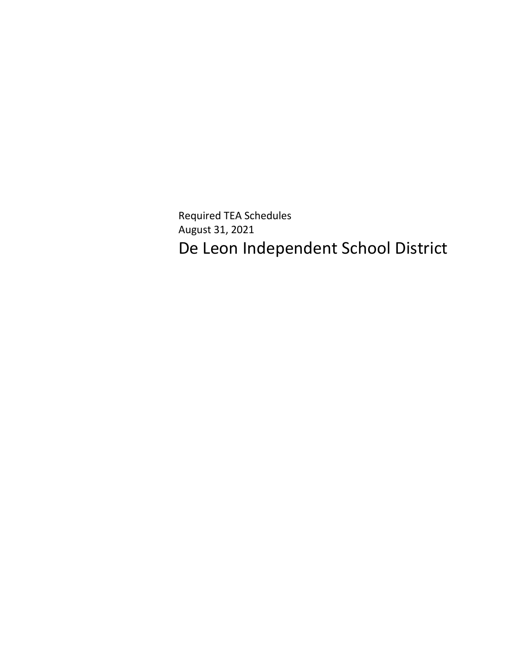Required TEA Schedules August 31, 2021

De Leon Independent School District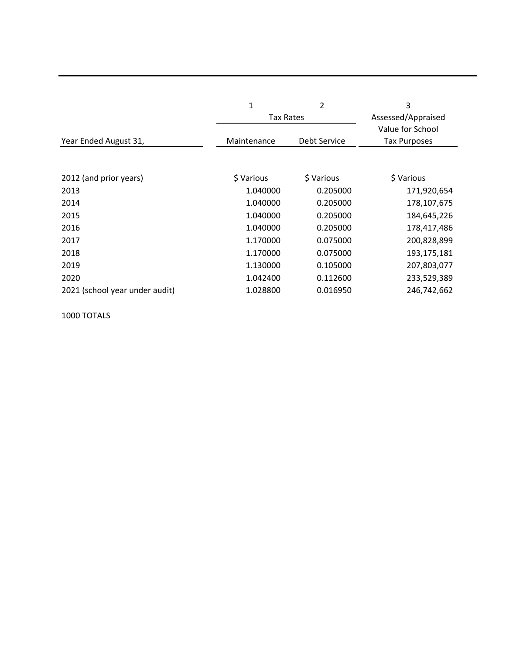|                                | 1           | $\overline{2}$                         | 3                   |
|--------------------------------|-------------|----------------------------------------|---------------------|
|                                | Tax Rates   | Assessed/Appraised<br>Value for School |                     |
| Year Ended August 31,          | Maintenance | Debt Service                           | <b>Tax Purposes</b> |
|                                |             |                                        |                     |
| 2012 (and prior years)         | \$ Various  | \$ Various                             | \$ Various          |
| 2013                           | 1.040000    | 0.205000                               | 171,920,654         |
| 2014                           | 1.040000    | 0.205000                               | 178,107,675         |
| 2015                           | 1.040000    | 0.205000                               | 184,645,226         |
| 2016                           | 1.040000    | 0.205000                               | 178,417,486         |
| 2017                           | 1.170000    | 0.075000                               | 200,828,899         |
| 2018                           | 1.170000    | 0.075000                               | 193,175,181         |
| 2019                           | 1.130000    | 0.105000                               | 207,803,077         |
| 2020                           | 1.042400    | 0.112600                               | 233,529,389         |
| 2021 (school year under audit) | 1.028800    | 0.016950                               | 246,742,662         |

1000 TOTALS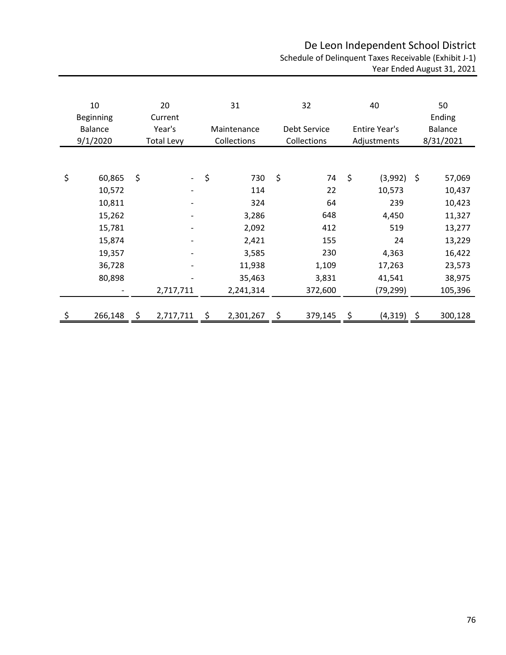Schedule of Delinquent Taxes Receivable (Exhibit J-1)

| 10<br>Beginning<br><b>Balance</b> | 20<br>Current<br>Year's | 31<br>Maintenance | 32<br>Debt Service |         | 40<br><b>Entire Year's</b> |      | 50<br>Ending<br><b>Balance</b> |
|-----------------------------------|-------------------------|-------------------|--------------------|---------|----------------------------|------|--------------------------------|
| 9/1/2020                          | <b>Total Levy</b>       | Collections       | Collections        |         | Adjustments                |      | 8/31/2021                      |
|                                   |                         |                   |                    |         |                            |      |                                |
| \$<br>60,865                      | \$                      | \$<br>730         | \$<br>74           | $\zeta$ | (3,992)                    | - \$ | 57,069                         |
| 10,572                            |                         | 114               | 22                 |         | 10,573                     |      | 10,437                         |
| 10,811                            |                         | 324               | 64                 |         | 239                        |      | 10,423                         |
| 15,262                            |                         | 3,286             | 648                |         | 4,450                      |      | 11,327                         |
| 15,781                            |                         | 2,092             | 412                |         | 519                        |      | 13,277                         |
| 15,874                            |                         | 2,421             | 155                |         | 24                         |      | 13,229                         |
| 19,357                            |                         | 3,585             | 230                |         | 4,363                      |      | 16,422                         |
| 36,728                            |                         | 11,938            | 1,109              |         | 17,263                     |      | 23,573                         |
| 80,898                            |                         | 35,463            | 3,831              |         | 41,541                     |      | 38,975                         |
|                                   | 2,717,711               | 2,241,314         | 372,600            |         | (79,299)                   |      | 105,396                        |
|                                   |                         |                   |                    |         |                            |      |                                |
| 266,148                           | 2,717,711               | \$<br>2,301,267   | 379,145            | \$      | (4, 319)                   |      | 300,128                        |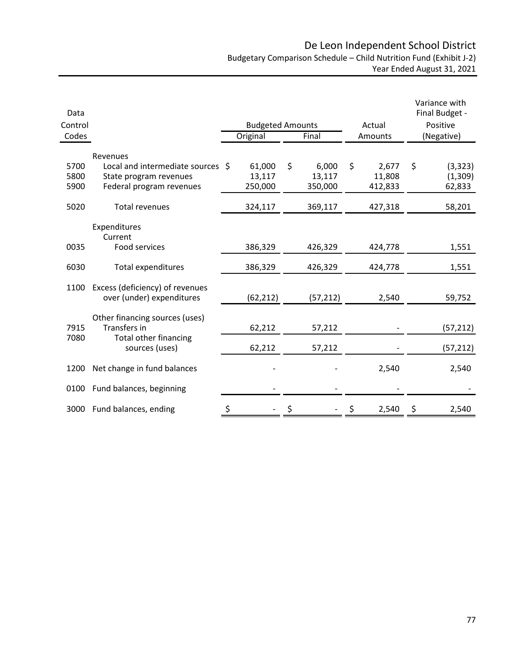Budgetary Comparison Schedule – Child Nutrition Fund (Exhibit J-2)

| Data    |                                                              |    |                         |    |           |         |         |            | Variance with<br>Final Budget - |  |
|---------|--------------------------------------------------------------|----|-------------------------|----|-----------|---------|---------|------------|---------------------------------|--|
| Control |                                                              |    | <b>Budgeted Amounts</b> |    |           |         | Actual  |            | Positive                        |  |
| Codes   |                                                              |    | Original                |    | Final     | Amounts |         | (Negative) |                                 |  |
|         |                                                              |    |                         |    |           |         |         |            |                                 |  |
|         | Revenues                                                     |    |                         |    |           |         |         |            |                                 |  |
| 5700    | Local and intermediate sources                               | \$ | 61,000                  | \$ | 6,000     | \$      | 2,677   | \$         | (3, 323)                        |  |
| 5800    | State program revenues                                       |    | 13,117                  |    | 13,117    |         | 11,808  |            | (1,309)                         |  |
| 5900    | Federal program revenues                                     |    | 250,000                 |    | 350,000   |         | 412,833 |            | 62,833                          |  |
| 5020    | Total revenues                                               |    | 324,117                 |    | 369,117   |         | 427,318 |            | 58,201                          |  |
|         | Expenditures                                                 |    |                         |    |           |         |         |            |                                 |  |
|         | Current                                                      |    |                         |    |           |         |         |            |                                 |  |
| 0035    | Food services                                                |    | 386,329                 |    | 426,329   |         | 424,778 |            | 1,551                           |  |
| 6030    | <b>Total expenditures</b>                                    |    | 386,329                 |    | 426,329   |         | 424,778 |            | 1,551                           |  |
| 1100    |                                                              |    |                         |    |           |         |         |            |                                 |  |
|         | Excess (deficiency) of revenues<br>over (under) expenditures |    | (62, 212)               |    | (57, 212) |         | 2,540   |            | 59,752                          |  |
|         |                                                              |    |                         |    |           |         |         |            |                                 |  |
| 7915    | Other financing sources (uses)<br>Transfers in               |    | 62,212                  |    | 57,212    |         |         |            | (57, 212)                       |  |
| 7080    | Total other financing                                        |    |                         |    |           |         |         |            |                                 |  |
|         | sources (uses)                                               |    | 62,212                  |    | 57,212    |         |         |            | (57, 212)                       |  |
| 1200    | Net change in fund balances                                  |    |                         |    |           |         | 2,540   |            | 2,540                           |  |
| 0100    | Fund balances, beginning                                     |    |                         |    |           |         |         |            |                                 |  |
| 3000    | Fund balances, ending                                        | \$ |                         |    |           | \$      | 2,540   | \$         | 2,540                           |  |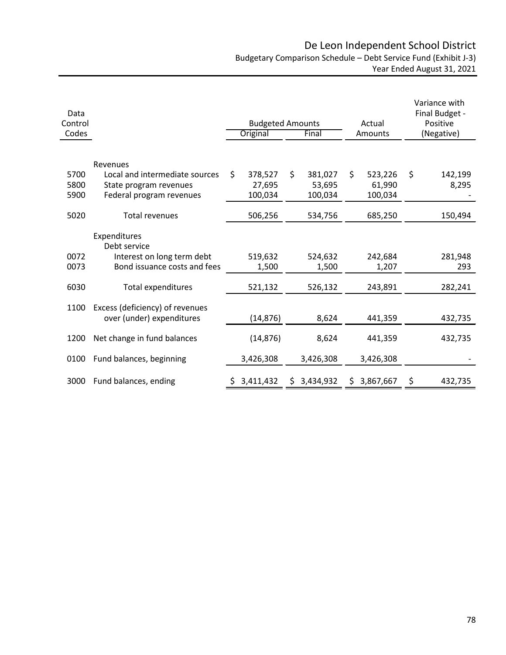Budgetary Comparison Schedule – Debt Service Fund (Exhibit J-3)

| Data<br>Control |                                                              | <b>Budgeted Amounts</b> |           |    | Actual    |         | Variance with<br>Final Budget -<br>Positive |            |         |
|-----------------|--------------------------------------------------------------|-------------------------|-----------|----|-----------|---------|---------------------------------------------|------------|---------|
| Codes           |                                                              |                         | Original  |    | Final     | Amounts |                                             | (Negative) |         |
|                 | Revenues                                                     |                         |           |    |           |         |                                             |            |         |
| 5700            | Local and intermediate sources                               | \$                      | 378,527   | \$ | 381,027   | \$      | 523,226                                     | \$         | 142,199 |
| 5800            | State program revenues                                       |                         | 27,695    |    | 53,695    |         | 61,990                                      |            | 8,295   |
| 5900            | Federal program revenues                                     |                         | 100,034   |    | 100,034   |         | 100,034                                     |            |         |
| 5020            | <b>Total revenues</b>                                        |                         | 506,256   |    | 534,756   |         | 685,250                                     |            | 150,494 |
|                 | Expenditures<br>Debt service                                 |                         |           |    |           |         |                                             |            |         |
| 0072            | Interest on long term debt                                   |                         | 519,632   |    | 524,632   |         | 242,684                                     |            | 281,948 |
| 0073            | Bond issuance costs and fees                                 |                         | 1,500     |    | 1,500     |         | 1,207                                       |            | 293     |
| 6030            | Total expenditures                                           |                         | 521,132   |    | 526,132   |         | 243,891                                     |            | 282,241 |
| 1100            | Excess (deficiency) of revenues<br>over (under) expenditures |                         | (14, 876) |    | 8,624     |         | 441,359                                     |            | 432,735 |
| 1200            | Net change in fund balances                                  |                         | (14, 876) |    | 8,624     |         | 441,359                                     |            | 432,735 |
| 0100            | Fund balances, beginning                                     |                         | 3,426,308 |    | 3,426,308 |         | 3,426,308                                   |            |         |
| 3000            | Fund balances, ending                                        |                         | 3,411,432 |    | 3,434,932 | S.      | 3,867,667                                   | \$         | 432,735 |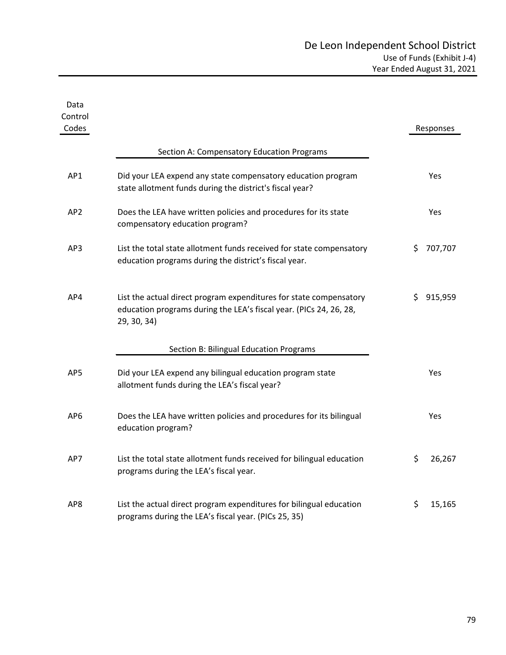| Data             |                                                                                                                                                         |     |           |
|------------------|---------------------------------------------------------------------------------------------------------------------------------------------------------|-----|-----------|
| Control<br>Codes |                                                                                                                                                         |     | Responses |
|                  | Section A: Compensatory Education Programs                                                                                                              |     |           |
| AP1              | Did your LEA expend any state compensatory education program<br>state allotment funds during the district's fiscal year?                                |     | Yes       |
| AP <sub>2</sub>  | Does the LEA have written policies and procedures for its state<br>compensatory education program?                                                      |     | Yes       |
| AP3              | List the total state allotment funds received for state compensatory<br>education programs during the district's fiscal year.                           | \$  | 707,707   |
| AP4              | List the actual direct program expenditures for state compensatory<br>education programs during the LEA's fiscal year. (PICs 24, 26, 28,<br>29, 30, 34) | \$. | 915,959   |
|                  | Section B: Bilingual Education Programs                                                                                                                 |     |           |
| AP5              | Did your LEA expend any bilingual education program state<br>allotment funds during the LEA's fiscal year?                                              |     | Yes       |
| AP <sub>6</sub>  | Does the LEA have written policies and procedures for its bilingual<br>education program?                                                               |     | Yes       |
| AP7              | List the total state allotment funds received for bilingual education<br>programs during the LEA's fiscal year.                                         | \$  | 26,267    |
| AP8              | List the actual direct program expenditures for bilingual education<br>programs during the LEA's fiscal year. (PICs 25, 35)                             | \$  | 15,165    |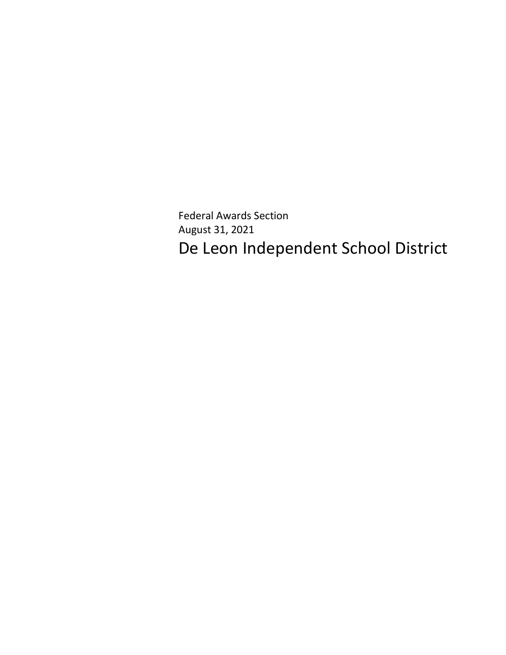Federal Awards Section August 31, 2021

De Leon Independent School District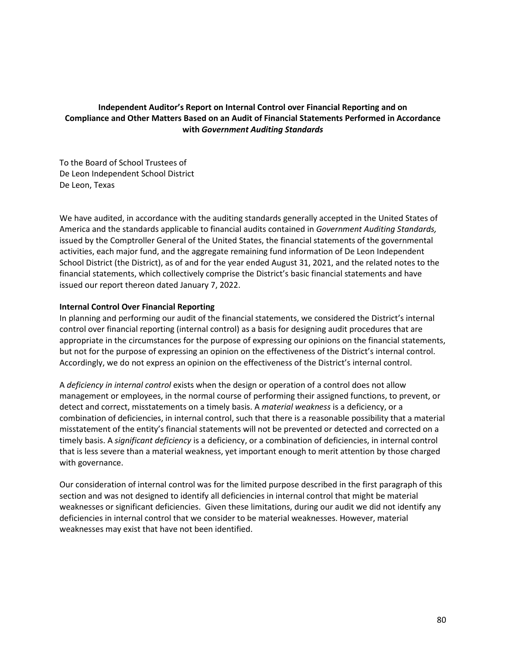

**CPAs & BUSINESS ADVISORS** 

### **Independent Auditor's Report on Internal Control over Financial Reporting and on Compliance and Other Matters Based on an Audit of Financial Statements Performed in Accordance with** *Government Auditing Standards*

To the Board of School Trustees of De Leon Independent School District De Leon, Texas

We have audited, in accordance with the auditing standards generally accepted in the United States of America and the standards applicable to financial audits contained in *Government Auditing Standards,* issued by the Comptroller General of the United States, the financial statements of the governmental activities, each major fund, and the aggregate remaining fund information of De Leon Independent School District (the District), as of and for the year ended August 31, 2021, and the related notes to the financial statements, which collectively comprise the District's basic financial statements and have issued our report thereon dated January 7, 2022.

#### **Internal Control Over Financial Reporting**

In planning and performing our audit of the financial statements, we considered the District's internal control over financial reporting (internal control) as a basis for designing audit procedures that are appropriate in the circumstances for the purpose of expressing our opinions on the financial statements, but not for the purpose of expressing an opinion on the effectiveness of the District's internal control. Accordingly, we do not express an opinion on the effectiveness of the District's internal control.

A *deficiency in internal control* exists when the design or operation of a control does not allow management or employees, in the normal course of performing their assigned functions, to prevent, or detect and correct, misstatements on a timely basis. A *material weakness* is a deficiency, or a combination of deficiencies, in internal control, such that there is a reasonable possibility that a material misstatement of the entity's financial statements will not be prevented or detected and corrected on a timely basis. A *significant deficiency* is a deficiency, or a combination of deficiencies, in internal control that is less severe than a material weakness, yet important enough to merit attention by those charged with governance.

Our consideration of internal control was for the limited purpose described in the first paragraph of this section and was not designed to identify all deficiencies in internal control that might be material weaknesses or significant deficiencies. Given these limitations, during our audit we did not identify any deficiencies in internal control that we consider to be material weaknesses. However, material weaknesses may exist that have not been identified.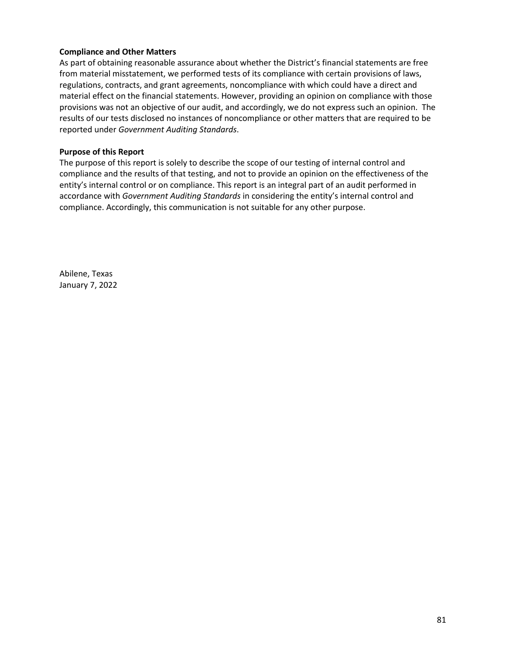#### **Compliance and Other Matters**

As part of obtaining reasonable assurance about whether the District's financial statements are free from material misstatement, we performed tests of its compliance with certain provisions of laws, regulations, contracts, and grant agreements, noncompliance with which could have a direct and material effect on the financial statements. However, providing an opinion on compliance with those provisions was not an objective of our audit, and accordingly, we do not express such an opinion. The results of our tests disclosed no instances of noncompliance or other matters that are required to be reported under *Government Auditing Standards*.

#### **Purpose of this Report**

The purpose of this report is solely to describe the scope of our testing of internal control and compliance and the results of that testing, and not to provide an opinion on the effectiveness of the entity's internal control or on compliance. This report is an integral part of an audit performed in accordance with *Government Auditing Standards* in considering the entity's internal control and compliance. Accordingly, this communication is not suitable for any other purpose.

Gide Sailly LLP

Abilene, Texas January 7, 2022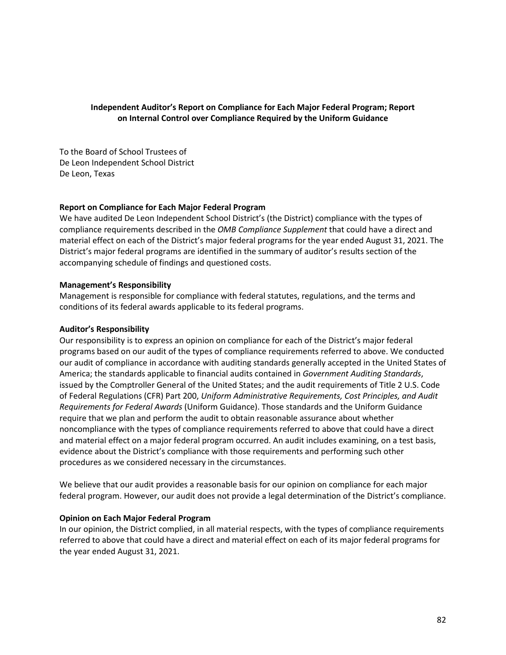

**CPAs & BUSINESS ADVISORS** 

#### **Independent Auditor's Report on Compliance for Each Major Federal Program; Report on Internal Control over Compliance Required by the Uniform Guidance**

To the Board of School Trustees of De Leon Independent School District De Leon, Texas

#### **Report on Compliance for Each Major Federal Program**

We have audited De Leon Independent School District's (the District) compliance with the types of compliance requirements described in the *OMB Compliance Supplement* that could have a direct and material effect on each of the District's major federal programs for the year ended August 31, 2021. The District's major federal programs are identified in the summary of auditor's results section of the accompanying schedule of findings and questioned costs.

#### **Management's Responsibility**

Management is responsible for compliance with federal statutes, regulations, and the terms and conditions of its federal awards applicable to its federal programs.

#### **Auditor's Responsibility**

Our responsibility is to express an opinion on compliance for each of the District's major federal programs based on our audit of the types of compliance requirements referred to above. We conducted our audit of compliance in accordance with auditing standards generally accepted in the United States of America; the standards applicable to financial audits contained in *Government Auditing Standards*, issued by the Comptroller General of the United States; and the audit requirements of Title 2 U.S. Code of Federal Regulations (CFR) Part 200, *Uniform Administrative Requirements, Cost Principles, and Audit Requirements for Federal Awards* (Uniform Guidance). Those standards and the Uniform Guidance require that we plan and perform the audit to obtain reasonable assurance about whether noncompliance with the types of compliance requirements referred to above that could have a direct and material effect on a major federal program occurred. An audit includes examining, on a test basis, evidence about the District's compliance with those requirements and performing such other procedures as we considered necessary in the circumstances.

We believe that our audit provides a reasonable basis for our opinion on compliance for each major federal program. However, our audit does not provide a legal determination of the District's compliance.

#### **Opinion on Each Major Federal Program**

In our opinion, the District complied, in all material respects, with the types of compliance requirements referred to above that could have a direct and material effect on each of its major federal programs for the year ended August 31, 2021.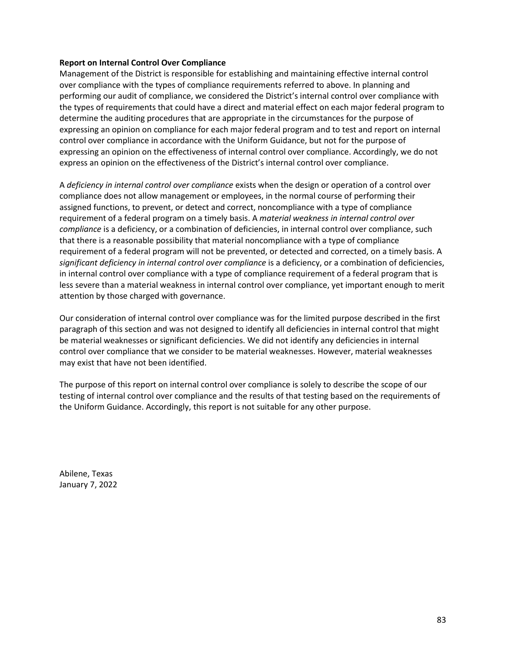#### **Report on Internal Control Over Compliance**

Management of the District is responsible for establishing and maintaining effective internal control over compliance with the types of compliance requirements referred to above. In planning and performing our audit of compliance, we considered the District's internal control over compliance with the types of requirements that could have a direct and material effect on each major federal program to determine the auditing procedures that are appropriate in the circumstances for the purpose of expressing an opinion on compliance for each major federal program and to test and report on internal control over compliance in accordance with the Uniform Guidance, but not for the purpose of expressing an opinion on the effectiveness of internal control over compliance. Accordingly, we do not express an opinion on the effectiveness of the District's internal control over compliance.

A *deficiency in internal control over compliance* exists when the design or operation of a control over compliance does not allow management or employees, in the normal course of performing their assigned functions, to prevent, or detect and correct, noncompliance with a type of compliance requirement of a federal program on a timely basis. A *material weakness in internal control over compliance* is a deficiency, or a combination of deficiencies, in internal control over compliance, such that there is a reasonable possibility that material noncompliance with a type of compliance requirement of a federal program will not be prevented, or detected and corrected, on a timely basis. A *significant deficiency in internal control over compliance* is a deficiency, or a combination of deficiencies, in internal control over compliance with a type of compliance requirement of a federal program that is less severe than a material weakness in internal control over compliance, yet important enough to merit attention by those charged with governance.

Our consideration of internal control over compliance was for the limited purpose described in the first paragraph of this section and was not designed to identify all deficiencies in internal control that might be material weaknesses or significant deficiencies. We did not identify any deficiencies in internal control over compliance that we consider to be material weaknesses. However, material weaknesses may exist that have not been identified.

The purpose of this report on internal control over compliance is solely to describe the scope of our testing of internal control over compliance and the results of that testing based on the requirements of the Uniform Guidance. Accordingly, this report is not suitable for any other purpose.

Gide Sailly LLP

Abilene, Texas January 7, 2022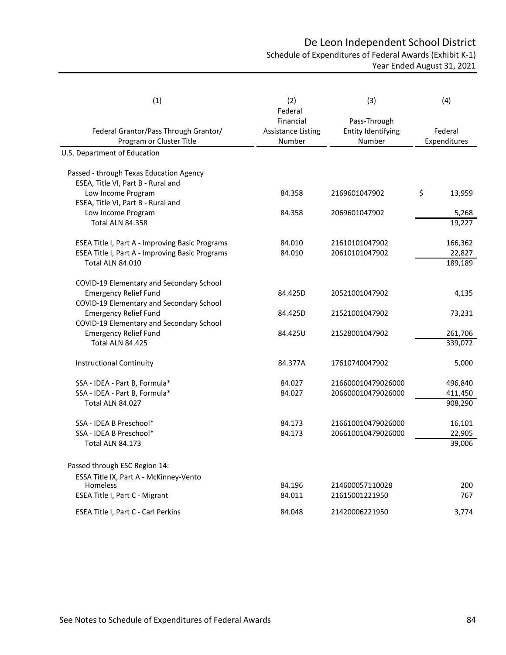Schedule of Expenditures of Federal Awards (Exhibit K-1)

| (1)                                             | (2)<br>Federal            | (3)                       | (4)          |  |
|-------------------------------------------------|---------------------------|---------------------------|--------------|--|
|                                                 | Financial                 | Pass-Through              |              |  |
| Federal Grantor/Pass Through Grantor/           | <b>Assistance Listing</b> | <b>Entity Identifying</b> | Federal      |  |
| Program or Cluster Title                        | Number                    | Number                    | Expenditures |  |
| U.S. Department of Education                    |                           |                           |              |  |
| Passed - through Texas Education Agency         |                           |                           |              |  |
| ESEA, Title VI, Part B - Rural and              |                           |                           |              |  |
| Low Income Program                              | 84.358                    | 2169601047902             | \$<br>13,959 |  |
| ESEA, Title VI, Part B - Rural and              |                           |                           |              |  |
| Low Income Program                              | 84.358                    | 2069601047902             | 5,268        |  |
| <b>Total ALN 84.358</b>                         |                           |                           | 19,227       |  |
| ESEA Title I, Part A - Improving Basic Programs | 84.010                    | 21610101047902            | 166,362      |  |
| ESEA Title I, Part A - Improving Basic Programs | 84.010                    | 20610101047902            | 22,827       |  |
| Total ALN 84.010                                |                           |                           | 189,189      |  |
| COVID-19 Elementary and Secondary School        |                           |                           |              |  |
| <b>Emergency Relief Fund</b>                    | 84.425D                   | 20521001047902            | 4,135        |  |
| COVID-19 Elementary and Secondary School        |                           |                           |              |  |
| <b>Emergency Relief Fund</b>                    | 84.425D                   | 21521001047902            | 73,231       |  |
| COVID-19 Elementary and Secondary School        |                           |                           |              |  |
| <b>Emergency Relief Fund</b>                    | 84.425U                   | 21528001047902            | 261,706      |  |
| <b>Total ALN 84.425</b>                         |                           |                           | 339,072      |  |
| <b>Instructional Continuity</b>                 | 84.377A                   | 17610740047902            | 5,000        |  |
| SSA - IDEA - Part B, Formula*                   | 84.027                    | 216600010479026000        | 496,840      |  |
| SSA - IDEA - Part B, Formula*                   | 84.027                    | 206600010479026000        | 411,450      |  |
| <b>Total ALN 84.027</b>                         |                           |                           | 908,290      |  |
| SSA - IDEA B Preschool*                         | 84.173                    | 216610010479026000        | 16,101       |  |
| SSA - IDEA B Preschool*                         | 84.173                    | 206610010479026000        | 22,905       |  |
| <b>Total ALN 84.173</b>                         |                           |                           | 39,006       |  |
| Passed through ESC Region 14:                   |                           |                           |              |  |
| ESSA Title IX, Part A - McKinney-Vento          |                           |                           |              |  |
| <b>Homeless</b>                                 | 84.196                    | 214600057110028           | 200          |  |
| ESEA Title I, Part C - Migrant                  | 84.011                    | 21615001221950            | 767          |  |
| ESEA Title I, Part C - Carl Perkins             | 84.048                    | 21420006221950            | 3,774        |  |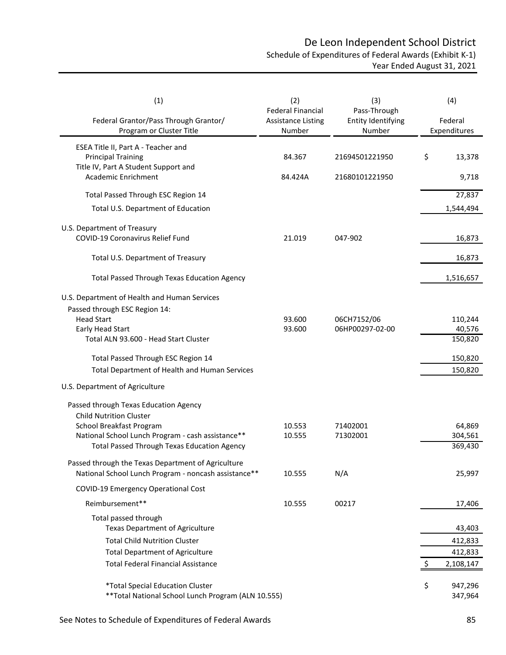## De Leon Independent School District Schedule of Expenditures of Federal Awards (Exhibit K-1)

| (1)<br>Federal Grantor/Pass Through Grantor/<br>Program or Cluster Title                                                                                                                                       | (2)<br><b>Federal Financial</b><br><b>Assistance Listing</b><br>Number | (3)<br>Pass-Through<br><b>Entity Identifying</b><br>Number | (4)<br>Federal<br>Expenditures            |
|----------------------------------------------------------------------------------------------------------------------------------------------------------------------------------------------------------------|------------------------------------------------------------------------|------------------------------------------------------------|-------------------------------------------|
| ESEA Title II, Part A - Teacher and<br><b>Principal Training</b><br>Title IV, Part A Student Support and<br>Academic Enrichment                                                                                | 84.367<br>84.424A                                                      | 21694501221950<br>21680101221950                           | \$<br>13,378<br>9,718                     |
| Total Passed Through ESC Region 14                                                                                                                                                                             |                                                                        |                                                            | 27,837                                    |
| Total U.S. Department of Education                                                                                                                                                                             |                                                                        |                                                            | 1,544,494                                 |
| U.S. Department of Treasury<br>COVID-19 Coronavirus Relief Fund                                                                                                                                                | 21.019                                                                 | 047-902                                                    | 16,873                                    |
| Total U.S. Department of Treasury                                                                                                                                                                              |                                                                        |                                                            | 16,873                                    |
| <b>Total Passed Through Texas Education Agency</b>                                                                                                                                                             |                                                                        |                                                            | 1,516,657                                 |
| U.S. Department of Health and Human Services<br>Passed through ESC Region 14:<br><b>Head Start</b>                                                                                                             | 93.600                                                                 | 06CH7152/06                                                | 110,244                                   |
| Early Head Start                                                                                                                                                                                               | 93.600                                                                 | 06HP00297-02-00                                            | 40,576                                    |
| Total ALN 93.600 - Head Start Cluster                                                                                                                                                                          |                                                                        |                                                            | 150,820                                   |
| Total Passed Through ESC Region 14<br>Total Department of Health and Human Services                                                                                                                            |                                                                        |                                                            | 150,820<br>150,820                        |
| U.S. Department of Agriculture                                                                                                                                                                                 |                                                                        |                                                            |                                           |
| Passed through Texas Education Agency<br><b>Child Nutrition Cluster</b><br>School Breakfast Program<br>National School Lunch Program - cash assistance**<br><b>Total Passed Through Texas Education Agency</b> | 10.553<br>10.555                                                       | 71402001<br>71302001                                       | 64,869<br>304,561<br>369,430              |
| Passed through the Texas Department of Agriculture<br>National School Lunch Program - noncash assistance**                                                                                                     | 10.555                                                                 | N/A                                                        | 25,997                                    |
| COVID-19 Emergency Operational Cost                                                                                                                                                                            |                                                                        |                                                            |                                           |
| Reimbursement**                                                                                                                                                                                                | 10.555                                                                 | 00217                                                      | 17,406                                    |
| Total passed through<br><b>Texas Department of Agriculture</b><br><b>Total Child Nutrition Cluster</b><br><b>Total Department of Agriculture</b><br><b>Total Federal Financial Assistance</b>                  |                                                                        |                                                            | 43,403<br>412,833<br>412,833<br>2,108,147 |
| *Total Special Education Cluster<br>** Total National School Lunch Program (ALN 10.555)                                                                                                                        |                                                                        |                                                            | \$<br>947,296<br>347,964                  |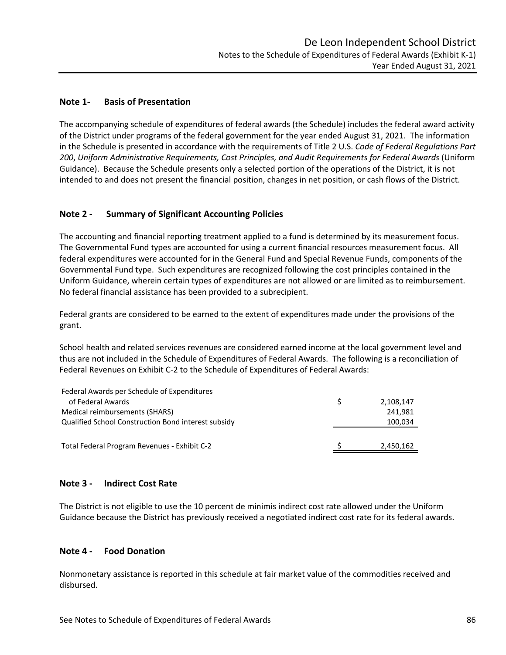#### **Note 1- Basis of Presentation**

The accompanying schedule of expenditures of federal awards (the Schedule) includes the federal award activity of the District under programs of the federal government for the year ended August 31, 2021. The information in the Schedule is presented in accordance with the requirements of Title 2 U.S. *Code of Federal Regulations Part 200*, *Uniform Administrative Requirements, Cost Principles, and Audit Requirements for Federal Awards* (Uniform Guidance). Because the Schedule presents only a selected portion of the operations of the District, it is not intended to and does not present the financial position, changes in net position, or cash flows of the District.

#### **Note 2 - Summary of Significant Accounting Policies**

The accounting and financial reporting treatment applied to a fund is determined by its measurement focus. The Governmental Fund types are accounted for using a current financial resources measurement focus. All federal expenditures were accounted for in the General Fund and Special Revenue Funds, components of the Governmental Fund type. Such expenditures are recognized following the cost principles contained in the Uniform Guidance, wherein certain types of expenditures are not allowed or are limited as to reimbursement. No federal financial assistance has been provided to a subrecipient.

Federal grants are considered to be earned to the extent of expenditures made under the provisions of the grant.

School health and related services revenues are considered earned income at the local government level and thus are not included in the Schedule of Expenditures of Federal Awards. The following is a reconciliation of Federal Revenues on Exhibit C-2 to the Schedule of Expenditures of Federal Awards:

| Federal Awards per Schedule of Expenditures         |           |
|-----------------------------------------------------|-----------|
| of Federal Awards                                   | 2,108,147 |
| Medical reimbursements (SHARS)                      | 241.981   |
| Qualified School Construction Bond interest subsidy | 100,034   |
|                                                     |           |
| Total Federal Program Revenues - Exhibit C-2        | 2,450,162 |

### **Note 3 - Indirect Cost Rate**

The District is not eligible to use the 10 percent de minimis indirect cost rate allowed under the Uniform Guidance because the District has previously received a negotiated indirect cost rate for its federal awards.

#### **Note 4 - Food Donation**

Nonmonetary assistance is reported in this schedule at fair market value of the commodities received and disbursed.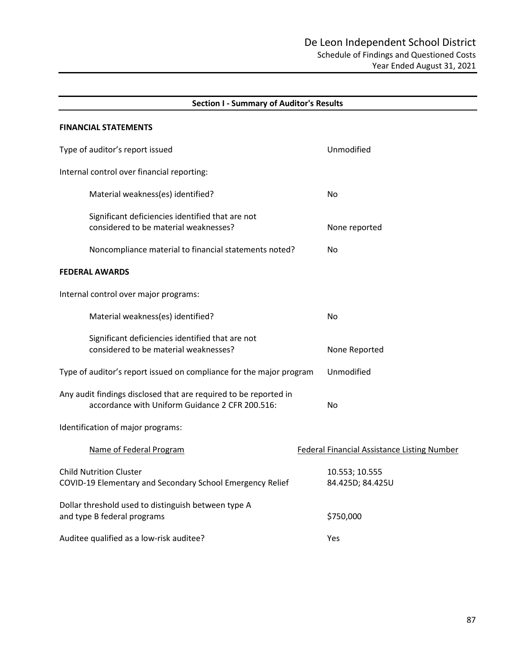### **Section I - Summary of Auditor's Results**

#### **FINANCIAL STATEMENTS**

| Type of auditor's report issued                                                                                     | Unmodified                                         |
|---------------------------------------------------------------------------------------------------------------------|----------------------------------------------------|
| Internal control over financial reporting:                                                                          |                                                    |
| Material weakness(es) identified?                                                                                   | No                                                 |
| Significant deficiencies identified that are not<br>considered to be material weaknesses?                           | None reported                                      |
| Noncompliance material to financial statements noted?                                                               | <b>No</b>                                          |
| <b>FEDERAL AWARDS</b>                                                                                               |                                                    |
| Internal control over major programs:                                                                               |                                                    |
| Material weakness(es) identified?                                                                                   | <b>No</b>                                          |
| Significant deficiencies identified that are not<br>considered to be material weaknesses?                           | None Reported                                      |
| Type of auditor's report issued on compliance for the major program                                                 | Unmodified                                         |
| Any audit findings disclosed that are required to be reported in<br>accordance with Uniform Guidance 2 CFR 200.516: | No                                                 |
| Identification of major programs:                                                                                   |                                                    |
| Name of Federal Program                                                                                             | <b>Federal Financial Assistance Listing Number</b> |
| <b>Child Nutrition Cluster</b><br>COVID-19 Elementary and Secondary School Emergency Relief                         | 10.553; 10.555<br>84.425D; 84.425U                 |
| Dollar threshold used to distinguish between type A<br>and type B federal programs                                  | \$750,000                                          |
| Auditee qualified as a low-risk auditee?                                                                            | Yes                                                |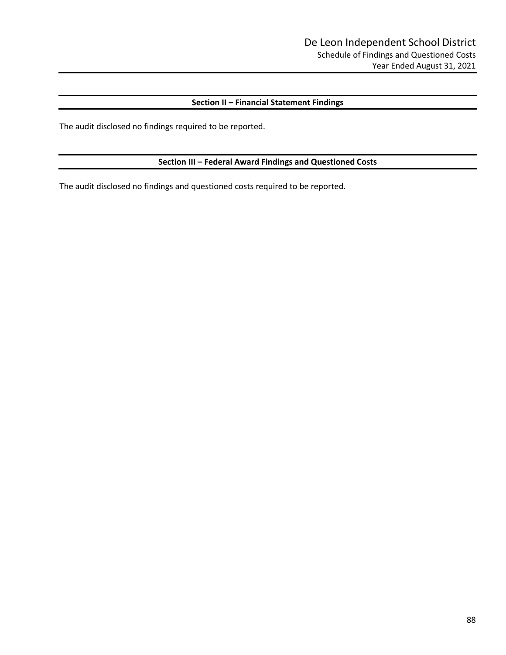#### **Section II – Financial Statement Findings**

The audit disclosed no findings required to be reported.

#### **Section III – Federal Award Findings and Questioned Costs**

The audit disclosed no findings and questioned costs required to be reported.